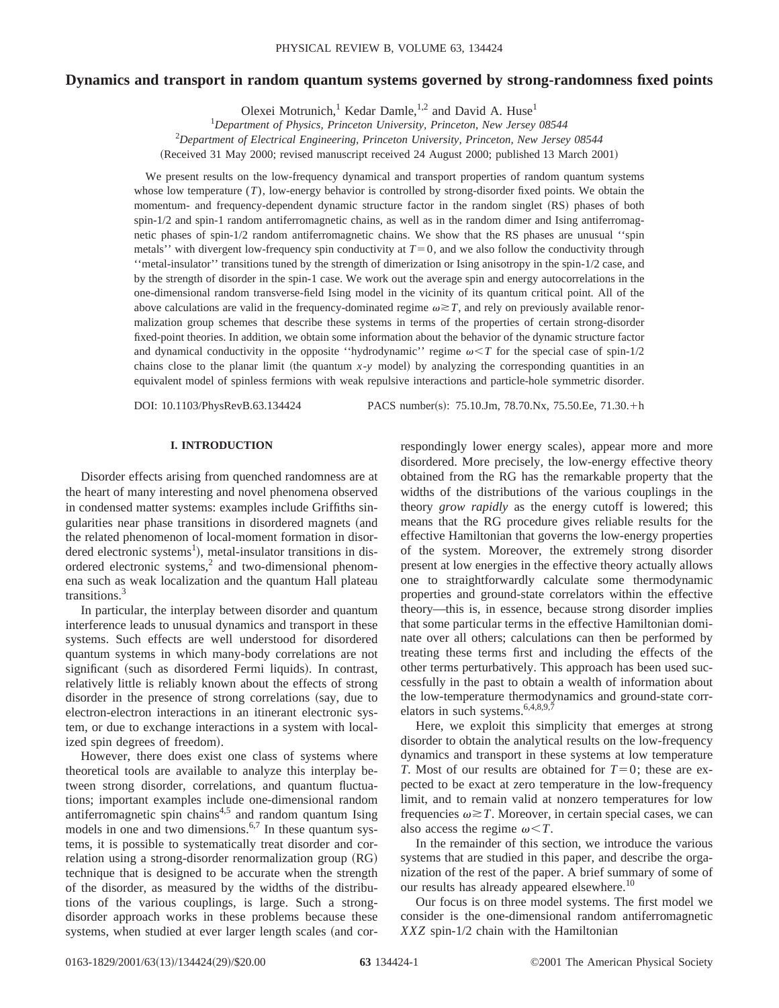# **Dynamics and transport in random quantum systems governed by strong-randomness fixed points**

Olexei Motrunich,<sup>1</sup> Kedar Damle,<sup>1,2</sup> and David A. Huse<sup>1</sup>

1 *Department of Physics, Princeton University, Princeton, New Jersey 08544* 2 *Department of Electrical Engineering, Princeton University, Princeton, New Jersey 08544*

(Received 31 May 2000; revised manuscript received 24 August 2000; published 13 March 2001)

We present results on the low-frequency dynamical and transport properties of random quantum systems whose low temperature  $(T)$ , low-energy behavior is controlled by strong-disorder fixed points. We obtain the momentum- and frequency-dependent dynamic structure factor in the random singlet (RS) phases of both spin-1/2 and spin-1 random antiferromagnetic chains, as well as in the random dimer and Ising antiferromagnetic phases of spin-1/2 random antiferromagnetic chains. We show that the RS phases are unusual ''spin metals'' with divergent low-frequency spin conductivity at  $T=0$ , and we also follow the conductivity through ''metal-insulator'' transitions tuned by the strength of dimerization or Ising anisotropy in the spin-1/2 case, and by the strength of disorder in the spin-1 case. We work out the average spin and energy autocorrelations in the one-dimensional random transverse-field Ising model in the vicinity of its quantum critical point. All of the above calculations are valid in the frequency-dominated regime  $\omega \geq T$ , and rely on previously available renormalization group schemes that describe these systems in terms of the properties of certain strong-disorder fixed-point theories. In addition, we obtain some information about the behavior of the dynamic structure factor and dynamical conductivity in the opposite "hydrodynamic" regime  $\omega \leq T$  for the special case of spin-1/2 chains close to the planar limit (the quantum  $x-y$  model) by analyzing the corresponding quantities in an equivalent model of spinless fermions with weak repulsive interactions and particle-hole symmetric disorder.

DOI: 10.1103/PhysRevB.63.134424 PACS number(s): 75.10.Jm, 78.70.Nx, 75.50.Ee, 71.30.+h

## **I. INTRODUCTION**

Disorder effects arising from quenched randomness are at the heart of many interesting and novel phenomena observed in condensed matter systems: examples include Griffiths singularities near phase transitions in disordered magnets (and the related phenomenon of local-moment formation in disordered electronic systems<sup>1</sup>), metal-insulator transitions in disordered electronic systems, $^{2}$  and two-dimensional phenomena such as weak localization and the quantum Hall plateau transitions.3

In particular, the interplay between disorder and quantum interference leads to unusual dynamics and transport in these systems. Such effects are well understood for disordered quantum systems in which many-body correlations are not significant (such as disordered Fermi liquids). In contrast, relatively little is reliably known about the effects of strong disorder in the presence of strong correlations (say, due to electron-electron interactions in an itinerant electronic system, or due to exchange interactions in a system with localized spin degrees of freedom).

However, there does exist one class of systems where theoretical tools are available to analyze this interplay between strong disorder, correlations, and quantum fluctuations; important examples include one-dimensional random antiferromagnetic spin chains $4.5$  and random quantum Ising models in one and two dimensions.<sup>6,7</sup> In these quantum systems, it is possible to systematically treat disorder and correlation using a strong-disorder renormalization group  $(RG)$ technique that is designed to be accurate when the strength of the disorder, as measured by the widths of the distributions of the various couplings, is large. Such a strongdisorder approach works in these problems because these systems, when studied at ever larger length scales (and correspondingly lower energy scales), appear more and more disordered. More precisely, the low-energy effective theory obtained from the RG has the remarkable property that the widths of the distributions of the various couplings in the theory *grow rapidly* as the energy cutoff is lowered; this means that the RG procedure gives reliable results for the effective Hamiltonian that governs the low-energy properties of the system. Moreover, the extremely strong disorder present at low energies in the effective theory actually allows one to straightforwardly calculate some thermodynamic properties and ground-state correlators within the effective theory—this is, in essence, because strong disorder implies that some particular terms in the effective Hamiltonian dominate over all others; calculations can then be performed by treating these terms first and including the effects of the other terms perturbatively. This approach has been used successfully in the past to obtain a wealth of information about the low-temperature thermodynamics and ground-state correlators in such systems.  $6,4,8,9,7$ 

Here, we exploit this simplicity that emerges at strong disorder to obtain the analytical results on the low-frequency dynamics and transport in these systems at low temperature *T*. Most of our results are obtained for  $T=0$ ; these are expected to be exact at zero temperature in the low-frequency limit, and to remain valid at nonzero temperatures for low frequencies  $\omega \geq T$ . Moreover, in certain special cases, we can also access the regime  $\omega < T$ .

In the remainder of this section, we introduce the various systems that are studied in this paper, and describe the organization of the rest of the paper. A brief summary of some of our results has already appeared elsewhere.<sup>10</sup>

Our focus is on three model systems. The first model we consider is the one-dimensional random antiferromagnetic *XXZ* spin-1/2 chain with the Hamiltonian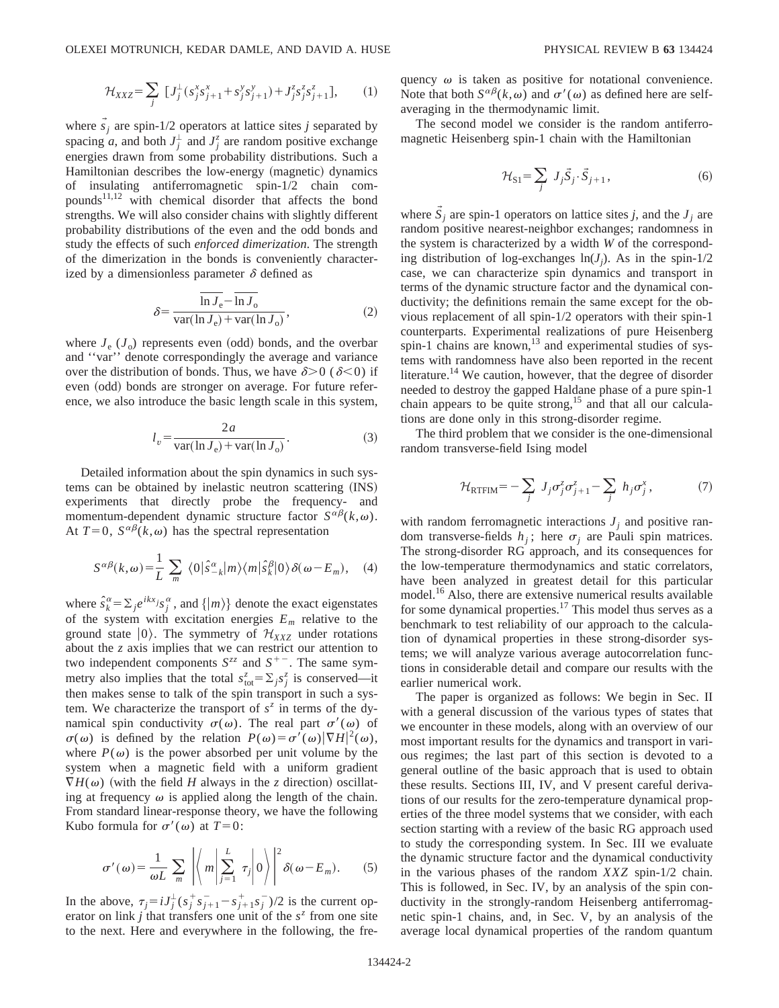$$
\mathcal{H}_{XXZ} = \sum_{j} \left[ J_j^{\perp} (s_j^x s_{j+1}^x + s_j^y s_{j+1}^y) + J_j^z s_j^z s_{j+1}^z \right], \qquad (1)
$$

where  $s_j$  are spin-1/2 operators at lattice sites *j* separated by spacing *a*, and both  $J_j^{\perp}$  and  $J_j^{\zeta}$  are random positive exchange energies drawn from some probability distributions. Such a Hamiltonian describes the low-energy (magnetic) dynamics of insulating antiferromagnetic spin-1/2 chain compounds $11,12$  with chemical disorder that affects the bond strengths. We will also consider chains with slightly different probability distributions of the even and the odd bonds and study the effects of such *enforced dimerization*. The strength of the dimerization in the bonds is conveniently characterized by a dimensionless parameter  $\delta$  defined as

$$
\delta = \frac{\ln J_e - \ln J_o}{\text{var}(\ln J_e) + \text{var}(\ln J_o)},\tag{2}
$$

where  $J_e$  ( $J_o$ ) represents even (odd) bonds, and the overbar and ''var'' denote correspondingly the average and variance over the distribution of bonds. Thus, we have  $\delta$  > 0 ( $\delta$  < 0) if even (odd) bonds are stronger on average. For future reference, we also introduce the basic length scale in this system,

$$
l_v = \frac{2a}{\text{var}(\ln J_e) + \text{var}(\ln J_o)}.
$$
 (3)

Detailed information about the spin dynamics in such systems can be obtained by inelastic neutron scattering (INS) experiments that directly probe the frequency- and momentum-dependent dynamic structure factor  $S^{\alpha\beta}(k,\omega)$ . At  $T=0$ ,  $S^{\alpha\beta}(k,\omega)$  has the spectral representation

$$
S^{\alpha\beta}(k,\omega) = \frac{1}{L} \sum_{m} \langle 0|\hat{s}^{\alpha}_{-k}|m\rangle\langle m|\hat{s}^{\beta}_{k}|0\rangle \delta(\omega - E_{m}), \quad (4)
$$

where  $\hat{s}_k^{\alpha} = \sum_j e^{ikx_j} s_j^{\alpha}$ , and  $\{|m\rangle\}$  denote the exact eigenstates of the system with excitation energies  $E_m$  relative to the ground state  $|0\rangle$ . The symmetry of  $\mathcal{H}_{XXZ}$  under rotations about the *z* axis implies that we can restrict our attention to two independent components  $S^{zz}$  and  $S^{+-}$ . The same symmetry also implies that the total  $s_{\text{tot}}^z = \sum_j s_j^z$  is conserved—it then makes sense to talk of the spin transport in such a system. We characterize the transport of  $s^z$  in terms of the dynamical spin conductivity  $\sigma(\omega)$ . The real part  $\sigma'(\omega)$  of  $\sigma(\omega)$  is defined by the relation  $P(\omega) = \sigma'(\omega) |\nabla H|^2(\omega)$ , where  $P(\omega)$  is the power absorbed per unit volume by the system when a magnetic field with a uniform gradient  $\nabla H(\omega)$  (with the field *H* always in the *z* direction) oscillating at frequency  $\omega$  is applied along the length of the chain. From standard linear-response theory, we have the following Kubo formula for  $\sigma'(\omega)$  at *T*=0:

$$
\sigma'(\omega) = \frac{1}{\omega L} \sum_{m} \left| \left\langle m \middle| \sum_{j=1}^{L} \tau_j \middle| 0 \right\rangle \right|^2 \delta(\omega - E_m). \tag{5}
$$

In the above,  $\tau_j = i J_j^{\perp} (s_j^+ s_{j+1}^- - s_{j+1}^+ s_j^-)/2$  is the current operator on link *j* that transfers one unit of the  $s^2$  from one site to the next. Here and everywhere in the following, the frequency  $\omega$  is taken as positive for notational convenience. Note that both  $S^{\alpha\beta}(k,\omega)$  and  $\sigma'(\omega)$  as defined here are selfaveraging in the thermodynamic limit.

The second model we consider is the random antiferromagnetic Heisenberg spin-1 chain with the Hamiltonian

$$
\mathcal{H}_{\text{S1}} = \sum_{j} J_j \vec{S}_j \cdot \vec{S}_{j+1},\tag{6}
$$

where  $\dot{S}_i$  are spin-1 operators on lattice sites *j*, and the  $J_i$  are random positive nearest-neighbor exchanges; randomness in the system is characterized by a width *W* of the corresponding distribution of log-exchanges  $ln(J_j)$ . As in the spin-1/2 case, we can characterize spin dynamics and transport in terms of the dynamic structure factor and the dynamical conductivity; the definitions remain the same except for the obvious replacement of all spin-1/2 operators with their spin-1 counterparts. Experimental realizations of pure Heisenberg spin-1 chains are known, $^{13}$  and experimental studies of systems with randomness have also been reported in the recent literature.<sup>14</sup> We caution, however, that the degree of disorder needed to destroy the gapped Haldane phase of a pure spin-1 chain appears to be quite strong,<sup>15</sup> and that all our calculations are done only in this strong-disorder regime.

The third problem that we consider is the one-dimensional random transverse-field Ising model

$$
\mathcal{H}_{\text{RTFIM}} = -\sum_{j} J_j \sigma_j^z \sigma_{j+1}^z - \sum_{j} h_j \sigma_j^x, \tag{7}
$$

with random ferromagnetic interactions  $J_i$  and positive random transverse-fields  $h_j$ ; here  $\sigma_j$  are Pauli spin matrices. The strong-disorder RG approach, and its consequences for the low-temperature thermodynamics and static correlators, have been analyzed in greatest detail for this particular model.<sup>16</sup> Also, there are extensive numerical results available for some dynamical properties.<sup>17</sup> This model thus serves as a benchmark to test reliability of our approach to the calculation of dynamical properties in these strong-disorder systems; we will analyze various average autocorrelation functions in considerable detail and compare our results with the earlier numerical work.

The paper is organized as follows: We begin in Sec. II with a general discussion of the various types of states that we encounter in these models, along with an overview of our most important results for the dynamics and transport in various regimes; the last part of this section is devoted to a general outline of the basic approach that is used to obtain these results. Sections III, IV, and V present careful derivations of our results for the zero-temperature dynamical properties of the three model systems that we consider, with each section starting with a review of the basic RG approach used to study the corresponding system. In Sec. III we evaluate the dynamic structure factor and the dynamical conductivity in the various phases of the random *XXZ* spin-1/2 chain. This is followed, in Sec. IV, by an analysis of the spin conductivity in the strongly-random Heisenberg antiferromagnetic spin-1 chains, and, in Sec. V, by an analysis of the average local dynamical properties of the random quantum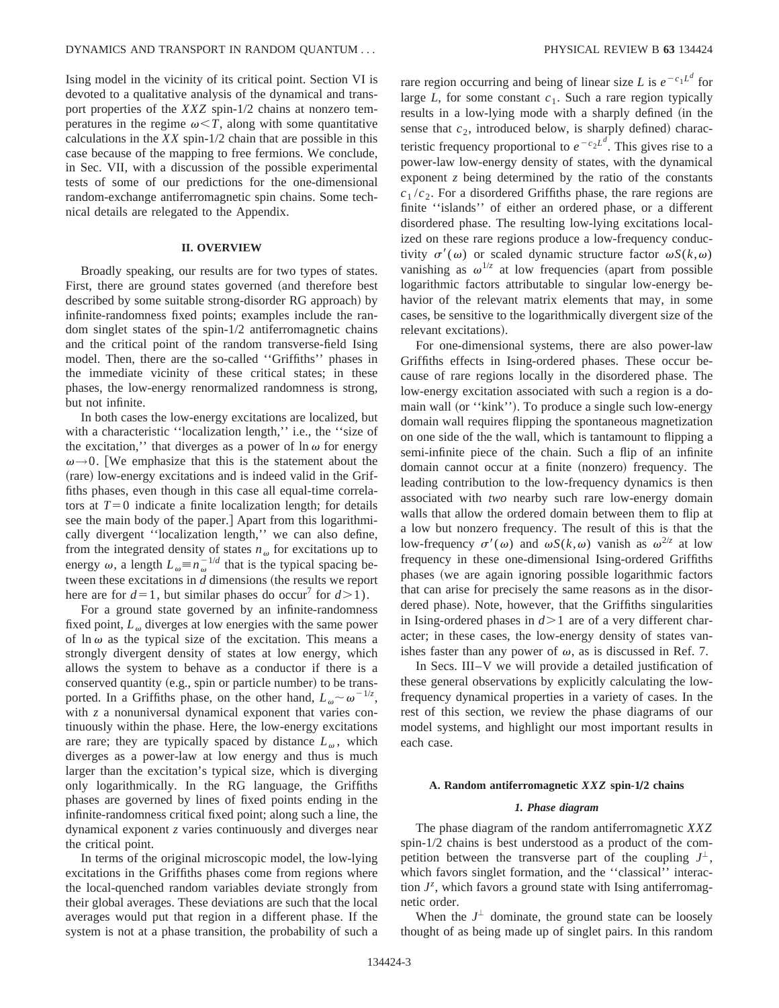Ising model in the vicinity of its critical point. Section VI is devoted to a qualitative analysis of the dynamical and transport properties of the *XXZ* spin-1/2 chains at nonzero temperatures in the regime  $\omega < T$ , along with some quantitative calculations in the *XX* spin-1/2 chain that are possible in this case because of the mapping to free fermions. We conclude, in Sec. VII, with a discussion of the possible experimental tests of some of our predictions for the one-dimensional random-exchange antiferromagnetic spin chains. Some technical details are relegated to the Appendix.

#### **II. OVERVIEW**

Broadly speaking, our results are for two types of states. First, there are ground states governed (and therefore best described by some suitable strong-disorder RG approach) by infinite-randomness fixed points; examples include the random singlet states of the spin-1/2 antiferromagnetic chains and the critical point of the random transverse-field Ising model. Then, there are the so-called ''Griffiths'' phases in the immediate vicinity of these critical states; in these phases, the low-energy renormalized randomness is strong, but not infinite.

In both cases the low-energy excitations are localized, but with a characteristic ''localization length,'' i.e., the ''size of the excitation," that diverges as a power of  $\ln \omega$  for energy  $\omega \rightarrow 0$ . [We emphasize that this is the statement about the (rare) low-energy excitations and is indeed valid in the Griffiths phases, even though in this case all equal-time correlators at  $T=0$  indicate a finite localization length; for details see the main body of the paper. Apart from this logarithmically divergent ''localization length,'' we can also define, from the integrated density of states  $n_{\omega}$  for excitations up to energy  $\omega$ , a length  $L_{\omega} = n_{\omega}^{-1/d}$  that is the typical spacing between these excitations in *d* dimensions (the results we report here are for  $d=1$ , but similar phases do occur<sup>7</sup> for  $d>1$ ).

For a ground state governed by an infinite-randomness fixed point,  $L_{\omega}$  diverges at low energies with the same power of  $\ln \omega$  as the typical size of the excitation. This means a strongly divergent density of states at low energy, which allows the system to behave as a conductor if there is a conserved quantity  $(e.g., spin or particle number)$  to be transported. In a Griffiths phase, on the other hand,  $L_{\omega} \sim \omega^{-1/z}$ , with *z* a nonuniversal dynamical exponent that varies continuously within the phase. Here, the low-energy excitations are rare; they are typically spaced by distance  $L_{\omega}$ , which diverges as a power-law at low energy and thus is much larger than the excitation's typical size, which is diverging only logarithmically. In the RG language, the Griffiths phases are governed by lines of fixed points ending in the infinite-randomness critical fixed point; along such a line, the dynamical exponent *z* varies continuously and diverges near the critical point.

In terms of the original microscopic model, the low-lying excitations in the Griffiths phases come from regions where the local-quenched random variables deviate strongly from their global averages. These deviations are such that the local averages would put that region in a different phase. If the system is not at a phase transition, the probability of such a

rare region occurring and being of linear size *L* is  $e^{-c_1L^d}$  for large  $L$ , for some constant  $c_1$ . Such a rare region typically results in a low-lying mode with a sharply defined (in the sense that  $c_2$ , introduced below, is sharply defined) characteristic frequency proportional to  $e^{-c_2L^d}$ . This gives rise to a power-law low-energy density of states, with the dynamical exponent *z* being determined by the ratio of the constants  $c_1/c_2$ . For a disordered Griffiths phase, the rare regions are finite ''islands'' of either an ordered phase, or a different disordered phase. The resulting low-lying excitations localized on these rare regions produce a low-frequency conductivity  $\sigma'(\omega)$  or scaled dynamic structure factor  $\omega S(k,\omega)$ vanishing as  $\omega^{1/z}$  at low frequencies (apart from possible logarithmic factors attributable to singular low-energy behavior of the relevant matrix elements that may, in some cases, be sensitive to the logarithmically divergent size of the relevant excitations).

For one-dimensional systems, there are also power-law Griffiths effects in Ising-ordered phases. These occur because of rare regions locally in the disordered phase. The low-energy excitation associated with such a region is a domain wall (or ''kink''). To produce a single such low-energy domain wall requires flipping the spontaneous magnetization on one side of the the wall, which is tantamount to flipping a semi-infinite piece of the chain. Such a flip of an infinite domain cannot occur at a finite (nonzero) frequency. The leading contribution to the low-frequency dynamics is then associated with *two* nearby such rare low-energy domain walls that allow the ordered domain between them to flip at a low but nonzero frequency. The result of this is that the low-frequency  $\sigma'(\omega)$  and  $\omega S(k,\omega)$  vanish as  $\omega^{2/z}$  at low frequency in these one-dimensional Ising-ordered Griffiths phases (we are again ignoring possible logarithmic factors that can arise for precisely the same reasons as in the disordered phase). Note, however, that the Griffiths singularities in Ising-ordered phases in  $d > 1$  are of a very different character; in these cases, the low-energy density of states vanishes faster than any power of  $\omega$ , as is discussed in Ref. 7.

In Secs. III–V we will provide a detailed justification of these general observations by explicitly calculating the lowfrequency dynamical properties in a variety of cases. In the rest of this section, we review the phase diagrams of our model systems, and highlight our most important results in each case.

#### **A. Random antiferromagnetic** *XXZ* **spin-1Õ2 chains**

#### *1. Phase diagram*

The phase diagram of the random antiferromagnetic *XXZ* spin-1/2 chains is best understood as a product of the competition between the transverse part of the coupling  $J^{\perp}$ , which favors singlet formation, and the "classical" interaction  $J^z$ , which favors a ground state with Ising antiferromagnetic order.

When the  $J^{\perp}$  dominate, the ground state can be loosely thought of as being made up of singlet pairs. In this random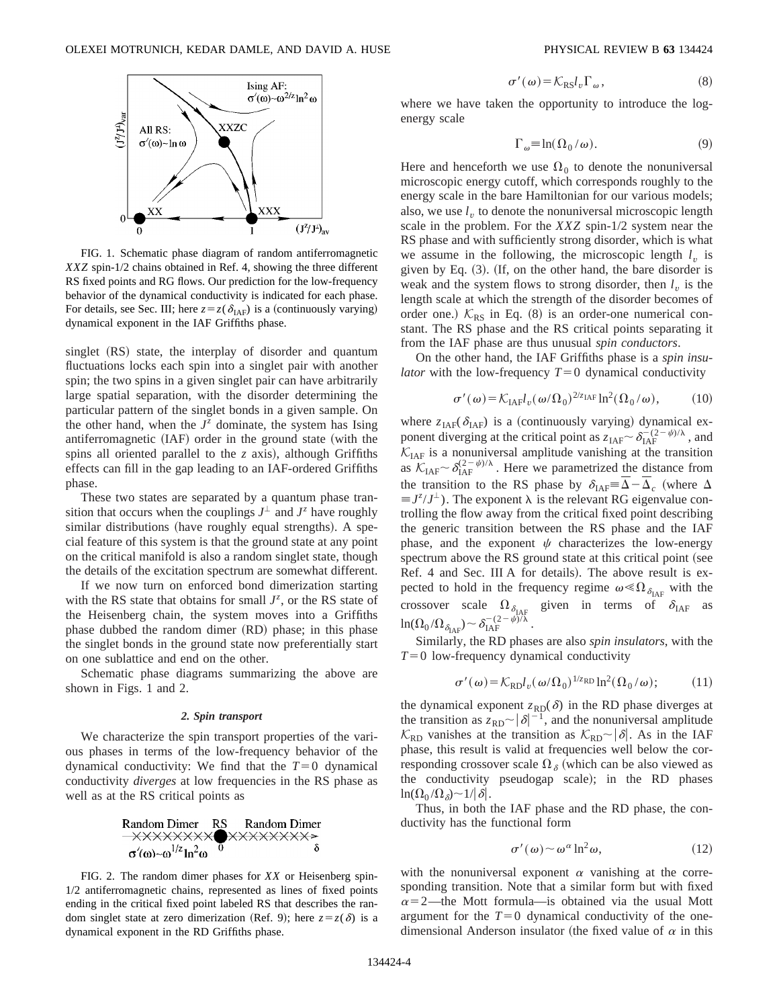

FIG. 1. Schematic phase diagram of random antiferromagnetic *XXZ* spin-1/2 chains obtained in Ref. 4, showing the three different RS fixed points and RG flows. Our prediction for the low-frequency behavior of the dynamical conductivity is indicated for each phase. For details, see Sec. III; here  $z = z(\delta_{IAF})$  is a (continuously varying) dynamical exponent in the IAF Griffiths phase.

singlet (RS) state, the interplay of disorder and quantum fluctuations locks each spin into a singlet pair with another spin; the two spins in a given singlet pair can have arbitrarily large spatial separation, with the disorder determining the particular pattern of the singlet bonds in a given sample. On the other hand, when the  $J^z$  dominate, the system has Ising antiferromagnetic  $(IAF)$  order in the ground state (with the spins all oriented parallel to the  $z$  axis), although Griffiths effects can fill in the gap leading to an IAF-ordered Griffiths phase.

These two states are separated by a quantum phase transition that occurs when the couplings  $J^{\perp}$  and  $J^{\infty}$  have roughly similar distributions (have roughly equal strengths). A special feature of this system is that the ground state at any point on the critical manifold is also a random singlet state, though the details of the excitation spectrum are somewhat different.

If we now turn on enforced bond dimerization starting with the RS state that obtains for small  $J^z$ , or the RS state of the Heisenberg chain, the system moves into a Griffiths phase dubbed the random dimer (RD) phase; in this phase the singlet bonds in the ground state now preferentially start on one sublattice and end on the other.

Schematic phase diagrams summarizing the above are shown in Figs. 1 and 2.

## *2. Spin transport*

We characterize the spin transport properties of the various phases in terms of the low-frequency behavior of the dynamical conductivity: We find that the  $T=0$  dynamical conductivity *diverges* at low frequencies in the RS phase as well as at the RS critical points as



FIG. 2. The random dimer phases for *XX* or Heisenberg spin-1/2 antiferromagnetic chains, represented as lines of fixed points ending in the critical fixed point labeled RS that describes the random singlet state at zero dimerization (Ref. 9); here  $z = z(\delta)$  is a dynamical exponent in the RD Griffiths phase.

$$
\sigma'(\omega) = \mathcal{K}_{\mathrm{RS}} l_v \Gamma_\omega, \tag{8}
$$

where we have taken the opportunity to introduce the logenergy scale

$$
\Gamma_{\omega} \equiv \ln(\Omega_0/\omega). \tag{9}
$$

Here and henceforth we use  $\Omega_0$  to denote the nonuniversal microscopic energy cutoff, which corresponds roughly to the energy scale in the bare Hamiltonian for our various models; also, we use  $l<sub>v</sub>$  to denote the nonuniversal microscopic length scale in the problem. For the *XXZ* spin-1/2 system near the RS phase and with sufficiently strong disorder, which is what we assume in the following, the microscopic length  $l<sub>v</sub>$  is given by Eq.  $(3)$ . (If, on the other hand, the bare disorder is weak and the system flows to strong disorder, then  $l<sub>v</sub>$  is the length scale at which the strength of the disorder becomes of order one.)  $K_{RS}$  in Eq. (8) is an order-one numerical constant. The RS phase and the RS critical points separating it from the IAF phase are thus unusual *spin conductors*.

On the other hand, the IAF Griffiths phase is a *spin insulator* with the low-frequency  $T=0$  dynamical conductivity

$$
\sigma'(\omega) = \mathcal{K}_{\text{IAF}} l_{\nu}(\omega/\Omega_0)^{2/z_{\text{IAF}}} \ln^2(\Omega_0/\omega),\tag{10}
$$

where  $z_{IAF}(\delta_{IAF})$  is a (continuously varying) dynamical exponent diverging at the critical point as  $z_{\text{IAF}} \sim \delta_{\text{IAF}}^{-(2-\psi)/\lambda}$ , and  $\mathcal{K}_{IAF}$  is a nonuniversal amplitude vanishing at the transition as  $\mathcal{K}_{IAF} \sim \delta_{IAF}^{(2-\psi)/\lambda}$ . Here we parametrized the distance from the transition to the RS phase by  $\delta_{\text{IAF}} = \Delta - \Delta_c$  (where  $\Delta$  $\equiv J^z / J^{\perp}$ ). The exponent  $\lambda$  is the relevant RG eigenvalue controlling the flow away from the critical fixed point describing the generic transition between the RS phase and the IAF phase, and the exponent  $\psi$  characterizes the low-energy spectrum above the RS ground state at this critical point (see Ref. 4 and Sec. III A for details). The above result is expected to hold in the frequency regime  $\omega \ll \Omega_{\delta_{\text{IAF}}}$  with the crossover scale  $\Omega_{\delta_{\text{IAF}}}$  given in terms of  $\delta_{\text{IAF}}$  as  $\ln(\Omega_0/\Omega_{\delta_{\mathrm{IAF}}}) \sim \delta_{\mathrm{IAF}}^{-(2-\psi)/\lambda}$  .

Similarly, the RD phases are also *spin insulators*, with the  $T=0$  low-frequency dynamical conductivity

$$
\sigma'(\omega) = \mathcal{K}_{\text{RD}} l_v(\omega/\Omega_0)^{1/\text{Z}_{\text{RD}}} \ln^2(\Omega_0/\omega); \tag{11}
$$

the dynamical exponent  $z_{RD}(\delta)$  in the RD phase diverges at the transition as  $z_{RD} \sim |\delta|^{-1}$ , and the nonuniversal amplitude  $\mathcal{K}_{RD}$  vanishes at the transition as  $\mathcal{K}_{RD} \sim |\delta|$ . As in the IAF phase, this result is valid at frequencies well below the corresponding crossover scale  $\Omega_{\delta}$  (which can be also viewed as the conductivity pseudogap scale); in the RD phases  $\ln(\Omega_0/\Omega_{\delta})\sim 1/|\delta|$ .

Thus, in both the IAF phase and the RD phase, the conductivity has the functional form

$$
\sigma'(\omega) \sim \omega^{\alpha} \ln^2 \omega, \tag{12}
$$

with the nonuniversal exponent  $\alpha$  vanishing at the corresponding transition. Note that a similar form but with fixed  $\alpha$ =2—the Mott formula—is obtained via the usual Mott argument for the  $T=0$  dynamical conductivity of the onedimensional Anderson insulator (the fixed value of  $\alpha$  in this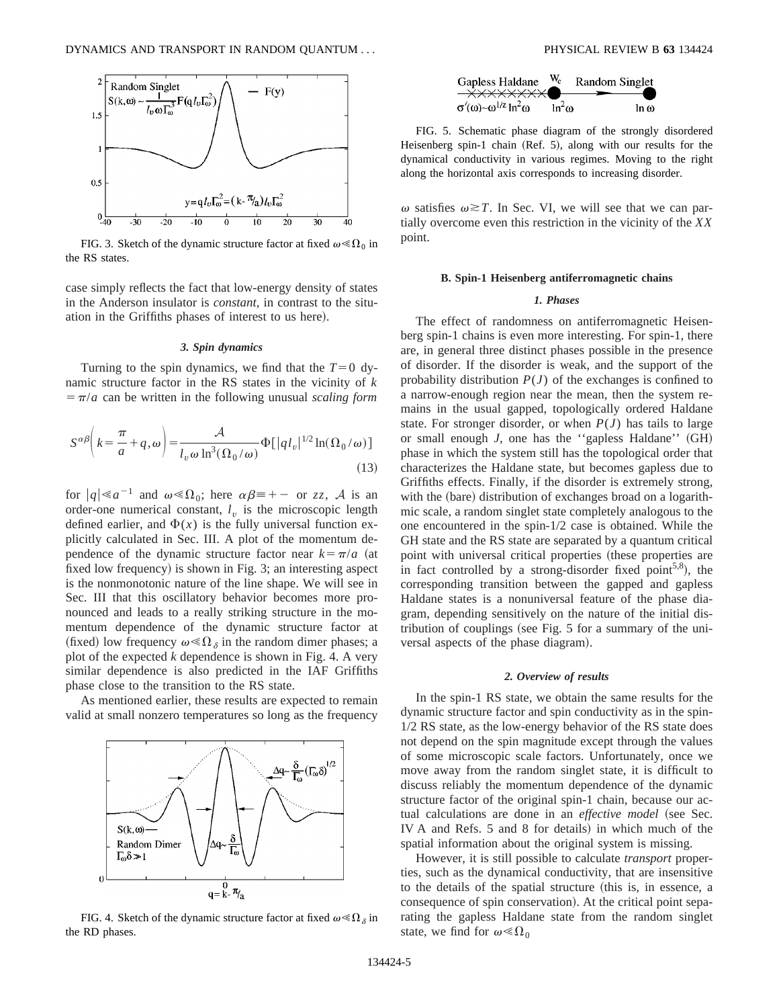

FIG. 3. Sketch of the dynamic structure factor at fixed  $\omega \ll \Omega_0$  in the RS states.

case simply reflects the fact that low-energy density of states in the Anderson insulator is *constant*, in contrast to the situation in the Griffiths phases of interest to us here).

#### *3. Spin dynamics*

Turning to the spin dynamics, we find that the  $T=0$  dynamic structure factor in the RS states in the vicinity of *k*  $\sqrt{\frac{\pi}{a}}$  can be written in the following unusual *scaling form* 

$$
S^{\alpha\beta}\bigg(k=\frac{\pi}{a}+q,\omega\bigg)=\frac{\mathcal{A}}{l_v\omega\ln^3(\Omega_0/\omega)}\Phi[|q l_v|^{1/2}\ln(\Omega_0/\omega)]\tag{13}
$$

for  $|q| \le a^{-1}$  and  $\omega \le \Omega_0$ ; here  $\alpha \beta = + -$  or *zz*, A is an order-one numerical constant,  $l_v$  is the microscopic length defined earlier, and  $\Phi(x)$  is the fully universal function explicitly calculated in Sec. III. A plot of the momentum dependence of the dynamic structure factor near  $k = \pi/a$  (at fixed low frequency) is shown in Fig. 3; an interesting aspect is the nonmonotonic nature of the line shape. We will see in Sec. III that this oscillatory behavior becomes more pronounced and leads to a really striking structure in the momentum dependence of the dynamic structure factor at (fixed) low frequency  $\omega \ll \Omega_{\delta}$  in the random dimer phases; a plot of the expected *k* dependence is shown in Fig. 4. A very similar dependence is also predicted in the IAF Griffiths phase close to the transition to the RS state.

As mentioned earlier, these results are expected to remain valid at small nonzero temperatures so long as the frequency



FIG. 4. Sketch of the dynamic structure factor at fixed  $\omega \ll \Omega_{\delta}$  in the RD phases.



FIG. 5. Schematic phase diagram of the strongly disordered Heisenberg spin-1 chain  $(Ref. 5)$ , along with our results for the dynamical conductivity in various regimes. Moving to the right along the horizontal axis corresponds to increasing disorder.

 $\omega$  satisfies  $\omega \geq T$ . In Sec. VI, we will see that we can partially overcome even this restriction in the vicinity of the *XX* point.

# **B. Spin-1 Heisenberg antiferromagnetic chains**

# *1. Phases*

The effect of randomness on antiferromagnetic Heisenberg spin-1 chains is even more interesting. For spin-1, there are, in general three distinct phases possible in the presence of disorder. If the disorder is weak, and the support of the probability distribution  $P(J)$  of the exchanges is confined to a narrow-enough region near the mean, then the system remains in the usual gapped, topologically ordered Haldane state. For stronger disorder, or when  $P(J)$  has tails to large or small enough *J*, one has the "gapless Haldane" (GH) phase in which the system still has the topological order that characterizes the Haldane state, but becomes gapless due to Griffiths effects. Finally, if the disorder is extremely strong, with the (bare) distribution of exchanges broad on a logarithmic scale, a random singlet state completely analogous to the one encountered in the spin-1/2 case is obtained. While the GH state and the RS state are separated by a quantum critical point with universal critical properties (these properties are in fact controlled by a strong-disorder fixed point<sup>5,8</sup>), the corresponding transition between the gapped and gapless Haldane states is a nonuniversal feature of the phase diagram, depending sensitively on the nature of the initial distribution of couplings (see Fig.  $5$  for a summary of the universal aspects of the phase diagram).

#### *2. Overview of results*

In the spin-1 RS state, we obtain the same results for the dynamic structure factor and spin conductivity as in the spin-1/2 RS state, as the low-energy behavior of the RS state does not depend on the spin magnitude except through the values of some microscopic scale factors. Unfortunately, once we move away from the random singlet state, it is difficult to discuss reliably the momentum dependence of the dynamic structure factor of the original spin-1 chain, because our actual calculations are done in an *effective model* (see Sec. IV A and Refs. 5 and 8 for details) in which much of the spatial information about the original system is missing.

However, it is still possible to calculate *transport* properties, such as the dynamical conductivity, that are insensitive to the details of the spatial structure (this is, in essence, a consequence of spin conservation). At the critical point separating the gapless Haldane state from the random singlet state, we find for  $\omega \ll \Omega_0$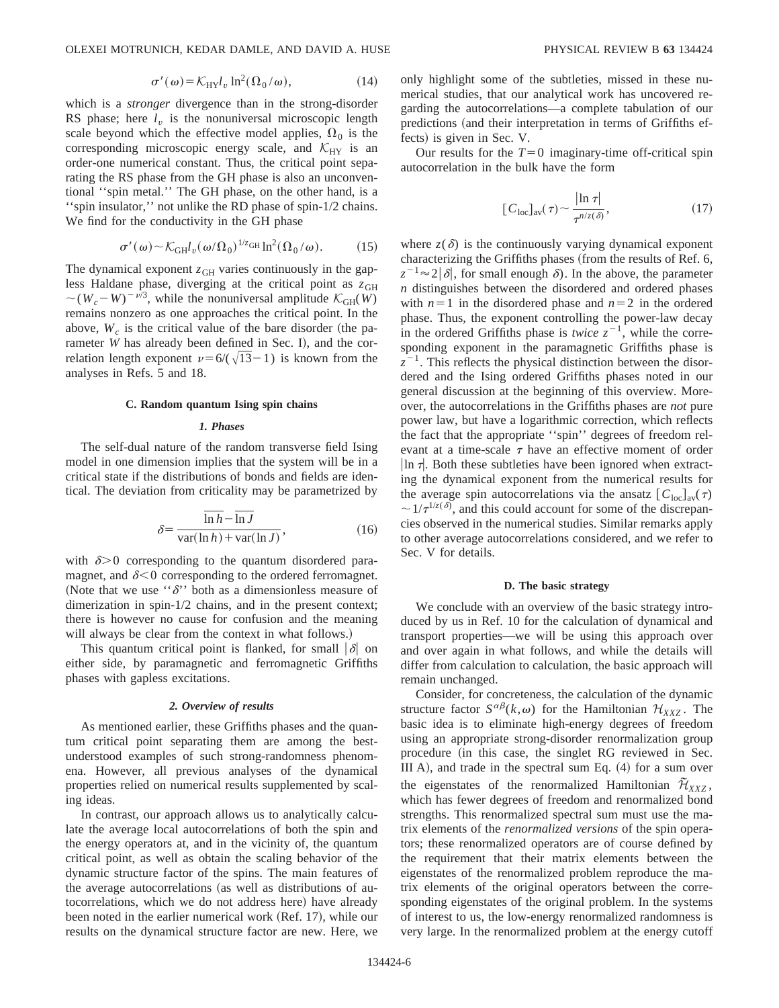$$
\sigma'(\omega) = \mathcal{K}_{\mathrm{HY}} l_v \ln^2(\Omega_0/\omega),\tag{14}
$$

which is a *stronger* divergence than in the strong-disorder RS phase; here  $l_v$  is the nonuniversal microscopic length scale beyond which the effective model applies,  $\Omega_0$  is the corresponding microscopic energy scale, and  $K_{\text{HY}}$  is an order-one numerical constant. Thus, the critical point separating the RS phase from the GH phase is also an unconventional ''spin metal.'' The GH phase, on the other hand, is a ''spin insulator,'' not unlike the RD phase of spin-1/2 chains. We find for the conductivity in the GH phase

$$
\sigma'(\omega) \sim \mathcal{K}_{GH} l_v(\omega/\Omega_0)^{1/z_{GH}} \ln^2(\Omega_0/\omega).
$$
 (15)

The dynamical exponent  $z<sub>GH</sub>$  varies continuously in the gapless Haldane phase, diverging at the critical point as  $z_{GH}$  $\sim (W_c-W)^{-\nu/3}$ , while the nonuniversal amplitude  $\mathcal{K}_{GH}(W)$ remains nonzero as one approaches the critical point. In the above,  $W_c$  is the critical value of the bare disorder (the parameter *W* has already been defined in Sec. I), and the correlation length exponent  $\nu=6/(\sqrt{13}-1)$  is known from the analyses in Refs. 5 and 18.

#### **C. Random quantum Ising spin chains**

# *1. Phases*

The self-dual nature of the random transverse field Ising model in one dimension implies that the system will be in a critical state if the distributions of bonds and fields are identical. The deviation from criticality may be parametrized by

$$
\delta = \frac{\overline{\ln h} - \overline{\ln J}}{\text{var}(\ln h) + \text{var}(\ln J)},\tag{16}
$$

with  $\delta$  > 0 corresponding to the quantum disordered paramagnet, and  $\delta$ <0 corresponding to the ordered ferromagnet. (Note that we use " $\delta$ " both as a dimensionless measure of dimerization in spin-1/2 chains, and in the present context; there is however no cause for confusion and the meaning will always be clear from the context in what follows.)

This quantum critical point is flanked, for small  $|\delta|$  on either side, by paramagnetic and ferromagnetic Griffiths phases with gapless excitations.

# *2. Overview of results*

As mentioned earlier, these Griffiths phases and the quantum critical point separating them are among the bestunderstood examples of such strong-randomness phenomena. However, all previous analyses of the dynamical properties relied on numerical results supplemented by scaling ideas.

In contrast, our approach allows us to analytically calculate the average local autocorrelations of both the spin and the energy operators at, and in the vicinity of, the quantum critical point, as well as obtain the scaling behavior of the dynamic structure factor of the spins. The main features of the average autocorrelations (as well as distributions of autocorrelations, which we do not address here) have already been noted in the earlier numerical work (Ref. 17), while our results on the dynamical structure factor are new. Here, we only highlight some of the subtleties, missed in these numerical studies, that our analytical work has uncovered regarding the autocorrelations—a complete tabulation of our predictions (and their interpretation in terms of Griffiths effects) is given in Sec. V.

Our results for the  $T=0$  imaginary-time off-critical spin autocorrelation in the bulk have the form

$$
[C_{\text{loc}}]_{\text{av}}(\tau) \sim \frac{|\ln \tau|}{\tau^{n/z(\delta)}},\tag{17}
$$

where  $z(\delta)$  is the continuously varying dynamical exponent characterizing the Griffiths phases (from the results of Ref. 6,  $z^{-1} \approx 2|\delta|$ , for small enough  $\delta$ ). In the above, the parameter *n* distinguishes between the disordered and ordered phases with  $n=1$  in the disordered phase and  $n=2$  in the ordered phase. Thus, the exponent controlling the power-law decay in the ordered Griffiths phase is *twice*  $z^{-1}$ , while the corresponding exponent in the paramagnetic Griffiths phase is  $z^{-1}$ . This reflects the physical distinction between the disordered and the Ising ordered Griffiths phases noted in our general discussion at the beginning of this overview. Moreover, the autocorrelations in the Griffiths phases are *not* pure power law, but have a logarithmic correction, which reflects the fact that the appropriate ''spin'' degrees of freedom relevant at a time-scale  $\tau$  have an effective moment of order  $\ln \tau$ . Both these subtleties have been ignored when extracting the dynamical exponent from the numerical results for the average spin autocorrelations via the ansatz  $\left[ C_{\text{loc}} \right]_{\text{av}}(\tau)$  $\sim 1/\tau^{1/z(\delta)}$ , and this could account for some of the discrepancies observed in the numerical studies. Similar remarks apply to other average autocorrelations considered, and we refer to Sec. V for details.

#### **D. The basic strategy**

We conclude with an overview of the basic strategy introduced by us in Ref. 10 for the calculation of dynamical and transport properties—we will be using this approach over and over again in what follows, and while the details will differ from calculation to calculation, the basic approach will remain unchanged.

Consider, for concreteness, the calculation of the dynamic structure factor  $S^{\alpha\beta}(k,\omega)$  for the Hamiltonian  $\mathcal{H}_{XXZ}$ . The basic idea is to eliminate high-energy degrees of freedom using an appropriate strong-disorder renormalization group procedure (in this case, the singlet RG reviewed in Sec. III A), and trade in the spectral sum Eq.  $(4)$  for a sum over the eigenstates of the renormalized Hamiltonian  $\tilde{\mathcal{H}}_{YYZ}$ , which has fewer degrees of freedom and renormalized bond strengths. This renormalized spectral sum must use the matrix elements of the *renormalized versions* of the spin operators; these renormalized operators are of course defined by the requirement that their matrix elements between the eigenstates of the renormalized problem reproduce the matrix elements of the original operators between the corresponding eigenstates of the original problem. In the systems of interest to us, the low-energy renormalized randomness is very large. In the renormalized problem at the energy cutoff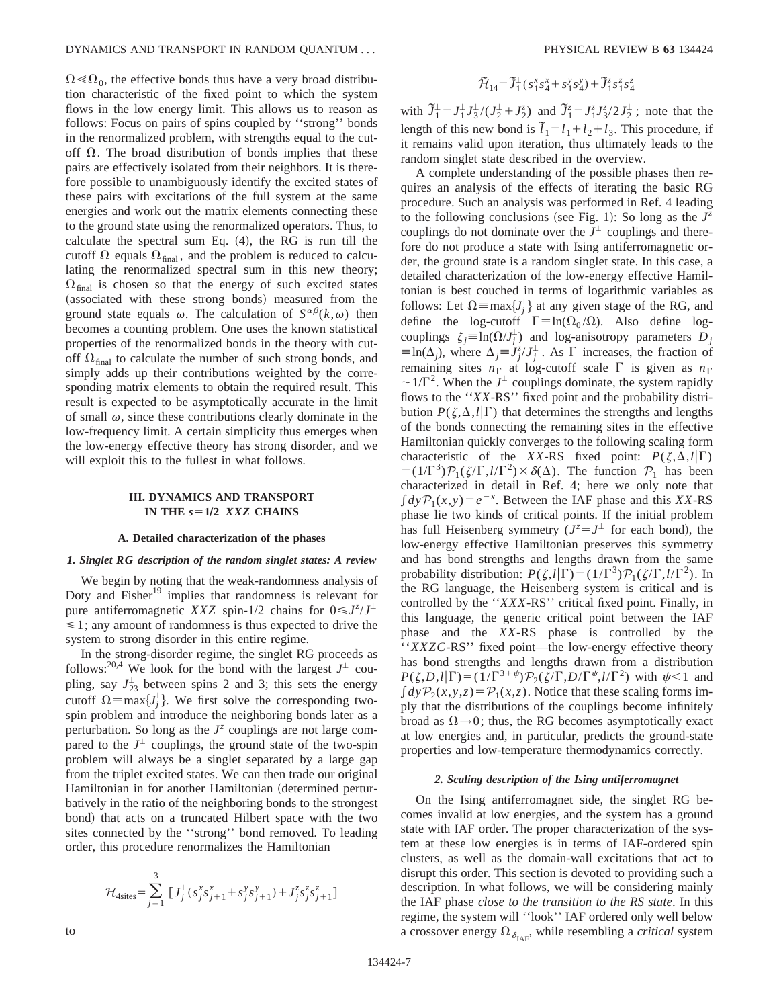$\Omega \ll \Omega_0$ , the effective bonds thus have a very broad distribution characteristic of the fixed point to which the system flows in the low energy limit. This allows us to reason as follows: Focus on pairs of spins coupled by ''strong'' bonds in the renormalized problem, with strengths equal to the cutoff  $\Omega$ . The broad distribution of bonds implies that these pairs are effectively isolated from their neighbors. It is therefore possible to unambiguously identify the excited states of these pairs with excitations of the full system at the same energies and work out the matrix elements connecting these to the ground state using the renormalized operators. Thus, to calculate the spectral sum Eq.  $(4)$ , the RG is run till the cutoff  $\Omega$  equals  $\Omega_{final}$ , and the problem is reduced to calculating the renormalized spectral sum in this new theory;  $\Omega_{\text{final}}$  is chosen so that the energy of such excited states (associated with these strong bonds) measured from the ground state equals  $\omega$ . The calculation of  $S^{\alpha\beta}(k,\omega)$  then becomes a counting problem. One uses the known statistical properties of the renormalized bonds in the theory with cutoff  $\Omega_{\text{final}}$  to calculate the number of such strong bonds, and simply adds up their contributions weighted by the corresponding matrix elements to obtain the required result. This result is expected to be asymptotically accurate in the limit of small  $\omega$ , since these contributions clearly dominate in the low-frequency limit. A certain simplicity thus emerges when the low-energy effective theory has strong disorder, and we will exploit this to the fullest in what follows.

# **III. DYNAMICS AND TRANSPORT IN THE**  $s = 1/2$  *XXZ* **CHAINS**

## **A. Detailed characterization of the phases**

## *1. Singlet RG description of the random singlet states: A review*

We begin by noting that the weak-randomness analysis of Doty and Fisher<sup>19</sup> implies that randomness is relevant for pure antiferromagnetic *XXZ* spin-1/2 chains for  $0 \le J^z/J^{\perp}$  $\leq 1$ ; any amount of randomness is thus expected to drive the system to strong disorder in this entire regime.

In the strong-disorder regime, the singlet RG proceeds as follows:<sup>20,4</sup> We look for the bond with the largest  $J^{\perp}$  coupling, say  $J_{23}^{\perp}$  between spins 2 and 3; this sets the energy cutoff  $\Omega = \max\{J_j^{\perp}\}\$ . We first solve the corresponding twospin problem and introduce the neighboring bonds later as a perturbation. So long as the  $J^z$  couplings are not large compared to the  $J^{\perp}$  couplings, the ground state of the two-spin problem will always be a singlet separated by a large gap from the triplet excited states. We can then trade our original Hamiltonian in for another Hamiltonian (determined perturbatively in the ratio of the neighboring bonds to the strongest bond) that acts on a truncated Hilbert space with the two sites connected by the ''strong'' bond removed. To leading order, this procedure renormalizes the Hamiltonian

$$
\mathcal{H}_{4\text{sites}} = \sum_{j=1}^{3} \left[ J_j^{\perp} (s_j^x s_{j+1}^x + s_j^y s_{j+1}^y) + J_j^z s_j^z s_{j+1}^z \right]
$$

$$
\widetilde{\mathcal{H}}_{14} = \widetilde{\mathcal{J}}_1^{\perp} \left( s_1^x s_4^x + s_1^y s_4^y \right) + \widetilde{\mathcal{J}}_1^z s_1^z s_4^z
$$

with  $\tilde{J}_1^{\perp} = J_1^{\perp} J_3^{\perp}/(J_2^{\perp} + J_2^{\zeta})$  and  $\tilde{J}_1^z = J_1^z J_3^z / 2 J_2^{\perp}$ ; note that the length of this new bond is  $\overline{l}_1 = l_1 + l_2 + l_3$ . This procedure, if it remains valid upon iteration, thus ultimately leads to the random singlet state described in the overview.

A complete understanding of the possible phases then requires an analysis of the effects of iterating the basic RG procedure. Such an analysis was performed in Ref. 4 leading to the following conclusions (see Fig. 1): So long as the  $J^z$ couplings do not dominate over the  $J^{\perp}$  couplings and therefore do not produce a state with Ising antiferromagnetic order, the ground state is a random singlet state. In this case, a detailed characterization of the low-energy effective Hamiltonian is best couched in terms of logarithmic variables as follows: Let  $\Omega = \max\{J_j^{\perp}\}\$ at any given stage of the RG, and define the log-cutoff  $\Gamma \equiv \ln(\Omega_0 / \Omega)$ . Also define logcouplings  $\zeta_j \equiv \ln(\Omega/J_j^{\perp})$  and log-anisotropy parameters  $D_j$  $\equiv \ln(\Delta_j)$ , where  $\Delta_j = J_j^z / J_j^{\perp}$ . As  $\Gamma$  increases, the fraction of remaining sites  $n_{\Gamma}$  at log-cutoff scale  $\Gamma$  is given as  $n_{\Gamma}$  $\sim 1/\Gamma^2$ . When the  $J^{\perp}$  couplings dominate, the system rapidly flows to the ''*XX*-RS'' fixed point and the probability distribution  $P(\zeta,\Delta,l|\Gamma)$  that determines the strengths and lengths of the bonds connecting the remaining sites in the effective Hamiltonian quickly converges to the following scaling form characteristic of the *XX*-RS fixed point:  $P(\zeta,\Delta,l|\Gamma)$  $= (1/\Gamma^3)\mathcal{P}_1(\zeta/\Gamma,\ell/\Gamma^2) \times \delta(\Delta)$ . The function  $\mathcal{P}_1$  has been characterized in detail in Ref. 4; here we only note that  $\int dy \mathcal{P}_1(x, y) = e^{-x}$ . Between the IAF phase and this *XX*-RS phase lie two kinds of critical points. If the initial problem has full Heisenberg symmetry  $(J^z = J^{\perp})$  for each bond), the low-energy effective Hamiltonian preserves this symmetry and has bond strengths and lengths drawn from the same probability distribution:  $P(\zeta, l|\Gamma) = (1/\Gamma^3)P_1(\zeta/\Gamma, l/\Gamma^2)$ . In the RG language, the Heisenberg system is critical and is controlled by the ''*XXX*-RS'' critical fixed point. Finally, in this language, the generic critical point between the IAF phase and the *XX*-RS phase is controlled by the ''*XXZC*-RS'' fixed point—the low-energy effective theory has bond strengths and lengths drawn from a distribution  $P(\zeta, D, I|\Gamma) = (1/\Gamma^{3+\psi})\mathcal{P}_2(\zeta/\Gamma, D/\Gamma^{\psi}, I/\Gamma^2)$  with  $\psi$  < 1 and  $\int dy \mathcal{P}_2(x, y, z) = \mathcal{P}_1(x, z)$ . Notice that these scaling forms imply that the distributions of the couplings become infinitely broad as  $\Omega \rightarrow 0$ ; thus, the RG becomes asymptotically exact at low energies and, in particular, predicts the ground-state properties and low-temperature thermodynamics correctly.

#### *2. Scaling description of the Ising antiferromagnet*

On the Ising antiferromagnet side, the singlet RG becomes invalid at low energies, and the system has a ground state with IAF order. The proper characterization of the system at these low energies is in terms of IAF-ordered spin clusters, as well as the domain-wall excitations that act to disrupt this order. This section is devoted to providing such a description. In what follows, we will be considering mainly the IAF phase *close to the transition to the RS state*. In this regime, the system will ''look'' IAF ordered only well below a crossover energy  $\Omega_{\delta_{\text{IAF}}}$ , while resembling a *critical* system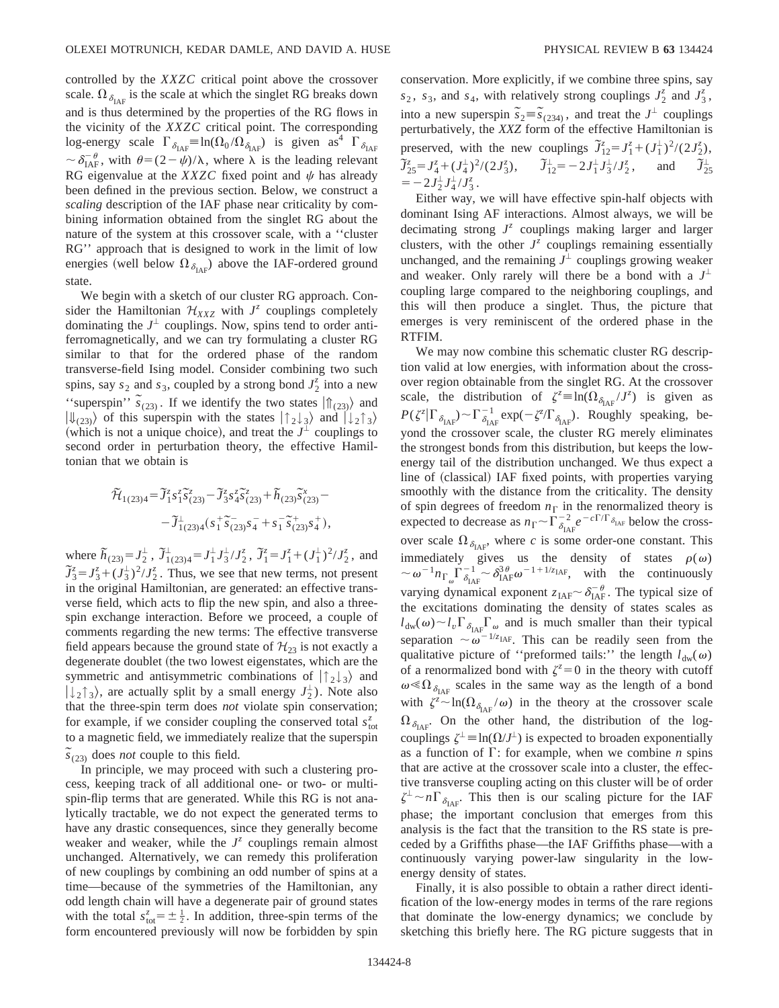controlled by the *XXZC* critical point above the crossover scale.  $\Omega_{\delta_{\text{LAE}}}$  is the scale at which the singlet RG breaks down and is thus determined by the properties of the RG flows in the vicinity of the *XXZC* critical point. The corresponding log-energy scale  $\Gamma_{\delta_{\text{IAF}}} = \ln(\Omega_0 / \Omega_{\delta_{\text{IAF}}})$  is given as  $\Gamma_{\delta_{\text{IAF}}}$  $\sim \delta_{\text{IAF}}^{-\theta}$ , with  $\theta = (2 - \psi)/\lambda$ , where  $\lambda$  is the leading relevant RG eigenvalue at the *XXZC* fixed point and  $\psi$  has already been defined in the previous section. Below, we construct a *scaling* description of the IAF phase near criticality by combining information obtained from the singlet RG about the nature of the system at this crossover scale, with a ''cluster RG'' approach that is designed to work in the limit of low energies (well below  $\Omega_{\delta_{\text{IAF}}}$ ) above the IAF-ordered ground state.

We begin with a sketch of our cluster RG approach. Consider the Hamiltonian  $\mathcal{H}_{XXZ}$  with  $J^z$  couplings completely dominating the  $J^{\perp}$  couplings. Now, spins tend to order antiferromagnetically, and we can try formulating a cluster RG similar to that for the ordered phase of the random transverse-field Ising model. Consider combining two such spins, say  $s_2$  and  $s_3$ , coupled by a strong bond  $J_2^{\overline{z}}$  into a new "superspin<sup>"</sup>,  $\overline{s}_{(23)}$ . If we identify the two states  $|\hat{\mathbb{T}}_{(23)}\rangle$  and  $|\Downarrow_{(23)}\rangle$  of this superspin with the states  $|\uparrow_{2}\downarrow_{3}\rangle$  and  $|\downarrow_{2}\uparrow_{3}\rangle$ (which is not a unique choice), and treat the  $J^{\perp}$  couplings to second order in perturbation theory, the effective Hamiltonian that we obtain is

$$
\begin{aligned} \widetilde{\mathcal{H}}_{1(23)4} &= \widetilde{J}_1^z s_1^z \widetilde{s}_{(23)}^z - \widetilde{J}_3^z s_4^z \widetilde{s}_{(23)}^z + \widetilde{h}_{(23)} \widetilde{s}_{(23)}^x - \\ &- \widetilde{J}_{1(23)4}^{\perp} \left( s_1^+ \widetilde{s}_{(23)}^- s_4^- + s_1^- \widetilde{s}_{(23)}^+ s_4^+ \right), \end{aligned}
$$

where  $\tilde{h}_{(23)} = J_2^{\perp}$ ,  $\tilde{J}_{1(23)4}^{\perp} = J_1^{\perp} J_3^{\perp} / J_2^{\zeta}$ ,  $\tilde{J}_1^{\zeta} = J_1^{\zeta} + (J_1^{\perp})^2 / J_2^{\zeta}$ , and  $\tilde{J}_3^z = J_3^z + (J_3^1)^2 / J_2^z$ . Thus, we see that new terms, not present in the original Hamiltonian, are generated: an effective transverse field, which acts to flip the new spin, and also a threespin exchange interaction. Before we proceed, a couple of comments regarding the new terms: The effective transverse field appears because the ground state of  $\mathcal{H}_{23}$  is not exactly a degenerate doublet (the two lowest eigenstates, which are the symmetric and antisymmetric combinations of  $|\uparrow_2\downarrow_3\rangle$  and  $|\downarrow_2\uparrow_3\rangle$ , are actually split by a small energy  $J_2^{\perp}$ ). Note also that the three-spin term does *not* violate spin conservation; for example, if we consider coupling the conserved total  $s_{\text{tot}}^z$ to a magnetic field, we immediately realize that the superspin  $\widetilde{s}_{(23)}$  does *not* couple to this field.

In principle, we may proceed with such a clustering process, keeping track of all additional one- or two- or multispin-flip terms that are generated. While this RG is not analytically tractable, we do not expect the generated terms to have any drastic consequences, since they generally become weaker and weaker, while the  $J^z$  couplings remain almost unchanged. Alternatively, we can remedy this proliferation of new couplings by combining an odd number of spins at a time—because of the symmetries of the Hamiltonian, any odd length chain will have a degenerate pair of ground states with the total  $s_{\text{tot}}^z = \pm \frac{1}{2}$ . In addition, three-spin terms of the form encountered previously will now be forbidden by spin conservation. More explicitly, if we combine three spins, say  $s_2$ ,  $s_3$ , and  $s_4$ , with relatively strong couplings  $J_2^z$  and  $J_3^z$ , into a new superspin  $\tilde{s}_2 = \tilde{s}_{(234)}$ , and treat the  $J^{\perp}$  couplings perturbatively, the *XXZ* form of the effective Hamiltonian is preserved, with the new couplings  $\tilde{J}_{12}^z = J_1^z + (J_1^{\perp})^2/(2J_2^z)$ ,  $\tilde{J}_{25}^z = J_4^z + (J_4^{\perp})^2/(2J_3^z)$ ,  $\tilde{J}_{12}^{\perp} = -2J_1^{\perp}J_3^{\perp}/J_2^z$ , and  $\tilde{J}$  $\tilde{J}^\perp_{25}$  $=-2J_2^{\perp}J_4^{\perp}/J_3^z$ .

Either way, we will have effective spin-half objects with dominant Ising AF interactions. Almost always, we will be decimating strong *J<sup>z</sup>* couplings making larger and larger clusters, with the other  $J^z$  couplings remaining essentially unchanged, and the remaining  $J^{\perp}$  couplings growing weaker and weaker. Only rarely will there be a bond with a  $J^{\perp}$ coupling large compared to the neighboring couplings, and this will then produce a singlet. Thus, the picture that emerges is very reminiscent of the ordered phase in the RTFIM.

We may now combine this schematic cluster RG description valid at low energies, with information about the crossover region obtainable from the singlet RG. At the crossover scale, the distribution of  $\zeta^z \equiv \ln(\Omega_{\delta_{\text{IAF}}}/J^z)$  is given as  $P(\zeta^z | \Gamma_{\delta_{\text{IAF}}}) \sim \Gamma_{\delta_{\text{IAF}}}^{-1} \exp(-\zeta^z/\Gamma_{\delta_{\text{IAF}}})$ . Roughly speaking, beyond the crossover scale, the cluster RG merely eliminates the strongest bonds from this distribution, but keeps the lowenergy tail of the distribution unchanged. We thus expect a line of (classical) IAF fixed points, with properties varying smoothly with the distance from the criticality. The density of spin degrees of freedom  $n_{\Gamma}$  in the renormalized theory is expected to decrease as  $n_{\Gamma} \sim \Gamma_{\delta_{\text{IAF}}}^{-2} e^{-c\Gamma/\Gamma_{\delta_{\text{IAF}}}}$  below the crossover scale  $\Omega_{\delta_{\text{IAP}}}$ , where *c* is some order-one constant. This immediately gives us the density of states  $\rho(\omega)$  $\sim \omega^{-1} n_{\Gamma_{\omega}} \Gamma_{\delta_{\text{IAF}}}^{-1} \sim \delta_{\text{IAF}}^{3\theta} \omega^{-1+1/z_{\text{IAF}}}$ , with the continuously varying dynamical exponent  $z_{\text{IAF}} \sim \delta_{\text{IAF}}^{-\theta}$ . The typical size of the excitations dominating the density of states scales as  $l_{dw}(\omega) \sim l_v \Gamma_{\delta_{IAF}} \Gamma_{\omega}$  and is much smaller than their typical separation  $\sim \omega^{-1/z_{\text{IAF}}}$ . This can be readily seen from the qualitative picture of "preformed tails:" the length  $l_{dw}(\omega)$ of a renormalized bond with  $\zeta^z = 0$  in the theory with cutoff  $\omega \ll \Omega_{\delta_{\text{IAF}}}$  scales in the same way as the length of a bond with  $\zeta^z \sim \ln(\Omega_{\delta_{\text{IAF}}} / \omega)$  in the theory at the crossover scale  $\Omega_{\delta_{\text{IAE}}}$ . On the other hand, the distribution of the logcouplings  $\zeta^{\perp} \equiv \ln(\Omega/J^{\perp})$  is expected to broaden exponentially as a function of  $\Gamma$ : for example, when we combine *n* spins that are active at the crossover scale into a cluster, the effective transverse coupling acting on this cluster will be of order  $\zeta^{\perp} \sim n\Gamma_{\delta_{\text{IAF}}}$ . This then is our scaling picture for the IAF phase; the important conclusion that emerges from this analysis is the fact that the transition to the RS state is preceded by a Griffiths phase—the IAF Griffiths phase—with a continuously varying power-law singularity in the lowenergy density of states.

Finally, it is also possible to obtain a rather direct identification of the low-energy modes in terms of the rare regions that dominate the low-energy dynamics; we conclude by sketching this briefly here. The RG picture suggests that in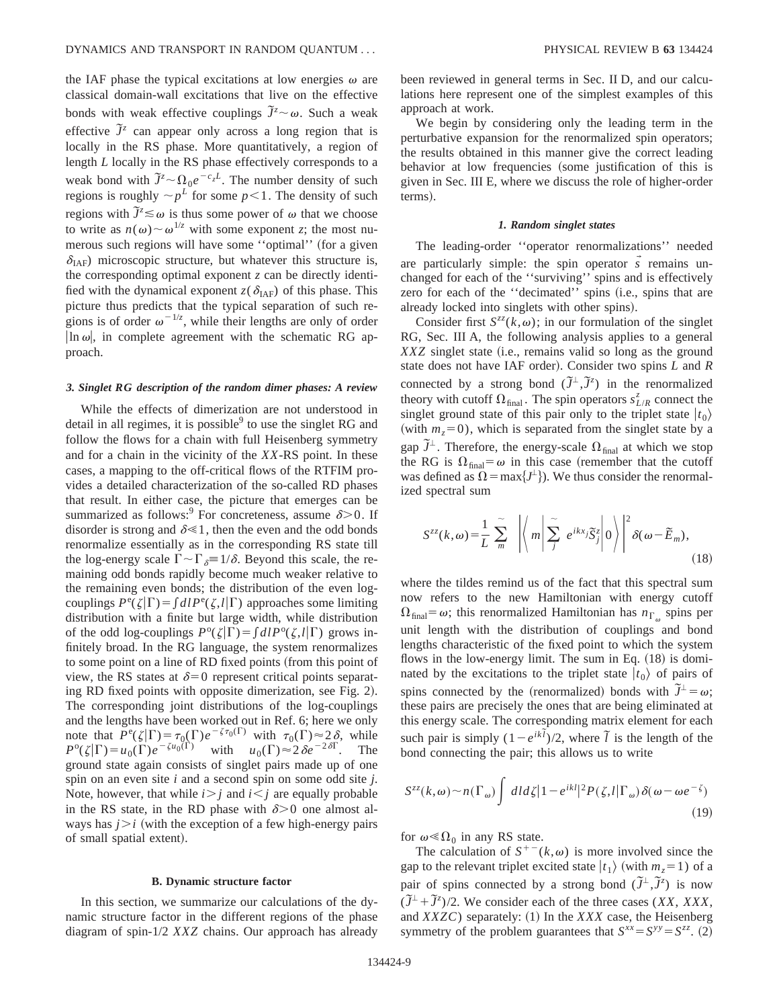the IAF phase the typical excitations at low energies  $\omega$  are classical domain-wall excitations that live on the effective bonds with weak effective couplings  $\tilde{J}^z \sim \omega$ . Such a weak effective  $\tilde{J}^z$  can appear only across a long region that is locally in the RS phase. More quantitatively, a region of length *L* locally in the RS phase effectively corresponds to a weak bond with  $\tilde{J}^z \sim \Omega_0 e^{-c_z L}$ . The number density of such regions is roughly  $\sim p^L$  for some  $p < 1$ . The density of such regions with  $\overline{J^z} \leq \omega$  is thus some power of  $\omega$  that we choose to write as  $n(\omega) \sim \omega^{1/z}$  with some exponent *z*; the most numerous such regions will have some "optimal" (for a given  $\delta_{\text{IAF}}$ ) microscopic structure, but whatever this structure is, the corresponding optimal exponent *z* can be directly identified with the dynamical exponent  $z(\delta_{\text{IAF}})$  of this phase. This picture thus predicts that the typical separation of such regions is of order  $\omega^{-1/z}$ , while their lengths are only of order  $\ln \omega$ , in complete agreement with the schematic RG approach.

#### *3. Singlet RG description of the random dimer phases: A review*

While the effects of dimerization are not understood in detail in all regimes, it is possible $9$  to use the singlet RG and follow the flows for a chain with full Heisenberg symmetry and for a chain in the vicinity of the *XX*-RS point. In these cases, a mapping to the off-critical flows of the RTFIM provides a detailed characterization of the so-called RD phases that result. In either case, the picture that emerges can be summarized as follows:<sup>9</sup> For concreteness, assume  $\delta$  > 0. If disorder is strong and  $\delta \ll 1$ , then the even and the odd bonds renormalize essentially as in the corresponding RS state till the log-energy scale  $\Gamma \sim \Gamma_{\delta} = 1/\delta$ . Beyond this scale, the remaining odd bonds rapidly become much weaker relative to the remaining even bonds; the distribution of the even logcouplings  $P^e(\zeta|\Gamma) = \int dI P^e(\zeta, l|\Gamma)$  approaches some limiting distribution with a finite but large width, while distribution of the odd log-couplings  $P^{\circ}(\zeta|\Gamma) = \int d\zeta P^{\circ}(\zeta,\zeta|\Gamma)$  grows infinitely broad. In the RG language, the system renormalizes to some point on a line of RD fixed points (from this point of view, the RS states at  $\delta=0$  represent critical points separating RD fixed points with opposite dimerization, see Fig. 2). The corresponding joint distributions of the log-couplings and the lengths have been worked out in Ref. 6; here we only note that  $P^e(\zeta|\Gamma) = \tau_0(\Gamma)e^{-\zeta\tau_0(\Gamma)}$  with  $\tau_0(\Gamma) \approx 2\delta$ , while  $P^{\circ}(\zeta|\Gamma) = u_0(\Gamma)e^{-\zeta u_0(\Gamma)}$  with  $u_0(\Gamma) \approx 2\delta e^{-2\delta\Gamma}$ . The ground state again consists of singlet pairs made up of one spin on an even site *i* and a second spin on some odd site *j*. Note, however, that while  $i > j$  and  $i < j$  are equally probable in the RS state, in the RD phase with  $\delta$  > 0 one almost always has  $j > i$  (with the exception of a few high-energy pairs of small spatial extent).

# **B. Dynamic structure factor**

In this section, we summarize our calculations of the dynamic structure factor in the different regions of the phase diagram of spin-1/2 *XXZ* chains. Our approach has already been reviewed in general terms in Sec. II D, and our calculations here represent one of the simplest examples of this approach at work.

We begin by considering only the leading term in the perturbative expansion for the renormalized spin operators; the results obtained in this manner give the correct leading behavior at low frequencies (some justification of this is given in Sec. III E, where we discuss the role of higher-order terms).

### *1. Random singlet states*

The leading-order ''operator renormalizations'' needed are particularly simple: the spin operator  $\vec{s}$  remains unchanged for each of the ''surviving'' spins and is effectively zero for each of the "decimated" spins (i.e., spins that are already locked into singlets with other spins).

Consider first  $S^{zz}(k,\omega)$ ; in our formulation of the singlet RG, Sec. III A, the following analysis applies to a general *XXZ* singlet state (i.e., remains valid so long as the ground state does not have IAF order). Consider two spins *L* and *R* connected by a strong bond  $(\tilde{J}^{\perp}, \tilde{J}^z)$  in the renormalized theory with cutoff  $\Omega_{\text{final}}$ . The spin operators  $s_{L/R}^z$  connect the singlet ground state of this pair only to the triplet state  $|t_0\rangle$ (with  $m<sub>z</sub>=0$ ), which is separated from the singlet state by a gap  $\tilde{J}^{\perp}$ . Therefore, the energy-scale  $\Omega_{\text{final}}$  at which we stop the RG is  $\Omega_{\text{final}} = \omega$  in this case (remember that the cutoff was defined as  $\Omega = \max\{J^{\perp}\}\)$ . We thus consider the renormalized spectral sum

$$
S^{zz}(k,\omega) = \frac{1}{L} \sum_{m}^{\infty} \left| \left\langle m \middle| \sum_{j}^{\infty} e^{ikx} i \tilde{S}_{j}^{z} \middle| 0 \right\rangle \right|^{2} \delta(\omega - \tilde{E}_{m}), \tag{18}
$$

where the tildes remind us of the fact that this spectral sum now refers to the new Hamiltonian with energy cutoff  $\Omega_{\text{final}} = \omega$ ; this renormalized Hamiltonian has  $n_{\text{I}}$  spins per unit length with the distribution of couplings and bond lengths characteristic of the fixed point to which the system flows in the low-energy limit. The sum in Eq.  $(18)$  is dominated by the excitations to the triplet state  $|t_0\rangle$  of pairs of spins connected by the (renormalized) bonds with  $\tilde{J}^{\perp} = \omega$ ; these pairs are precisely the ones that are being eliminated at this energy scale. The corresponding matrix element for each such pair is simply  $(1-e^{ik\tilde{t}})/2$ , where  $\tilde{t}$  is the length of the bond connecting the pair; this allows us to write

$$
S^{zz}(k,\omega) \sim n(\Gamma_{\omega}) \int dl d\zeta |1 - e^{ikl}|^2 P(\zeta, l | \Gamma_{\omega}) \delta(\omega - \omega e^{-\zeta})
$$
\n(19)

for  $\omega \ll \Omega_0$  in any RS state.

The calculation of  $S^{+-}(k,\omega)$  is more involved since the gap to the relevant triplet excited state  $|t_1\rangle$  (with  $m_z = 1$ ) of a pair of spins connected by a strong bond  $(\tilde{J}^{\perp}, \tilde{J}^z)$  is now  $(\tilde{J}^{\perp} + \tilde{J}^z)/2$ . We consider each of the three cases (*XX*, *XXX*, and *XXZC*) separately: (1) In the *XXX* case, the Heisenberg symmetry of the problem guarantees that  $S^{xx} = S^{yy} = S^{zz}$ . (2)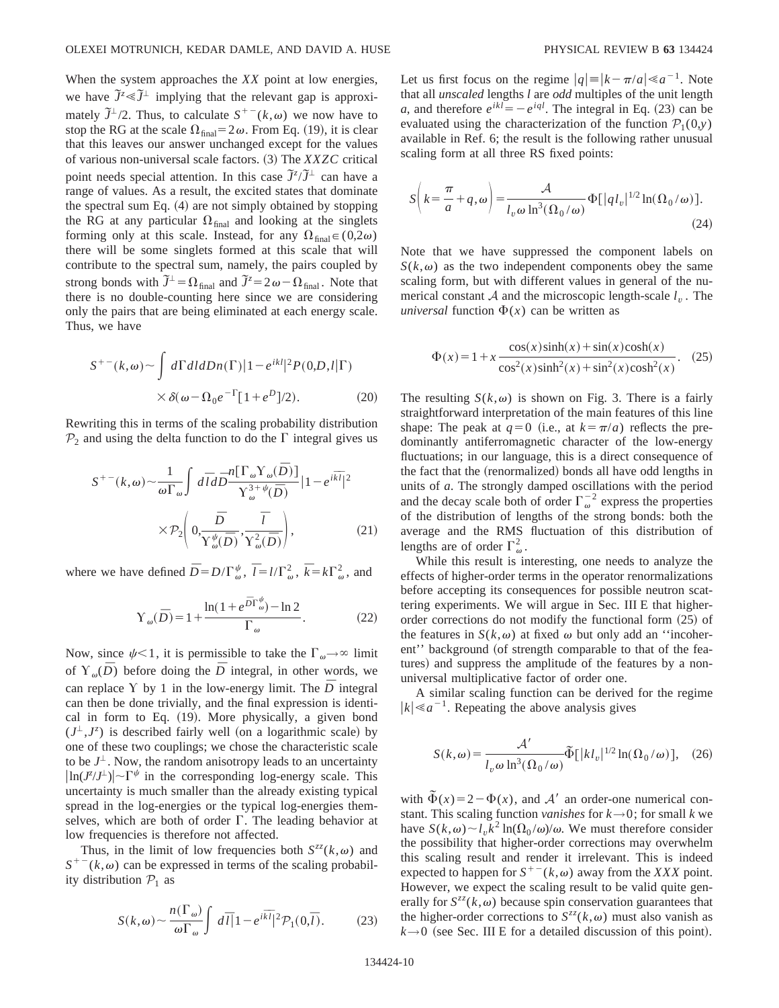When the system approaches the *XX* point at low energies, we have  $\tilde{J}^z \ll \tilde{J}^{\perp}$  implying that the relevant gap is approximately  $\tilde{J}^{\perp}/2$ . Thus, to calculate  $S^{+-}(k,\omega)$  we now have to stop the RG at the scale  $\Omega_{final} = 2\omega$ . From Eq. (19), it is clear that this leaves our answer unchanged except for the values of various non-universal scale factors. (3) The *XXZC* critical point needs special attention. In this case  $\tilde{J}^z/\tilde{J}^{\perp}$  can have a range of values. As a result, the excited states that dominate the spectral sum Eq.  $(4)$  are not simply obtained by stopping the RG at any particular  $\Omega_{\text{final}}$  and looking at the singlets forming only at this scale. Instead, for any  $\Omega_{\text{final}} \in (0,2\omega)$ there will be some singlets formed at this scale that will contribute to the spectral sum, namely, the pairs coupled by strong bonds with  $\tilde{J}^{\perp} = \Omega_{\text{final}}$  and  $\tilde{J}^{\overline{z}} = 2\omega - \Omega_{\text{final}}$ . Note that there is no double-counting here since we are considering only the pairs that are being eliminated at each energy scale. Thus, we have

$$
S^{+-}(k,\omega) \sim \int d\Gamma dl dDn(\Gamma) |1 - e^{ikl}|^2 P(0,D,l|\Gamma)
$$
  
 
$$
\times \delta(\omega - \Omega_0 e^{-\Gamma} [1 + e^D]/2).
$$
 (20)

Rewriting this in terms of the scaling probability distribution  $P_2$  and using the delta function to do the  $\Gamma$  integral gives us

$$
S^{+-}(k,\omega) \sim \frac{1}{\omega \Gamma_{\omega}} \int d\overline{l} d\overline{D} \frac{n[\Gamma_{\omega} \Upsilon_{\omega}(\overline{D})]}{\Upsilon_{\omega}^{3+\psi}(\overline{D})} |1 - e^{i\overline{k}\overline{l}}|^2
$$

$$
\times \mathcal{P}_2 \left( 0, \frac{\overline{D}}{\Upsilon_{\omega}^{\psi}(\overline{D})}, \frac{\overline{l}}{\Upsilon_{\omega}^2(\overline{D})} \right), \tag{21}
$$

where we have defined  $\overline{D} = D/\Gamma^{\psi}_{\omega}$ ,  $\overline{l} = l/\Gamma^2_{\omega}$ ,  $\overline{k} = k\Gamma^2_{\omega}$ , and

$$
Y_{\omega}(\bar{D}) = 1 + \frac{\ln(1 + e^{\bar{D}\Gamma_{\omega}^{\psi}}) - \ln 2}{\Gamma_{\omega}}.
$$
 (22)

Now, since  $\psi$ <1, it is permissible to take the  $\Gamma_{\omega} \rightarrow \infty$  limit of  $Y_{\omega}(\overline{D})$  before doing the  $\overline{D}$  integral, in other words, we can replace Y by 1 in the low-energy limit. The  $\bar{D}$  integral can then be done trivially, and the final expression is identical in form to Eq.  $(19)$ . More physically, a given bond  $(J^{\perp}, J^z)$  is described fairly well (on a logarithmic scale) by one of these two couplings; we chose the characteristic scale to be  $J^{\perp}$ . Now, the random anisotropy leads to an uncertainty  $\left|\ln(J^z/J^{\perp})\right| \sim \Gamma^{\psi}$  in the corresponding log-energy scale. This uncertainty is much smaller than the already existing typical spread in the log-energies or the typical log-energies themselves, which are both of order  $\Gamma$ . The leading behavior at low frequencies is therefore not affected.

Thus, in the limit of low frequencies both  $S^{zz}(k,\omega)$  and  $S^{+-}(k,\omega)$  can be expressed in terms of the scaling probability distribution  $P_1$  as

$$
S(k,\omega) \sim \frac{n(\Gamma_{\omega})}{\omega \Gamma_{\omega}} \int d\overline{l}|1 - e^{i\overline{k}\overline{l}}|^2 \mathcal{P}_1(0,\overline{l}). \tag{23}
$$

Let us first focus on the regime  $|q| = |k - \pi/a| \ll a^{-1}$ . Note that all *unscaled* lengths *l* are *odd* multiples of the unit length *a*, and therefore  $e^{ikl} = -e^{iql}$ . The integral in Eq. (23) can be evaluated using the characterization of the function  $\mathcal{P}_1(0,y)$ available in Ref. 6; the result is the following rather unusual scaling form at all three RS fixed points:

$$
S\left(k=\frac{\pi}{a}+q,\omega\right) = \frac{\mathcal{A}}{l_v\omega\ln^3(\Omega_0/\omega)}\Phi[|q l_v|^{1/2}\ln(\Omega_0/\omega)].
$$
\n(24)

Note that we have suppressed the component labels on  $S(k,\omega)$  as the two independent components obey the same scaling form, but with different values in general of the numerical constant A and the microscopic length-scale  $l<sub>v</sub>$ . The *universal* function  $\Phi(x)$  can be written as

$$
\Phi(x) = 1 + x \frac{\cos(x)\sinh(x) + \sin(x)\cosh(x)}{\cos^2(x)\sinh^2(x) + \sin^2(x)\cosh^2(x)}.
$$
 (25)

The resulting  $S(k,\omega)$  is shown on Fig. 3. There is a fairly straightforward interpretation of the main features of this line shape: The peak at  $q=0$  (i.e., at  $k=\pi/a$ ) reflects the predominantly antiferromagnetic character of the low-energy fluctuations; in our language, this is a direct consequence of the fact that the (renormalized) bonds all have odd lengths in units of *a*. The strongly damped oscillations with the period and the decay scale both of order  $\Gamma_{\omega}^{-2}$  express the properties of the distribution of lengths of the strong bonds: both the average and the RMS fluctuation of this distribution of lengths are of order  $\Gamma^2_{\omega}$ .

While this result is interesting, one needs to analyze the effects of higher-order terms in the operator renormalizations before accepting its consequences for possible neutron scattering experiments. We will argue in Sec. III E that higherorder corrections do not modify the functional form  $(25)$  of the features in  $S(k,\omega)$  at fixed  $\omega$  but only add an "incoherent" background (of strength comparable to that of the features) and suppress the amplitude of the features by a nonuniversal multiplicative factor of order one.

A similar scaling function can be derived for the regime  $|k| \le a^{-1}$ . Repeating the above analysis gives

$$
S(k,\omega) = \frac{\mathcal{A}'}{l_v \omega \ln^3(\Omega_0/\omega)} \tilde{\Phi}[|kl_v|^{1/2} \ln(\Omega_0/\omega)], \quad (26)
$$

with  $\tilde{\Phi}(x)=2-\Phi(x)$ , and A' an order-one numerical constant. This scaling function *vanishes* for  $k \rightarrow 0$ ; for small k we have  $S(k,\omega) \sim l_n k^2 \ln(\Omega_0/\omega)/\omega$ . We must therefore consider the possibility that higher-order corrections may overwhelm this scaling result and render it irrelevant. This is indeed expected to happen for  $S^{+-}(k,\omega)$  away from the *XXX* point. However, we expect the scaling result to be valid quite generally for  $S^{zz}(k,\omega)$  because spin conservation guarantees that the higher-order corrections to  $S^{zz}(k,\omega)$  must also vanish as  $k \rightarrow 0$  (see Sec. III E for a detailed discussion of this point).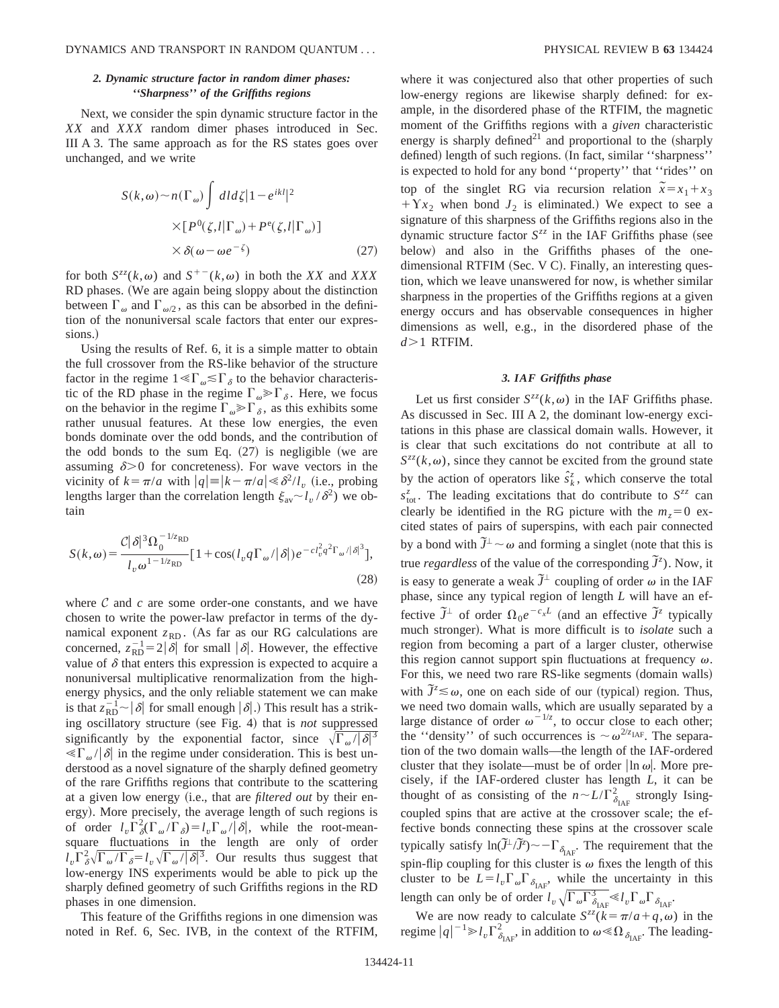# *2. Dynamic structure factor in random dimer phases: ''Sharpness'' of the Griffiths regions*

Next, we consider the spin dynamic structure factor in the *XX* and *XXX* random dimer phases introduced in Sec. III A 3. The same approach as for the RS states goes over unchanged, and we write

$$
S(k,\omega) \sim n(\Gamma_{\omega}) \int dl d\zeta |1 - e^{ikl}|^2
$$
  
 
$$
\times [P^0(\zeta,l|\Gamma_{\omega}) + P^e(\zeta,l|\Gamma_{\omega})]
$$
  
 
$$
\times \delta(\omega - \omega e^{-\zeta})
$$
 (27)

for both  $S^{zz}(k,\omega)$  and  $S^{+-}(k,\omega)$  in both the *XX* and *XXX* RD phases. (We are again being sloppy about the distinction between  $\Gamma_{\omega}$  and  $\Gamma_{\omega/2}$ , as this can be absorbed in the definition of the nonuniversal scale factors that enter our expressions.)

Using the results of Ref. 6, it is a simple matter to obtain the full crossover from the RS-like behavior of the structure factor in the regime  $1 \ll \Gamma_{\omega} \lesssim \Gamma_{\delta}$  to the behavior characteristic of the RD phase in the regime  $\Gamma_{\omega} \gg \Gamma_{\delta}$ . Here, we focus on the behavior in the regime  $\Gamma_{\omega} \gg \Gamma_{\delta}$ , as this exhibits some rather unusual features. At these low energies, the even bonds dominate over the odd bonds, and the contribution of the odd bonds to the sum Eq.  $(27)$  is negligible (we are assuming  $\delta$  > 0 for concreteness. For wave vectors in the vicinity of  $k = \pi/a$  with  $|q| = |k - \pi/a| \ll \delta^2/l$ , (i.e., probing lengths larger than the correlation length  $\xi_{av} \sim l_v / \delta^2$ ) we obtain

$$
S(k,\omega) = \frac{\mathcal{C}|\delta|^3 \Omega_0^{-1/z_{\text{RD}}}}{l_v \omega^{1-1/z_{\text{RD}}}} \left[1 + \cos(l_v q \Gamma_\omega/|\delta|) e^{-c l_v^2 q^2 \Gamma_\omega/|\delta|^3}\right],
$$
\n(28)

where  $C$  and  $c$  are some order-one constants, and we have chosen to write the power-law prefactor in terms of the dynamical exponent  $z_{RD}$ . (As far as our RG calculations are concerned,  $z_{RD}^{-1} = 2|\delta|$  for small  $|\delta|$ . However, the effective value of  $\delta$  that enters this expression is expected to acquire a nonuniversal multiplicative renormalization from the highenergy physics, and the only reliable statement we can make is that  $z_{RD}^{-1} \sim |\delta|$  for small enough  $|\delta|$ .) This result has a striking oscillatory structure (see Fig. 4) that is *not* suppressed significantly by the exponential factor, since  $\sqrt{\Gamma_{\omega}/|\delta|^3}$  $\langle \langle \nabla_{\omega} \rangle | \delta \rangle$  in the regime under consideration. This is best understood as a novel signature of the sharply defined geometry of the rare Griffiths regions that contribute to the scattering at a given low energy (i.e., that are *filtered out* by their energy). More precisely, the average length of such regions is of order  $l_v \Gamma_\delta^2(\Gamma_\omega/\Gamma_\delta) = l_v \Gamma_\omega/\overline{\delta}$ , while the root-meansquare fluctuations in the length are only of order  $l_v \Gamma_{\delta}^2 \sqrt{\Gamma_{\omega}/\Gamma_{\delta}} = l_v \sqrt{\Gamma_{\omega}/|\delta|^3}$ . Our results thus suggest that low-energy INS experiments would be able to pick up the sharply defined geometry of such Griffiths regions in the RD phases in one dimension.

This feature of the Griffiths regions in one dimension was noted in Ref. 6, Sec. IVB, in the context of the RTFIM, where it was conjectured also that other properties of such low-energy regions are likewise sharply defined: for example, in the disordered phase of the RTFIM, the magnetic moment of the Griffiths regions with a *given* characteristic energy is sharply defined<sup>21</sup> and proportional to the  $(\text{sharply})$ defined) length of such regions. (In fact, similar "sharpness" is expected to hold for any bond ''property'' that ''rides'' on top of the singlet RG via recursion relation  $\tilde{x} = x_1 + x_3$  $+Yx_2$  when bond  $J_2$  is eliminated.) We expect to see a signature of this sharpness of the Griffiths regions also in the dynamic structure factor  $S^{zz}$  in the IAF Griffiths phase (see below) and also in the Griffiths phases of the onedimensional RTFIM  $(Sec. V C)$ . Finally, an interesting question, which we leave unanswered for now, is whether similar sharpness in the properties of the Griffiths regions at a given energy occurs and has observable consequences in higher dimensions as well, e.g., in the disordered phase of the  $d > 1$  RTFIM.

## *3. IAF Griffiths phase*

Let us first consider  $S^{zz}(k,\omega)$  in the IAF Griffiths phase. As discussed in Sec. III A 2, the dominant low-energy excitations in this phase are classical domain walls. However, it is clear that such excitations do not contribute at all to  $S^{zz}(k,\omega)$ , since they cannot be excited from the ground state by the action of operators like  $\hat{s}_k^z$ , which conserve the total  $s_{\text{tot}}^z$ . The leading excitations that do contribute to  $S^{zz}$  can clearly be identified in the RG picture with the  $m<sub>z</sub>=0$  excited states of pairs of superspins, with each pair connected by a bond with  $\tilde{J}^{\perp} \sim \omega$  and forming a singlet (note that this is true *regardless* of the value of the corresponding  $\tilde{J}^z$ ). Now, it is easy to generate a weak  $\tilde{J}^{\perp}$  coupling of order  $\omega$  in the IAF phase, since any typical region of length *L* will have an effective  $\tilde{J}^{\perp}$  of order  $\Omega_0 e^{-c_x L}$  (and an effective  $\tilde{J}^z$  typically much stronger). What is more difficult is to *isolate* such a region from becoming a part of a larger cluster, otherwise this region cannot support spin fluctuations at frequency  $\omega$ . For this, we need two rare RS-like segments (domain walls) with  $\tilde{J}^z \leq \omega$ , one on each side of our (typical) region. Thus, we need two domain walls, which are usually separated by a large distance of order  $\omega^{-1/z}$ , to occur close to each other; the "density" of such occurrences is  $\sim \omega^{2/z_{\text{IAF}}}$ . The separation of the two domain walls—the length of the IAF-ordered cluster that they isolate—must be of order  $\ln \omega$ . More precisely, if the IAF-ordered cluster has length *L*, it can be thought of as consisting of the  $n \sim L/\Gamma_{\delta_{\text{IAF}}}^2$  strongly Isingcoupled spins that are active at the crossover scale; the effective bonds connecting these spins at the crossover scale typically satisfy  $\ln(\tilde{J}^{\perp}/\tilde{J}^{\circ}) \sim -\Gamma_{\delta_{\text{AF}}}$ . The requirement that the spin-flip coupling for this cluster is  $\omega$  fixes the length of this cluster to be  $L = l_v \Gamma_{\omega} \Gamma_{\delta_{IAF}}$ , while the uncertainty in this length can only be of order  $l_v \sqrt{\Gamma_\omega \Gamma_{\delta_{\text{IAF}}^3}} \ll l_v \Gamma_\omega \Gamma_{\delta_{\text{IAF}}^3}$ .

We are now ready to calculate  $S^{zz}(k=\pi/a+q,\omega)$  in the regime  $|q|^{-1} \gg l_v \Gamma_{\delta_{\text{IAF}}}^2$ , in addition to  $\omega \ll \Omega_{\delta_{\text{IAF}}}$ . The leading-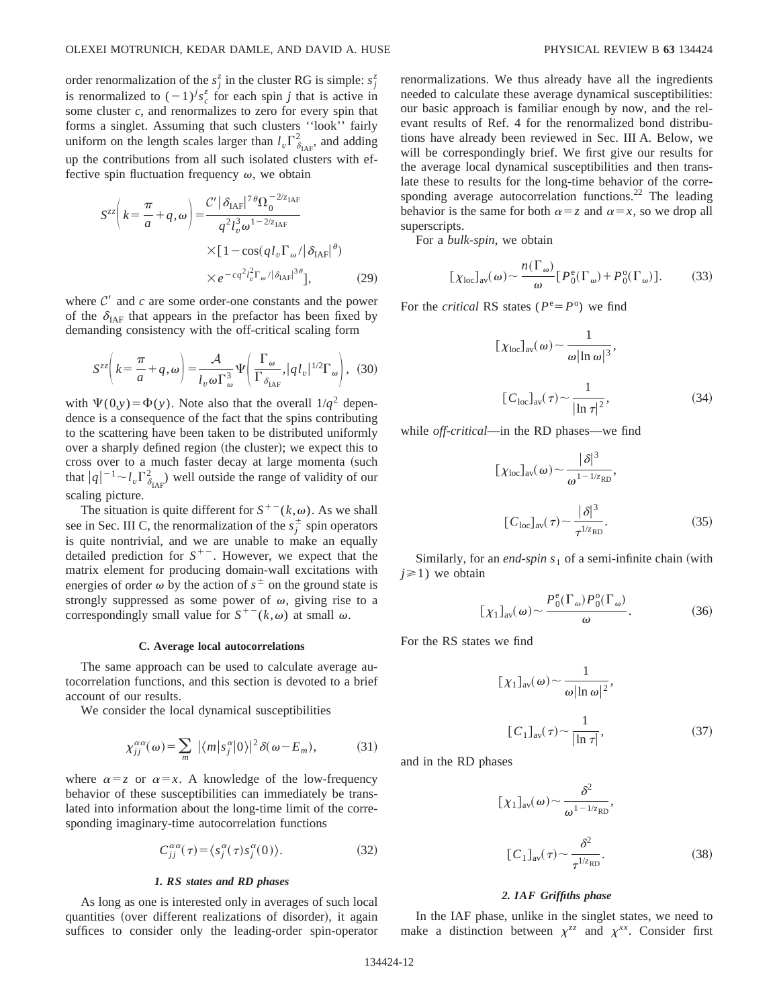order renormalization of the  $s_j^z$  in the cluster RG is simple:  $s_j^z$ is renormalized to  $(-1)^j s_c^z$  for each spin *j* that is active in some cluster *c*, and renormalizes to zero for every spin that forms a singlet. Assuming that such clusters ''look'' fairly uniform on the length scales larger than  $l_v \Gamma_{\delta_{\text{IAF}}}^2$ , and adding up the contributions from all such isolated clusters with effective spin fluctuation frequency  $\omega$ , we obtain

$$
S^{zz} \left( k = \frac{\pi}{a} + q, \omega \right) = \frac{\mathcal{C}' |\delta_{\text{IAF}}|^{7} \Omega_0^{-2/z_{\text{IAF}}}}{q^2 l_v^3 \omega^{1 - 2/z_{\text{IAF}}}} \times [1 - \cos(q l_v \Gamma_\omega / |\delta_{\text{IAF}}|^\theta) \times e^{-c q^2 l_v^2 \Gamma_\omega / |\delta_{\text{IAF}}|^{3\theta}}], \tag{29}
$$

where  $C'$  and  $c$  are some order-one constants and the power of the  $\delta_{\text{IAF}}$  that appears in the prefactor has been fixed by demanding consistency with the off-critical scaling form

$$
S^{zz}\left(k=\frac{\pi}{a}+q,\omega\right)=\frac{\mathcal{A}}{l_v\omega\Gamma_{\omega}^3}\Psi\left(\frac{\Gamma_{\omega}}{\Gamma_{\delta_{\text{IAF}}}},|ql_v|^{1/2}\Gamma_{\omega}\right),\tag{30}
$$

with  $\Psi(0,y) = \Phi(y)$ . Note also that the overall  $1/q^2$  dependence is a consequence of the fact that the spins contributing to the scattering have been taken to be distributed uniformly over a sharply defined region (the cluster); we expect this to cross over to a much faster decay at large momenta (such that  $|q|^{-1} \sim l_v \Gamma_{\delta_{IAF}}^2$  well outside the range of validity of our scaling picture.

The situation is quite different for  $S^{+-}(k,\omega)$ . As we shall see in Sec. III C, the renormalization of the  $s_j^{\pm}$  spin operators is quite nontrivial, and we are unable to make an equally detailed prediction for  $S^{+-}$ . However, we expect that the matrix element for producing domain-wall excitations with energies of order  $\omega$  by the action of  $s^{\pm}$  on the ground state is strongly suppressed as some power of  $\omega$ , giving rise to a correspondingly small value for  $S^{+-}(k,\omega)$  at small  $\omega$ .

#### **C. Average local autocorrelations**

The same approach can be used to calculate average autocorrelation functions, and this section is devoted to a brief account of our results.

We consider the local dynamical susceptibilities

$$
\chi_{jj}^{\alpha\alpha}(\omega) = \sum_{m} |\langle m|s_j^{\alpha}|0\rangle|^2 \delta(\omega - E_m), \tag{31}
$$

where  $\alpha = z$  or  $\alpha = x$ . A knowledge of the low-frequency behavior of these susceptibilities can immediately be translated into information about the long-time limit of the corresponding imaginary-time autocorrelation functions

$$
C_{jj}^{\alpha\alpha}(\tau) = \langle s_j^{\alpha}(\tau)s_j^{\alpha}(0) \rangle.
$$
 (32)

# *1. RS states and RD phases*

As long as one is interested only in averages of such local quantities (over different realizations of disorder), it again suffices to consider only the leading-order spin-operator renormalizations. We thus already have all the ingredients needed to calculate these average dynamical susceptibilities: our basic approach is familiar enough by now, and the relevant results of Ref. 4 for the renormalized bond distributions have already been reviewed in Sec. III A. Below, we will be correspondingly brief. We first give our results for the average local dynamical susceptibilities and then translate these to results for the long-time behavior of the corresponding average autocorrelation functions.<sup>22</sup> The leading behavior is the same for both  $\alpha = z$  and  $\alpha = x$ , so we drop all superscripts.

For a *bulk-spin*, we obtain

$$
[\chi_{\text{loc}}]_{\text{av}}(\omega) \sim \frac{n(\Gamma_{\omega})}{\omega} [P_0^{\text{e}}(\Gamma_{\omega}) + P_0^{\text{o}}(\Gamma_{\omega})]. \tag{33}
$$

For the *critical* RS states ( $P^e = P^o$ ) we find

$$
[\chi_{\text{loc}}]_{\text{av}}(\omega) \sim \frac{1}{\omega |\ln \omega|^3},
$$
  

$$
[C_{\text{loc}}]_{\text{av}}(\tau) \sim \frac{1}{|\ln \tau|^2},
$$
 (34)

while *off-critical*—in the RD phases—we find

$$
[\chi_{\text{loc}}]_{\text{av}}(\omega) \sim \frac{|\delta|^3}{\omega^{1-1/z_{\text{RD}}}},
$$

$$
[C_{\text{loc}}]_{\text{av}}(\tau) \sim \frac{|\delta|^3}{\tau^{1/z_{\text{RD}}}}.
$$
(35)

Similarly, for an *end-spin*  $s<sub>1</sub>$  of a semi-infinite chain (with  $j \ge 1$ ) we obtain

$$
[\chi_1]_{\text{av}}(\omega) \sim \frac{P_0^{\text{e}}(\Gamma_\omega) P_0^{\text{o}}(\Gamma_\omega)}{\omega}.
$$
 (36)

For the RS states we find

$$
[\chi_1]_{\text{av}}(\omega) \sim \frac{1}{\omega |\ln \omega|^2},
$$
  

$$
[C_1]_{\text{av}}(\tau) \sim \frac{1}{|\ln \tau|},
$$
 (37)

and in the RD phases

$$
[\chi_1]_{\text{av}}(\omega) \sim \frac{\delta^2}{\omega^{1-1/z_{\text{RD}}}},
$$

$$
[C_1]_{\text{av}}(\tau) \sim \frac{\delta^2}{\tau^{1/z_{\text{RD}}}}.
$$
(38)

## *2. IAF Griffiths phase*

In the IAF phase, unlike in the singlet states, we need to make a distinction between  $\chi^{zz}$  and  $\chi^{xx}$ . Consider first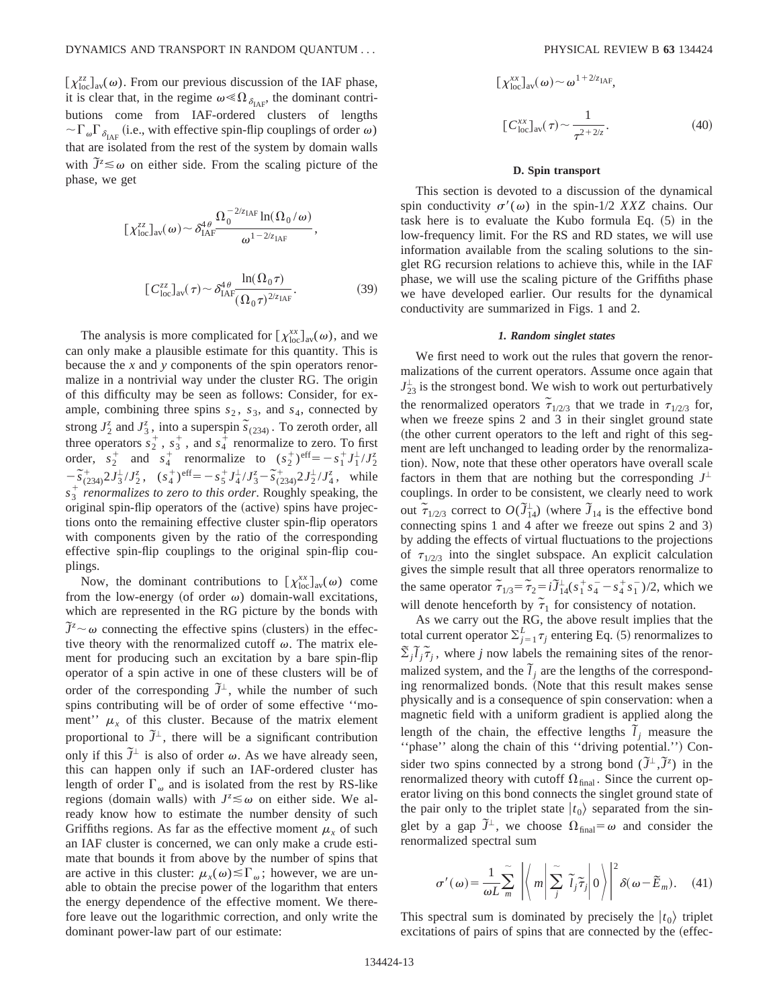$[\chi_{\text{loc}}^{zz}]_{\text{av}}(\omega)$ . From our previous discussion of the IAF phase, it is clear that, in the regime  $\omega \ll \Omega_{\delta_{\text{IAF}}}$ , the dominant contributions come from IAF-ordered clusters of lengths  $\sim \Gamma_{\omega} \Gamma_{\delta_{\text{IAF}}}$  (i.e., with effective spin-flip couplings of order  $\omega$ ) that are isolated from the rest of the system by domain walls with  $\tilde{J}^z \leq \omega$  on either side. From the scaling picture of the phase, we get

$$
\left[\chi_{\text{loc}}^{zz}\right]_{\text{av}}(\omega) \sim \delta_{\text{IAF}}^{4\theta} \frac{\Omega_0^{-2/z_{\text{IAF}}} \ln(\Omega_0/\omega)}{\omega^{1-2/z_{\text{IAF}}}},
$$
\n
$$
\left[C_{\text{loc}}^{zz}\right]_{\text{av}}(\tau) \sim \delta_{\text{IAF}}^{4\theta} \frac{\ln(\Omega_0 \tau)}{(\Omega_0 \tau)^{2/z_{\text{IAF}}}}.
$$
\n(39)

The analysis is more complicated for  $[\chi_{loc}^{xx}]_{av}(\omega)$ , and we can only make a plausible estimate for this quantity. This is because the *x* and *y* components of the spin operators renormalize in a nontrivial way under the cluster RG. The origin of this difficulty may be seen as follows: Consider, for example, combining three spins  $s_2$ ,  $s_3$ , and  $s_4$ , connected by strong  $J_2^z$  and  $J_3^z$ , into a superspin  $\tilde{s}_{(234)}$ . To zeroth order, all three operators  $s_2^+$ ,  $s_3^+$ , and  $s_4^+$  renormalize to zero. To first order,  $s_2^+$  and  $s_4^+$  renormalize to  $(s_2^+)^{\text{eff}} = -s_1^+ J_1^{\perp} / J_2^{\infty}$  $-\tilde{s}_{(234)}^{\dagger}2J_3^{\dagger}/J_2^{\dagger}$ ,  $(s_4^{\dagger})^{\text{eff}} = -s_5^{\dagger}J_4^{\dagger}/J_3^{\dagger} - \tilde{s}_{(234)}^{\dagger}2J_2^{\dagger}/J_4^{\dagger}$ , while  $s_3^+$  *renormalizes to zero to this order*. Roughly speaking, the original spin-flip operators of the (active) spins have projections onto the remaining effective cluster spin-flip operators with components given by the ratio of the corresponding effective spin-flip couplings to the original spin-flip couplings.

Now, the dominant contributions to  $[\chi_{\text{loc}}^{xx}]_{\text{av}}(\omega)$  come from the low-energy (of order  $\omega$ ) domain-wall excitations, which are represented in the RG picture by the bonds with  $\tilde{J}^z \sim \omega$  connecting the effective spins (clusters) in the effective theory with the renormalized cutoff  $\omega$ . The matrix element for producing such an excitation by a bare spin-flip operator of a spin active in one of these clusters will be of order of the corresponding  $\tilde{J}^{\perp}$ , while the number of such spins contributing will be of order of some effective ''moment''  $\mu_x$  of this cluster. Because of the matrix element proportional to  $\tilde{J}^{\perp}$ , there will be a significant contribution only if this  $\tilde{J}^{\perp}$  is also of order  $\omega$ . As we have already seen, this can happen only if such an IAF-ordered cluster has length of order  $\Gamma_{\omega}$  and is isolated from the rest by RS-like regions (domain walls) with  $J^z \lesssim \omega$  on either side. We already know how to estimate the number density of such Griffiths regions. As far as the effective moment  $\mu<sub>r</sub>$  of such an IAF cluster is concerned, we can only make a crude estimate that bounds it from above by the number of spins that are active in this cluster:  $\mu_x(\omega) \leq \Gamma_\omega$ ; however, we are unable to obtain the precise power of the logarithm that enters the energy dependence of the effective moment. We therefore leave out the logarithmic correction, and only write the dominant power-law part of our estimate:

$$
\left[\chi_{\text{loc}}^{xx}\right]_{\text{av}}(\omega) \sim \omega^{1+2/z_{\text{IAF}}},
$$
\n
$$
\left[C_{\text{loc}}^{xx}\right]_{\text{av}}(\tau) \sim \frac{1}{\tau^{2+2/z}}.
$$
\n(40)

#### **D. Spin transport**

This section is devoted to a discussion of the dynamical spin conductivity  $\sigma'(\omega)$  in the spin-1/2 *XXZ* chains. Our task here is to evaluate the Kubo formula Eq.  $(5)$  in the low-frequency limit. For the RS and RD states, we will use information available from the scaling solutions to the singlet RG recursion relations to achieve this, while in the IAF phase, we will use the scaling picture of the Griffiths phase we have developed earlier. Our results for the dynamical conductivity are summarized in Figs. 1 and 2.

# *1. Random singlet states*

We first need to work out the rules that govern the renormalizations of the current operators. Assume once again that  $J_{23}^{\perp}$  is the strongest bond. We wish to work out perturbatively the renormalized operators  $\tilde{\tau}_{1/2/3}$  that we trade in  $\tau_{1/2/3}$  for, when we freeze spins 2 and 3 in their singlet ground state (the other current operators to the left and right of this segment are left unchanged to leading order by the renormalization). Now, note that these other operators have overall scale factors in them that are nothing but the corresponding  $J^{\perp}$ couplings. In order to be consistent, we clearly need to work out  $\tilde{\tau}_{1/2/3}$  correct to  $O(\tilde{J}_{14}^{\perp})$  (where  $\tilde{J}_{14}$  is the effective bond connecting spins 1 and 4 after we freeze out spins 2 and 3) by adding the effects of virtual fluctuations to the projections of  $\tau_{1/2/3}$  into the singlet subspace. An explicit calculation gives the simple result that all three operators renormalize to the same operator  $\tilde{\tau}_{1/3} = \tilde{\tau}_2 = i \tilde{J}_{14}^{\perp} (s_1^+ s_4^- - s_4^+ s_1^-)/2$ , which we will denote henceforth by  $\tilde{\tau}_1$  for consistency of notation.

As we carry out the RG, the above result implies that the total current operator  $\Sigma_{j=1}^L \tau_j$  entering Eq. (5) renormalizes to  $\sum_j \tilde{l}_j \tilde{\tau}_j$ , where *j* now labels the remaining sites of the renormalized system, and the  $\tilde{l}_j$  are the lengths of the corresponding renormalized bonds. (Note that this result makes sense physically and is a consequence of spin conservation: when a magnetic field with a uniform gradient is applied along the length of the chain, the effective lengths  $\tilde{l}_j$  measure the "phase" along the chain of this "driving potential.") Consider two spins connected by a strong bond  $(\tilde{J}^{\perp}, \tilde{J}^z)$  in the renormalized theory with cutoff  $\Omega_{final}$ . Since the current operator living on this bond connects the singlet ground state of the pair only to the triplet state  $|t_0\rangle$  separated from the singlet by a gap  $\tilde{J}^{\perp}$ , we choose  $\Omega_{\text{final}} = \omega$  and consider the renormalized spectral sum

$$
\sigma'(\omega) = \frac{1}{\omega L} \sum_{m}^{\infty} \left| \left\langle m \middle| \sum_{j}^{\infty} \tilde{l}_{j} \tilde{\tau}_{j} \middle| 0 \right\rangle \right|^{2} \delta(\omega - \tilde{E}_{m}). \quad (41)
$$

This spectral sum is dominated by precisely the  $|t_0\rangle$  triplet excitations of pairs of spins that are connected by the (effec-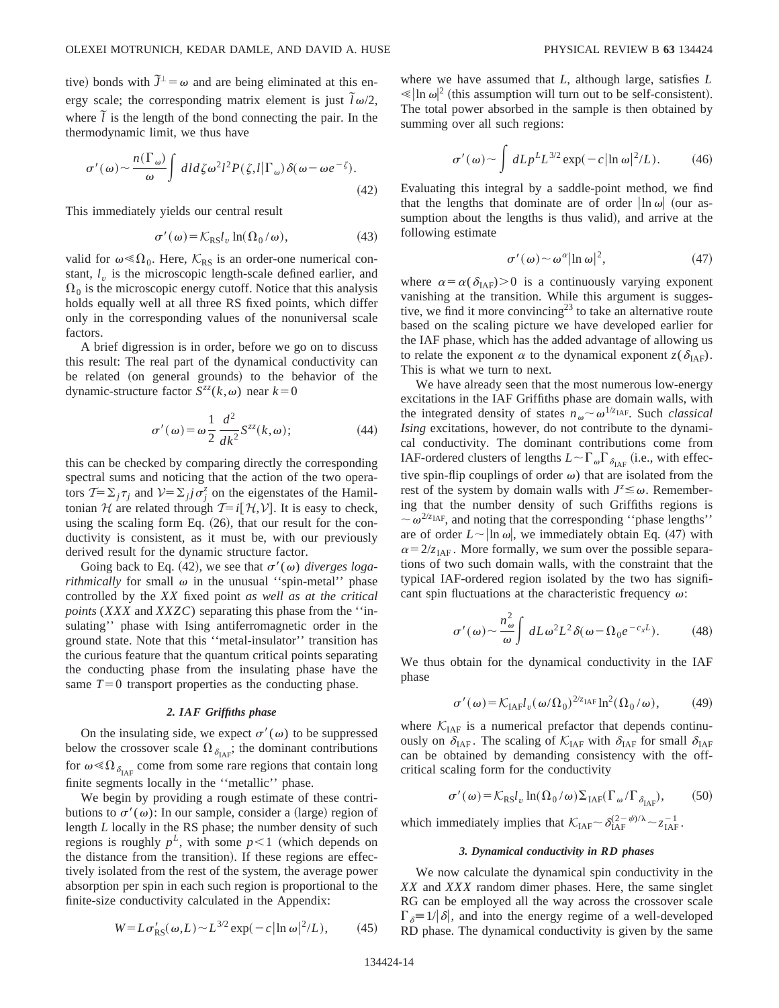tive) bonds with  $\tilde{J}^{\perp} = \omega$  and are being eliminated at this energy scale; the corresponding matrix element is just  $\tilde{l}\omega/2$ , where  $\tilde{l}$  is the length of the bond connecting the pair. In the thermodynamic limit, we thus have

$$
\sigma'(\omega) \sim \frac{n(\Gamma_{\omega})}{\omega} \int dl d\zeta \omega^2 l^2 P(\zeta, l | \Gamma_{\omega}) \delta(\omega - \omega e^{-\zeta}). \tag{42}
$$

This immediately yields our central result

$$
\sigma'(\omega) = \mathcal{K}_{\mathrm{RS}} l_v \ln(\Omega_0/\omega),\tag{43}
$$

valid for  $\omega \ll \Omega_0$ . Here,  $\mathcal{K}_{RS}$  is an order-one numerical constant,  $l<sub>v</sub>$  is the microscopic length-scale defined earlier, and  $\Omega_0$  is the microscopic energy cutoff. Notice that this analysis holds equally well at all three RS fixed points, which differ only in the corresponding values of the nonuniversal scale factors.

A brief digression is in order, before we go on to discuss this result: The real part of the dynamical conductivity can be related (on general grounds) to the behavior of the dynamic-structure factor  $S^{zz}(k,\omega)$  near  $k=0$ 

$$
\sigma'(\omega) = \omega \frac{1}{2} \frac{d^2}{dk^2} S^{zz}(k, \omega); \tag{44}
$$

this can be checked by comparing directly the corresponding spectral sums and noticing that the action of the two operators  $\mathcal{T} = \sum_j \tau_j$  and  $\mathcal{V} = \sum_j j \sigma_j^z$  on the eigenstates of the Hamiltonian H are related through  $T=i[\mathcal{H},V]$ . It is easy to check, using the scaling form Eq.  $(26)$ , that our result for the conductivity is consistent, as it must be, with our previously derived result for the dynamic structure factor.

Going back to Eq. (42), we see that  $\sigma'(\omega)$  *diverges logarithmically* for small  $\omega$  in the unusual "spin-metal" phase controlled by the *XX* fixed point *as well as at the critical points* (*XXX* and *XXZC*) separating this phase from the ''insulating'' phase with Ising antiferromagnetic order in the ground state. Note that this ''metal-insulator'' transition has the curious feature that the quantum critical points separating the conducting phase from the insulating phase have the same  $T=0$  transport properties as the conducting phase.

# *2. IAF Griffiths phase*

On the insulating side, we expect  $\sigma'(\omega)$  to be suppressed below the crossover scale  $\Omega_{\delta_{\text{IAF}}}$ ; the dominant contributions for  $\omega \ll \Omega_{\delta_{\text{IAF}}}$  come from some rare regions that contain long finite segments locally in the ''metallic'' phase.

We begin by providing a rough estimate of these contributions to  $\sigma'(\omega)$ : In our sample, consider a (large) region of length *L* locally in the RS phase; the number density of such regions is roughly  $p^L$ , with some  $p \leq 1$  (which depends on the distance from the transition). If these regions are effectively isolated from the rest of the system, the average power absorption per spin in each such region is proportional to the finite-size conductivity calculated in the Appendix:

$$
W = L\sigma_{\rm RS}(\omega, L) \sim L^{3/2} \exp(-c |\ln \omega|^2 / L), \qquad (45)
$$

where we have assumed that *L*, although large, satisfies *L*  $\ll |\ln \omega|^2$  (this assumption will turn out to be self-consistent). The total power absorbed in the sample is then obtained by summing over all such regions:

$$
\sigma'(\omega) \sim \int dL p^L L^{3/2} \exp(-c |\ln \omega|^2/L). \tag{46}
$$

Evaluating this integral by a saddle-point method, we find that the lengths that dominate are of order  $\ln \omega$  (our assumption about the lengths is thus valid), and arrive at the following estimate

$$
\sigma'(\omega) \sim \omega^{\alpha} |\ln \omega|^2, \tag{47}
$$

where  $\alpha = \alpha(\delta_{\text{IAF}}) > 0$  is a continuously varying exponent vanishing at the transition. While this argument is suggestive, we find it more convincing<sup>23</sup> to take an alternative route based on the scaling picture we have developed earlier for the IAF phase, which has the added advantage of allowing us to relate the exponent  $\alpha$  to the dynamical exponent  $z(\delta_{\text{IAF}})$ . This is what we turn to next.

We have already seen that the most numerous low-energy excitations in the IAF Griffiths phase are domain walls, with the integrated density of states  $n_{\omega} \sim \omega^{1/z_{\text{IAF}}}$ . Such *classical Ising* excitations, however, do not contribute to the dynamical conductivity. The dominant contributions come from IAF-ordered clusters of lengths  $L \sim \Gamma_{\omega} \Gamma_{\delta_{\text{IAF}}}$  (i.e., with effective spin-flip couplings of order  $\omega$ ) that are isolated from the rest of the system by domain walls with  $J^z \lesssim \omega$ . Remembering that the number density of such Griffiths regions is  $\sim \omega^{2/z_{\text{IAF}}}$ , and noting that the corresponding "phase lengths" are of order  $L \sim |\ln \omega|$ , we immediately obtain Eq. (47) with  $\alpha = 2/z_{\text{IAF}}$ . More formally, we sum over the possible separations of two such domain walls, with the constraint that the typical IAF-ordered region isolated by the two has significant spin fluctuations at the characteristic frequency  $\omega$ :

$$
\sigma'(\omega) \sim \frac{n_{\omega}^2}{\omega} \int dL \omega^2 L^2 \delta(\omega - \Omega_0 e^{-c_x L}). \tag{48}
$$

We thus obtain for the dynamical conductivity in the IAF phase

$$
\sigma'(\omega) = \mathcal{K}_{\text{IAF}} l_{\nu}(\omega/\Omega_0)^{2/z_{\text{IAF}}} \ln^2(\Omega_0/\omega),\tag{49}
$$

where  $K_{\text{IAF}}$  is a numerical prefactor that depends continuously on  $\delta_{\text{IAF}}$ . The scaling of  $\mathcal{K}_{\text{IAF}}$  with  $\delta_{\text{IAF}}$  for small  $\delta_{\text{IAF}}$ can be obtained by demanding consistency with the offcritical scaling form for the conductivity

$$
\sigma'(\omega) = \mathcal{K}_{\mathrm{RS}} l_v \ln(\Omega_0/\omega) \Sigma_{\mathrm{IAF}} (\Gamma_\omega/\Gamma_{\delta_{\mathrm{IAF}}}), \quad (50)
$$

which immediately implies that  $\mathcal{K}_{\text{IAF}} \sim \delta_{\text{IAF}}^{(2-\psi)/\lambda} \sim z_{\text{IAF}}^{-1}$ .

#### *3. Dynamical conductivity in RD phases*

We now calculate the dynamical spin conductivity in the *XX* and *XXX* random dimer phases. Here, the same singlet RG can be employed all the way across the crossover scale  $\Gamma_{\delta} \equiv 1/|\delta|$ , and into the energy regime of a well-developed RD phase. The dynamical conductivity is given by the same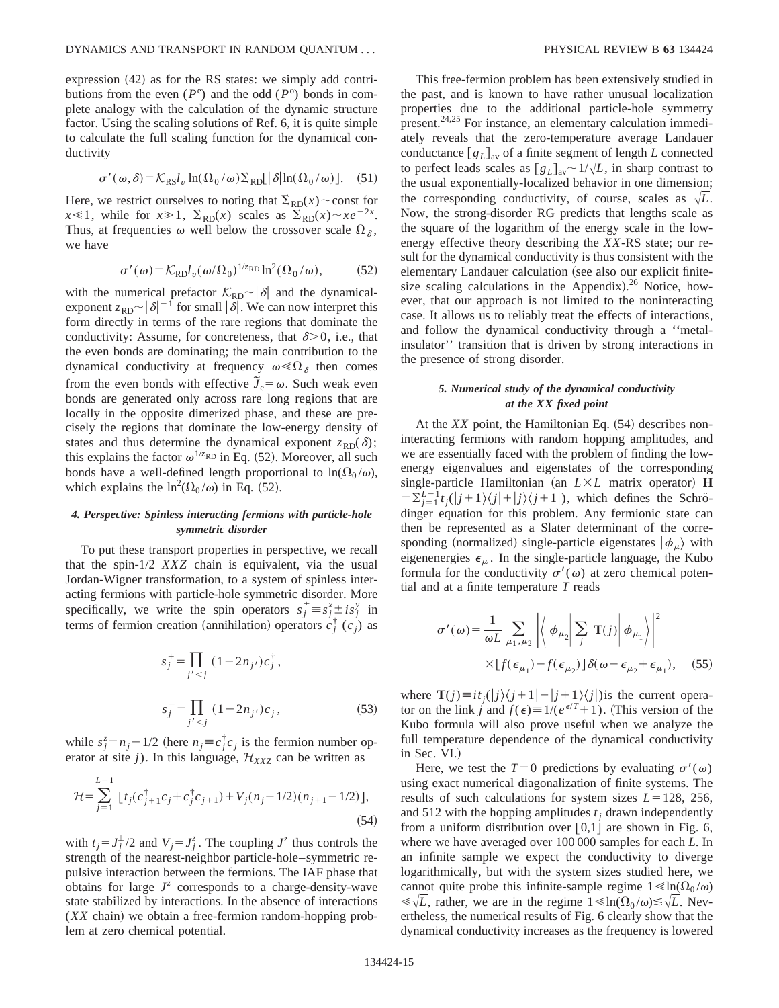expression  $(42)$  as for the RS states: we simply add contributions from the even  $(P^e)$  and the odd  $(P^o)$  bonds in complete analogy with the calculation of the dynamic structure factor. Using the scaling solutions of Ref. 6, it is quite simple to calculate the full scaling function for the dynamical conductivity

$$
\sigma'(\omega,\delta) = \mathcal{K}_{\rm RS}l_v \ln(\Omega_0/\omega) \Sigma_{\rm RD}[\delta \ln(\Omega_0/\omega)].
$$
 (51)

Here, we restrict ourselves to noting that  $\Sigma_{RD}(x) \sim$  const for  $x \le 1$ , while for  $x \ge 1$ ,  $\Sigma_{RD}(x)$  scales as  $\overline{\Sigma}_{RD}(x) \sim xe^{-2x}$ . Thus, at frequencies  $\omega$  well below the crossover scale  $\Omega_{\delta}$ , we have

$$
\sigma'(\omega) = \mathcal{K}_{\text{RD}} l_v(\omega/\Omega_0)^{1/\text{Z}_{\text{RD}}} \ln^2(\Omega_0/\omega),\tag{52}
$$

with the numerical prefactor  $\mathcal{K}_{RD} \sim |\delta|$  and the dynamicalexponent  $z_{RD} \sim |\delta|^{-1}$  for small  $|\delta|$ . We can now interpret this form directly in terms of the rare regions that dominate the conductivity: Assume, for concreteness, that  $\delta$  > 0, i.e., that the even bonds are dominating; the main contribution to the dynamical conductivity at frequency  $\omega \ll \Omega_{\delta}$  then comes from the even bonds with effective  $\tilde{J}_e = \omega$ . Such weak even bonds are generated only across rare long regions that are locally in the opposite dimerized phase, and these are precisely the regions that dominate the low-energy density of states and thus determine the dynamical exponent  $z_{RD}(\delta)$ ; this explains the factor  $\omega^{1/z_{RD}}$  in Eq. (52). Moreover, all such bonds have a well-defined length proportional to  $\ln(\Omega_0/\omega)$ , which explains the  $\ln^2(\Omega_0/\omega)$  in Eq. (52).

# *4. Perspective: Spinless interacting fermions with particle-hole symmetric disorder*

To put these transport properties in perspective, we recall that the spin-1/2 *XXZ* chain is equivalent, via the usual Jordan-Wigner transformation, to a system of spinless interacting fermions with particle-hole symmetric disorder. More specifically, we write the spin operators  $s_j^{\pm} \equiv s_j^x \pm is_j^y$  in terms of fermion creation (annihilation) operators  $c_j^{\dagger}$  ( $c_j$ ) as

$$
s_j^+ = \prod_{j' < j} (1 - 2n_{j'}) c_j^{\dagger},
$$
\n
$$
s_j^- = \prod_{j' < j} (1 - 2n_{j'}) c_j,
$$
\n(53)

while  $s_j^z = n_j - 1/2$  (here  $n_j \equiv c_j^{\dagger} c_j$  is the fermion number operator at site *j*). In this language,  $\mathcal{H}_{XXZ}$  can be written as

$$
\mathcal{H} = \sum_{j=1}^{L-1} \left[ t_j (c_{j+1}^{\dagger} c_j + c_j^{\dagger} c_{j+1}) + V_j (n_j - 1/2) (n_{j+1} - 1/2) \right],\tag{54}
$$

with  $t_j = J_j^{\perp}/2$  and  $V_j = J_j^{\bar{z}}$ . The coupling  $J^{\bar{z}}$  thus controls the strength of the nearest-neighbor particle-hole–symmetric repulsive interaction between the fermions. The IAF phase that obtains for large  $J^z$  corresponds to a charge-density-wave state stabilized by interactions. In the absence of interactions  $(XX \text{ chain})$  we obtain a free-fermion random-hopping problem at zero chemical potential.

This free-fermion problem has been extensively studied in the past, and is known to have rather unusual localization properties due to the additional particle-hole symmetry present.24,25 For instance, an elementary calculation immediately reveals that the zero-temperature average Landauer conductance  $[g_L]_{av}$  of a finite segment of length *L* connected to perfect leads scales as  $[g_L]_{av} \sim 1/\sqrt{L}$ , in sharp contrast to the usual exponentially-localized behavior in one dimension; the corresponding conductivity, of course, scales as  $\sqrt{L}$ . Now, the strong-disorder RG predicts that lengths scale as the square of the logarithm of the energy scale in the lowenergy effective theory describing the *XX*-RS state; our result for the dynamical conductivity is thus consistent with the elementary Landauer calculation (see also our explicit finitesize scaling calculations in the Appendix). $26$  Notice, however, that our approach is not limited to the noninteracting case. It allows us to reliably treat the effects of interactions, and follow the dynamical conductivity through a ''metalinsulator'' transition that is driven by strong interactions in the presence of strong disorder.

# *5. Numerical study of the dynamical conductivity at the XX fixed point*

At the  $XX$  point, the Hamiltonian Eq.  $(54)$  describes noninteracting fermions with random hopping amplitudes, and we are essentially faced with the problem of finding the lowenergy eigenvalues and eigenstates of the corresponding single-particle Hamiltonian (an  $L \times L$  matrix operator) **H**  $=\sum_{j=1}^{L-1} t_j(|j+1\rangle\langle j|+|j\rangle\langle j+1|)$ , which defines the Schrödinger equation for this problem. Any fermionic state can then be represented as a Slater determinant of the corresponding (normalized) single-particle eigenstates  $|\phi_\mu\rangle$  with eigenenergies  $\epsilon_{\mu}$ . In the single-particle language, the Kubo formula for the conductivity  $\sigma'(\omega)$  at zero chemical potential and at a finite temperature *T* reads

$$
\sigma'(\omega) = \frac{1}{\omega L} \sum_{\mu_1, \mu_2} \left| \left\langle \phi_{\mu_2} \middle| \sum_j \mathbf{T}(j) \middle| \phi_{\mu_1} \right\rangle \right|^2
$$
  
 
$$
\times [f(\epsilon_{\mu_1}) - f(\epsilon_{\mu_2})] \delta(\omega - \epsilon_{\mu_2} + \epsilon_{\mu_1}), \quad (55)
$$

where  $\mathbf{T}(j) \equiv i t_j(|j\rangle\langle j+1|-|j+1\rangle\langle j|)$  is the current operator on the link *j* and  $f(\epsilon) \equiv 1/(e^{\epsilon/T}+1)$ . (This version of the Kubo formula will also prove useful when we analyze the full temperature dependence of the dynamical conductivity in Sec. VI.)

Here, we test the  $T=0$  predictions by evaluating  $\sigma'(\omega)$ using exact numerical diagonalization of finite systems. The results of such calculations for system sizes  $L=128$ , 256, and 512 with the hopping amplitudes  $t_i$  drawn independently from a uniform distribution over  $[0,1]$  are shown in Fig. 6, where we have averaged over 100 000 samples for each *L*. In an infinite sample we expect the conductivity to diverge logarithmically, but with the system sizes studied here, we cannot quite probe this infinite-sample regime  $1 \leq \ln(\Omega_0 / \omega)$  $\ll \sqrt{L}$ , rather, we are in the regime  $1 \ll \ln(\Omega_0/\omega) \lesssim \sqrt{L}$ . Nevertheless, the numerical results of Fig. 6 clearly show that the dynamical conductivity increases as the frequency is lowered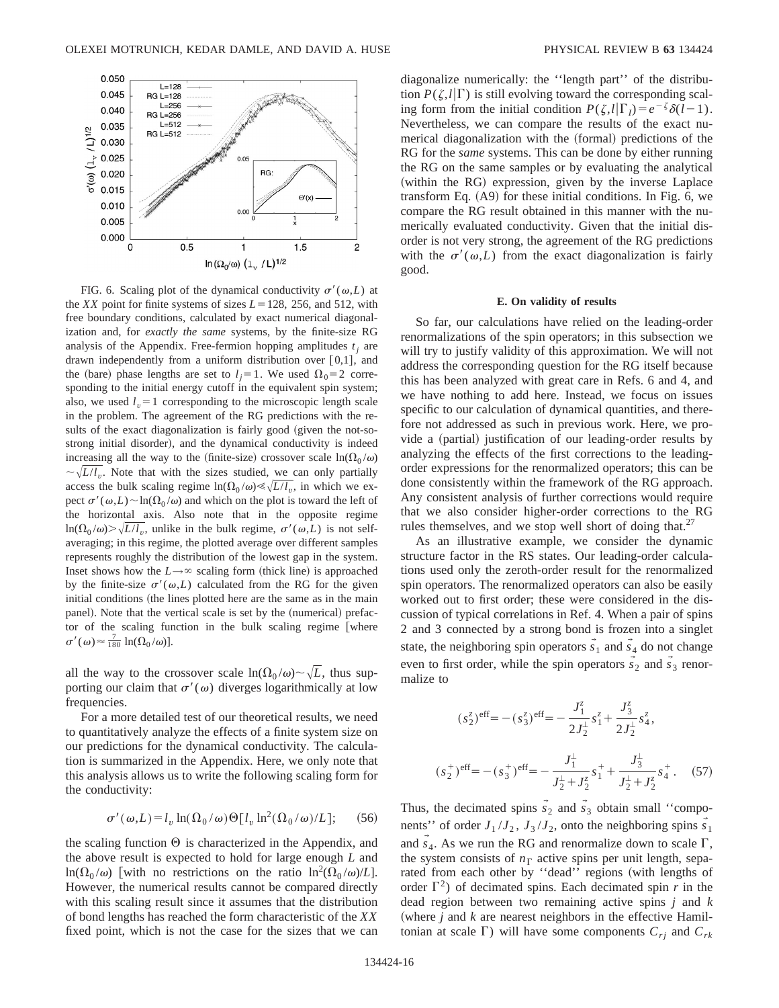

FIG. 6. Scaling plot of the dynamical conductivity  $\sigma'(\omega,L)$  at the *XX* point for finite systems of sizes  $L = 128$ , 256, and 512, with free boundary conditions, calculated by exact numerical diagonalization and, for *exactly the same* systems, by the finite-size RG analysis of the Appendix. Free-fermion hopping amplitudes  $t_i$  are drawn independently from a uniform distribution over  $[0,1]$ , and the (bare) phase lengths are set to  $l_i=1$ . We used  $\Omega_0=2$  corresponding to the initial energy cutoff in the equivalent spin system; also, we used  $l<sub>v</sub>=1$  corresponding to the microscopic length scale in the problem. The agreement of the RG predictions with the results of the exact diagonalization is fairly good (given the not-sostrong initial disorder), and the dynamical conductivity is indeed increasing all the way to the (finite-size) crossover scale  $ln(\Omega_0/\omega)$  $\sim \sqrt{L/l_p}$ . Note that with the sizes studied, we can only partially access the bulk scaling regime  $\ln(\Omega_0/\omega) \ll \sqrt{L/l_n}$ , in which we expect  $\sigma'(\omega,L) \sim \ln(\Omega_0/\omega)$  and which on the plot is toward the left of the horizontal axis. Also note that in the opposite regime  $\ln(\Omega_0/\omega)$ .  $\sqrt{L/l_n}$ , unlike in the bulk regime,  $\sigma'(\omega,L)$  is not selfaveraging; in this regime, the plotted average over different samples represents roughly the distribution of the lowest gap in the system. Inset shows how the  $L \rightarrow \infty$  scaling form (thick line) is approached by the finite-size  $\sigma'(\omega,L)$  calculated from the RG for the given initial conditions (the lines plotted here are the same as in the main panel). Note that the vertical scale is set by the (numerical) prefactor of the scaling function in the bulk scaling regime [where  $\sigma'(\omega) \approx \frac{7}{180} \ln(\Omega_0/\omega)].$ 

all the way to the crossover scale  $ln(\Omega_0/\omega) \sim \sqrt{L}$ , thus supporting our claim that  $\sigma'(\omega)$  diverges logarithmically at low frequencies.

For a more detailed test of our theoretical results, we need to quantitatively analyze the effects of a finite system size on our predictions for the dynamical conductivity. The calculation is summarized in the Appendix. Here, we only note that this analysis allows us to write the following scaling form for the conductivity:

$$
\sigma'(\omega, L) = l_v \ln(\Omega_0/\omega) \Theta[l_v \ln^2(\Omega_0/\omega)/L];\qquad(56)
$$

the scaling function  $\Theta$  is characterized in the Appendix, and the above result is expected to hold for large enough *L* and  $\ln(\Omega_0/\omega)$  [with no restrictions on the ratio  $\ln^2(\Omega_0/\omega)/L$ ]. However, the numerical results cannot be compared directly with this scaling result since it assumes that the distribution of bond lengths has reached the form characteristic of the *XX* fixed point, which is not the case for the sizes that we can diagonalize numerically: the ''length part'' of the distribution  $P(\zeta, l|\Gamma)$  is still evolving toward the corresponding scaling form from the initial condition  $P(\zeta, l|\Gamma_l) = e^{-\zeta} \delta(l-1)$ . Nevertheless, we can compare the results of the exact numerical diagonalization with the (formal) predictions of the RG for the *same* systems. This can be done by either running the RG on the same samples or by evaluating the analytical (within the RG) expression, given by the inverse Laplace transform Eq.  $(A9)$  for these initial conditions. In Fig. 6, we compare the RG result obtained in this manner with the numerically evaluated conductivity. Given that the initial disorder is not very strong, the agreement of the RG predictions with the  $\sigma'(\omega,L)$  from the exact diagonalization is fairly good.

#### **E. On validity of results**

So far, our calculations have relied on the leading-order renormalizations of the spin operators; in this subsection we will try to justify validity of this approximation. We will not address the corresponding question for the RG itself because this has been analyzed with great care in Refs. 6 and 4, and we have nothing to add here. Instead, we focus on issues specific to our calculation of dynamical quantities, and therefore not addressed as such in previous work. Here, we provide a (partial) justification of our leading-order results by analyzing the effects of the first corrections to the leadingorder expressions for the renormalized operators; this can be done consistently within the framework of the RG approach. Any consistent analysis of further corrections would require that we also consider higher-order corrections to the RG rules themselves, and we stop well short of doing that.<sup>27</sup>

As an illustrative example, we consider the dynamic structure factor in the RS states. Our leading-order calculations used only the zeroth-order result for the renormalized spin operators. The renormalized operators can also be easily worked out to first order; these were considered in the discussion of typical correlations in Ref. 4. When a pair of spins 2 and 3 connected by a strong bond is frozen into a singlet state, the neighboring spin operators  $\vec{s}_1$  and  $\vec{s}_4$  do not change even to first order, while the spin operators  $\vec{s}_2$  and  $\vec{s}_3$  renormalize to

$$
(s_2^z)^{\text{eff}} = -(s_3^z)^{\text{eff}} = -\frac{J_1^z}{2J_2^{\perp}}s_1^z + \frac{J_3^z}{2J_2^{\perp}}s_4^z,
$$
  

$$
(s_2^+)^{\text{eff}} = -(s_3^+)^{\text{eff}} = -\frac{J_1^{\perp}}{J_2^{\perp} + J_2^z}s_1^{\perp} + \frac{J_3^{\perp}}{J_2^{\perp} + J_2^z}s_4^{\perp}.
$$
 (57)

Thus, the decimated spins  $\vec{s}_2$  and  $\vec{s}_3$  obtain small "components'' of order  $J_1/J_2$ ,  $J_3/J_2$ , onto the neighboring spins  $\vec{s}_1$ and  $\vec{s}_4$ . As we run the RG and renormalize down to scale  $\Gamma$ , the system consists of  $n<sub>Γ</sub>$  active spins per unit length, separated from each other by "dead" regions (with lengths of order  $\Gamma^2$ ) of decimated spins. Each decimated spin *r* in the dead region between two remaining active spins *j* and *k* (where  $j$  and  $k$  are nearest neighbors in the effective Hamiltonian at scale  $\Gamma$ ) will have some components  $C_{ri}$  and  $C_{rk}$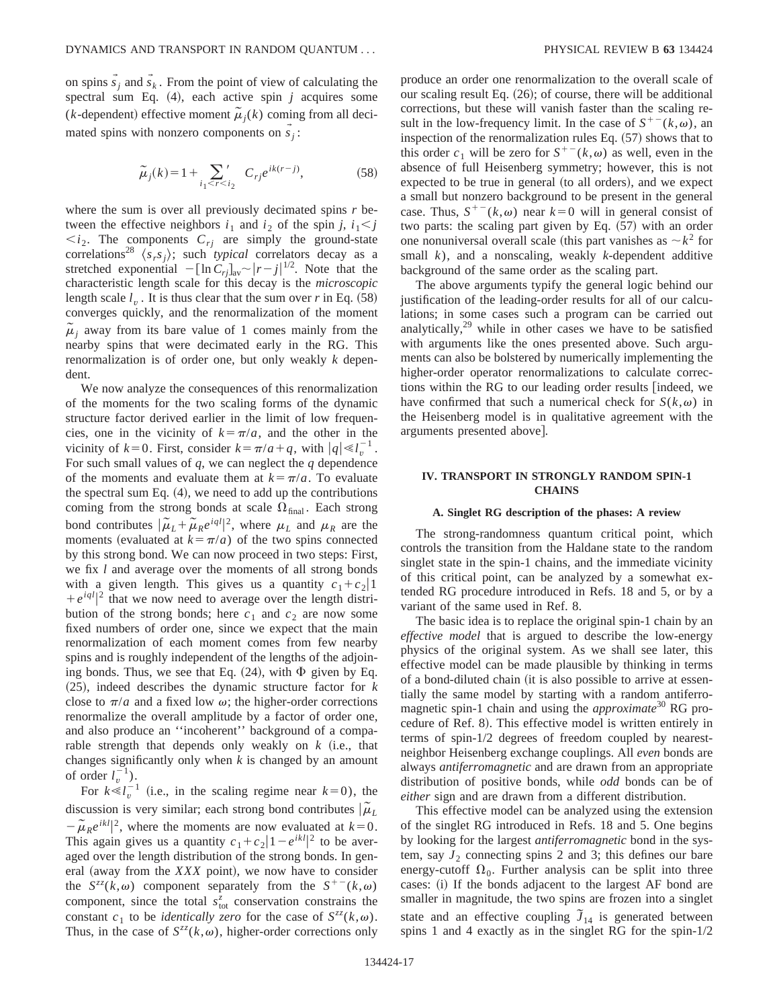on spins  $\vec{s}_j$  and  $\vec{s}_k$ . From the point of view of calculating the spectral sum Eq.  $(4)$ , each active spin *j* acquires some (*k*-dependent) effective moment  $\tilde{\mu}_i(k)$  coming from all decimated spins with nonzero components on  $\vec{s}_j$ :

$$
\tilde{\mu}_j(k) = 1 + \sum_{i_1 < r < i_2} C_{rj} e^{ik(r-j)},\tag{58}
$$

where the sum is over all previously decimated spins *r* between the effective neighbors  $i_1$  and  $i_2$  of the spin *j*,  $i_1 < j$ *. The components*  $*C*<sub>ri</sub>$  *are simply the ground-state* correlations<sup>28</sup>  $\langle s_r s_j \rangle$ ; such *typical* correlators decay as a stretched exponential  $-[\ln C_{rj}]_{av} \sim |r-j|^{1/2}$ . Note that the characteristic length scale for this decay is the *microscopic* length scale  $l<sub>v</sub>$ . It is thus clear that the sum over *r* in Eq.  $(58)$ converges quickly, and the renormalization of the moment  $\tilde{\mu}$ <sub>*i*</sub> away from its bare value of 1 comes mainly from the nearby spins that were decimated early in the RG. This renormalization is of order one, but only weakly *k* dependent.

We now analyze the consequences of this renormalization of the moments for the two scaling forms of the dynamic structure factor derived earlier in the limit of low frequencies, one in the vicinity of  $k=\pi/a$ , and the other in the vicinity of  $k=0$ . First, consider  $k=\pi/a+q$ , with  $|q| \ll l_v^{-1}$ . For such small values of *q*, we can neglect the *q* dependence of the moments and evaluate them at  $k = \pi/a$ . To evaluate the spectral sum Eq.  $(4)$ , we need to add up the contributions coming from the strong bonds at scale  $\Omega_{\text{final}}$ . Each strong bond contributes  $|\tilde{\mu}_L + \tilde{\mu}_R e^{iql}|^2$ , where  $\mu_L$  and  $\mu_R$  are the moments (evaluated at  $k = \pi/a$ ) of the two spins connected by this strong bond. We can now proceed in two steps: First, we fix *l* and average over the moments of all strong bonds with a given length. This gives us a quantity  $c_1+c_2|1$  $+e^{iql}|^2$  that we now need to average over the length distribution of the strong bonds; here  $c_1$  and  $c_2$  are now some fixed numbers of order one, since we expect that the main renormalization of each moment comes from few nearby spins and is roughly independent of the lengths of the adjoining bonds. Thus, we see that Eq.  $(24)$ , with  $\Phi$  given by Eq.  $(25)$ , indeed describes the dynamic structure factor for  $k$ close to  $\pi/a$  and a fixed low  $\omega$ ; the higher-order corrections renormalize the overall amplitude by a factor of order one, and also produce an ''incoherent'' background of a comparable strength that depends only weakly on  $k$  (i.e., that changes significantly only when *k* is changed by an amount of order  $l_v^{-1}$ ).

For  $k \le l_v^{-1}$  (i.e., in the scaling regime near  $k=0$ ), the discussion is very similar; each strong bond contributes  $|\tilde{\mu}_L|$  $-\tilde{\mu}_R e^{ikl}$ , where the moments are now evaluated at  $k=0$ . This again gives us a quantity  $c_1 + c_2 \left| 1 - e^{ikl} \right|^2$  to be averaged over the length distribution of the strong bonds. In general (away from the  $XXX$  point), we now have to consider the  $S^{zz}(k,\omega)$  component separately from the  $S^{+-}(k,\omega)$ component, since the total  $s_{\text{tot}}^z$  conservation constrains the constant  $c_1$  to be *identically zero* for the case of  $S^{zz}(k,\omega)$ . Thus, in the case of  $S^{zz}(k,\omega)$ , higher-order corrections only produce an order one renormalization to the overall scale of our scaling result Eq.  $(26)$ ; of course, there will be additional corrections, but these will vanish faster than the scaling result in the low-frequency limit. In the case of  $S^{+-}(k,\omega)$ , an inspection of the renormalization rules Eq.  $(57)$  shows that to this order  $c_1$  will be zero for  $S^{+-}(k,\omega)$  as well, even in the absence of full Heisenberg symmetry; however, this is not expected to be true in general (to all orders), and we expect a small but nonzero background to be present in the general case. Thus,  $S^{+-}(k,\omega)$  near  $k=0$  will in general consist of two parts: the scaling part given by Eq.  $(57)$  with an order one nonuniversal overall scale (this part vanishes as  $\sim k^2$  for small *k*), and a nonscaling, weakly *k*-dependent additive background of the same order as the scaling part.

The above arguments typify the general logic behind our justification of the leading-order results for all of our calculations; in some cases such a program can be carried out analytically, $29$  while in other cases we have to be satisfied with arguments like the ones presented above. Such arguments can also be bolstered by numerically implementing the higher-order operator renormalizations to calculate corrections within the RG to our leading order results [indeed, we have confirmed that such a numerical check for  $S(k,\omega)$  in the Heisenberg model is in qualitative agreement with the arguments presented above].

# **IV. TRANSPORT IN STRONGLY RANDOM SPIN-1 CHAINS**

## **A. Singlet RG description of the phases: A review**

The strong-randomness quantum critical point, which controls the transition from the Haldane state to the random singlet state in the spin-1 chains, and the immediate vicinity of this critical point, can be analyzed by a somewhat extended RG procedure introduced in Refs. 18 and 5, or by a variant of the same used in Ref. 8.

The basic idea is to replace the original spin-1 chain by an *effective model* that is argued to describe the low-energy physics of the original system. As we shall see later, this effective model can be made plausible by thinking in terms of a bond-diluted chain (it is also possible to arrive at essentially the same model by starting with a random antiferromagnetic spin-1 chain and using the *approximate*<sup>30</sup> RG procedure of Ref. 8). This effective model is written entirely in terms of spin-1/2 degrees of freedom coupled by nearestneighbor Heisenberg exchange couplings. All *even* bonds are always *antiferromagnetic* and are drawn from an appropriate distribution of positive bonds, while *odd* bonds can be of *either* sign and are drawn from a different distribution.

This effective model can be analyzed using the extension of the singlet RG introduced in Refs. 18 and 5. One begins by looking for the largest *antiferromagnetic* bond in the system, say  $J_2$  connecting spins 2 and 3; this defines our bare energy-cutoff  $\Omega_0$ . Further analysis can be split into three cases: (i) If the bonds adjacent to the largest AF bond are smaller in magnitude, the two spins are frozen into a singlet state and an effective coupling  $\tilde{J}_{14}$  is generated between spins 1 and 4 exactly as in the singlet RG for the spin-1/2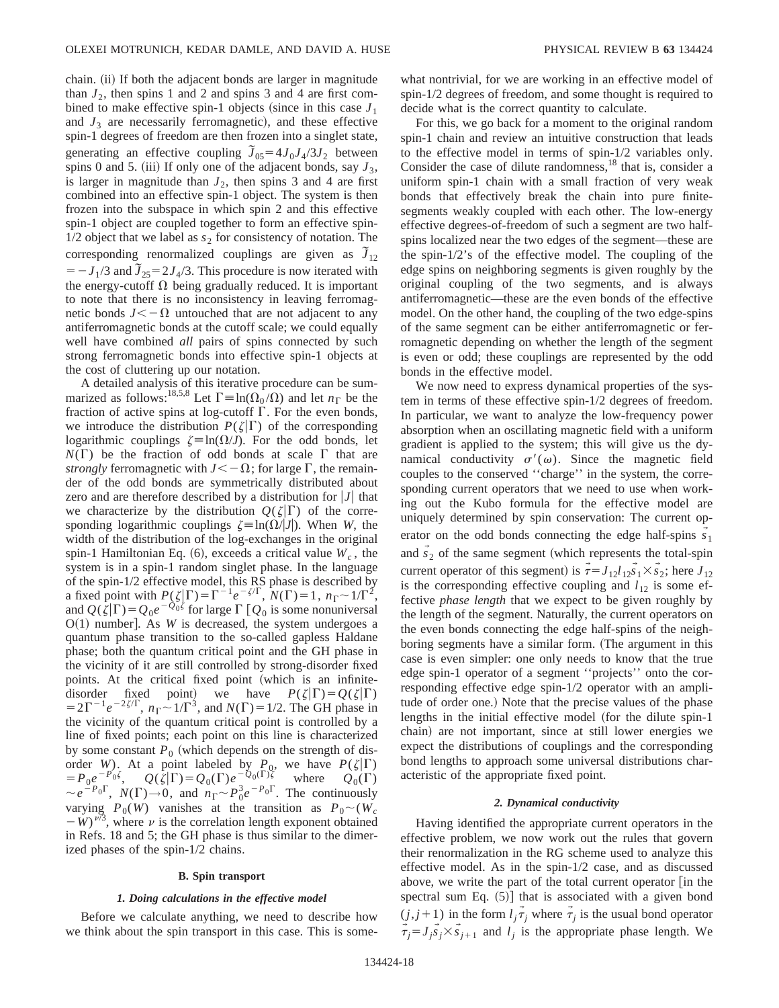chain. (ii) If both the adjacent bonds are larger in magnitude than  $J_2$ , then spins 1 and 2 and spins 3 and 4 are first combined to make effective spin-1 objects (since in this case  $J_1$ ) and  $J_3$  are necessarily ferromagnetic), and these effective spin-1 degrees of freedom are then frozen into a singlet state, generating an effective coupling  $\tilde{J}_{05} = 4J_0J_4/3J_2$  between spins 0 and 5. (iii) If only one of the adjacent bonds, say  $J_3$ , is larger in magnitude than  $J_2$ , then spins 3 and 4 are first combined into an effective spin-1 object. The system is then frozen into the subspace in which spin 2 and this effective spin-1 object are coupled together to form an effective spin- $1/2$  object that we label as  $s_2$  for consistency of notation. The corresponding renormalized couplings are given as  $\tilde{J}_{12}$  $= -J_1/3$  and  $\tilde{J}_{25} = 2J_4/3$ . This procedure is now iterated with the energy-cutoff  $\Omega$  being gradually reduced. It is important to note that there is no inconsistency in leaving ferromagnetic bonds  $J<-\Omega$  untouched that are not adjacent to any antiferromagnetic bonds at the cutoff scale; we could equally well have combined *all* pairs of spins connected by such strong ferromagnetic bonds into effective spin-1 objects at the cost of cluttering up our notation.

A detailed analysis of this iterative procedure can be summarized as follows:<sup>18,5,8</sup> Let  $\Gamma \equiv \ln(\Omega_0 / \Omega)$  and let  $n_\Gamma$  be the fraction of active spins at log-cutoff  $\Gamma$ . For the even bonds, we introduce the distribution  $P(\zeta|\Gamma)$  of the corresponding logarithmic couplings  $\zeta = \ln(\Omega/J)$ . For the odd bonds, let  $N(\Gamma)$  be the fraction of odd bonds at scale  $\Gamma$  that are *strongly* ferromagnetic with  $J < -\Omega$ ; for large  $\Gamma$ , the remainder of the odd bonds are symmetrically distributed about zero and are therefore described by a distribution for  $|J|$  that we characterize by the distribution  $Q(\zeta|\Gamma)$  of the corresponding logarithmic couplings  $\zeta \equiv \ln(\Omega / |J|)$ . When *W*, the width of the distribution of the log-exchanges in the original spin-1 Hamiltonian Eq.  $(6)$ , exceeds a critical value  $W_c$ , the system is in a spin-1 random singlet phase. In the language of the spin-1/2 effective model, this RS phase is described by a fixed point with  $P(\zeta|\Gamma) = \Gamma^{-1}e^{-\zeta/\Gamma}$ ,  $N(\Gamma) = 1$ ,  $n_{\Gamma} \sim 1/\Gamma^2$ , and  $Q(\zeta|\Gamma) = Q_0e^{-Q_0\zeta}$  for large  $\Gamma$  [ $Q_0$  is some nonuniversal  $O(1)$  number]. As *W* is decreased, the system undergoes a quantum phase transition to the so-called gapless Haldane phase; both the quantum critical point and the GH phase in the vicinity of it are still controlled by strong-disorder fixed points. At the critical fixed point (which is an infinitedisorder fixed point) we have  $P(\zeta|\Gamma) = Q(\zeta|\Gamma)$  $=2\Gamma^{-1}e^{-2\zeta/\Gamma}$ ,  $n_{\Gamma} \sim 1/\Gamma^3$ , and  $N(\Gamma)=1/2$ . The GH phase in the vicinity of the quantum critical point is controlled by a line of fixed points; each point on this line is characterized by some constant  $P_0$  (which depends on the strength of disorder *W*). At a point labeled by  $P_0$ , we have  $P(\zeta|\Gamma)$  $= P_0 e^{-P_0 \zeta},$   $Q(\zeta|\Gamma) = Q_0(\Gamma) e^{-Q_0(\Gamma)\zeta}$  where  $Q_0(\Gamma)$  $\sim e^{-P_0\Gamma}$ ,  $N(\Gamma) \rightarrow 0$ , and  $n_{\Gamma} \sim P_0^3 e^{-P_0\Gamma}$ . The continuously varying  $P_0(W)$  vanishes at the transition as  $P_0 \sim (W_c)$  $-W$ <sup> $\bar{\nu}$ 3, where  $\nu$  is the correlation length exponent obtained</sup> in Refs. 18 and 5; the GH phase is thus similar to the dimerized phases of the spin-1/2 chains.

## **B. Spin transport**

#### *1. Doing calculations in the effective model*

Before we calculate anything, we need to describe how we think about the spin transport in this case. This is somewhat nontrivial, for we are working in an effective model of spin-1/2 degrees of freedom, and some thought is required to decide what is the correct quantity to calculate.

For this, we go back for a moment to the original random spin-1 chain and review an intuitive construction that leads to the effective model in terms of spin-1/2 variables only. Consider the case of dilute randomness, $^{18}$  that is, consider a uniform spin-1 chain with a small fraction of very weak bonds that effectively break the chain into pure finitesegments weakly coupled with each other. The low-energy effective degrees-of-freedom of such a segment are two halfspins localized near the two edges of the segment—these are the spin-1/2's of the effective model. The coupling of the edge spins on neighboring segments is given roughly by the original coupling of the two segments, and is always antiferromagnetic—these are the even bonds of the effective model. On the other hand, the coupling of the two edge-spins of the same segment can be either antiferromagnetic or ferromagnetic depending on whether the length of the segment is even or odd; these couplings are represented by the odd bonds in the effective model.

We now need to express dynamical properties of the system in terms of these effective spin-1/2 degrees of freedom. In particular, we want to analyze the low-frequency power absorption when an oscillating magnetic field with a uniform gradient is applied to the system; this will give us the dynamical conductivity  $\sigma'(\omega)$ . Since the magnetic field couples to the conserved ''charge'' in the system, the corresponding current operators that we need to use when working out the Kubo formula for the effective model are uniquely determined by spin conservation: The current operator on the odd bonds connecting the edge half-spins  $\vec{s_1}$ and  $\vec{s}_2$  of the same segment (which represents the total-spin current operator of this segment) is  $\vec{\tau} = J_{12}l_{12}\vec{s}_1 \times \vec{s}_2$ ; here  $J_{12}$ is the corresponding effective coupling and  $l_{12}$  is some effective *phase length* that we expect to be given roughly by the length of the segment. Naturally, the current operators on the even bonds connecting the edge half-spins of the neighboring segments have a similar form. (The argument in this case is even simpler: one only needs to know that the true edge spin-1 operator of a segment ''projects'' onto the corresponding effective edge spin-1/2 operator with an amplitude of order one.) Note that the precise values of the phase lengths in the initial effective model (for the dilute spin-1 chain) are not important, since at still lower energies we expect the distributions of couplings and the corresponding bond lengths to approach some universal distributions characteristic of the appropriate fixed point.

## *2. Dynamical conductivity*

Having identified the appropriate current operators in the effective problem, we now work out the rules that govern their renormalization in the RG scheme used to analyze this effective model. As in the spin-1/2 case, and as discussed above, we write the part of the total current operator  $\lceil$  in the spectral sum Eq.  $(5)$ ] that is associated with a given bond  $(j, j+1)$  in the form  $l_j \tau_j$  where  $\tau_j$  is the usual bond operator  $\vec{\tau}_j = J_j \vec{s}_j \times \vec{s}_{j+1}$  and  $l_j$  is the appropriate phase length. We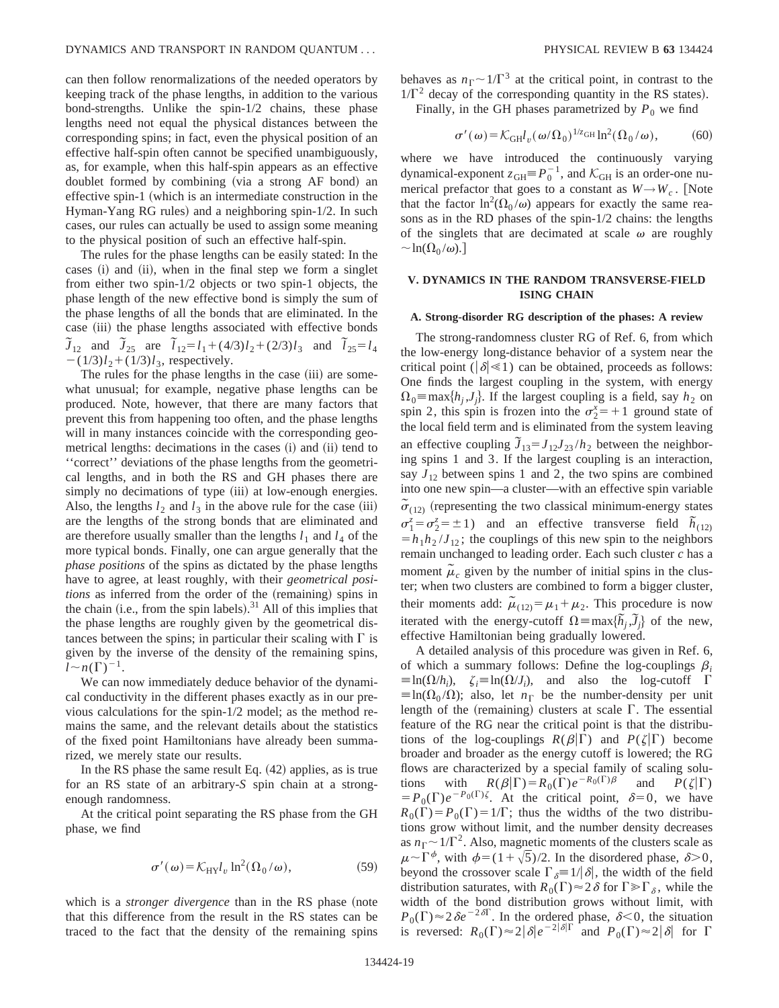can then follow renormalizations of the needed operators by keeping track of the phase lengths, in addition to the various bond-strengths. Unlike the spin-1/2 chains, these phase lengths need not equal the physical distances between the corresponding spins; in fact, even the physical position of an effective half-spin often cannot be specified unambiguously, as, for example, when this half-spin appears as an effective doublet formed by combining (via a strong AF bond) an effective spin-1 (which is an intermediate construction in the Hyman-Yang RG rules) and a neighboring spin- $1/2$ . In such cases, our rules can actually be used to assign some meaning to the physical position of such an effective half-spin.

The rules for the phase lengths can be easily stated: In the cases (i) and (ii), when in the final step we form a singlet from either two spin-1/2 objects or two spin-1 objects, the phase length of the new effective bond is simply the sum of the phase lengths of all the bonds that are eliminated. In the case (iii) the phase lengths associated with effective bonds  $\tilde{J}_{12}$  and  $\tilde{J}_{25}$  are  $\tilde{I}_{12} = l_1 + (4/3)l_2 + (2/3)l_3$  and  $\tilde{I}_{25} = l_4$  $-(1/3)l_2+(1/3)l_3$ , respectively.

The rules for the phase lengths in the case (iii) are somewhat unusual; for example, negative phase lengths can be produced. Note, however, that there are many factors that prevent this from happening too often, and the phase lengths will in many instances coincide with the corresponding geometrical lengths: decimations in the cases (i) and (ii) tend to ''correct'' deviations of the phase lengths from the geometrical lengths, and in both the RS and GH phases there are simply no decimations of type (iii) at low-enough energies. Also, the lengths  $l_2$  and  $l_3$  in the above rule for the case (iii) are the lengths of the strong bonds that are eliminated and are therefore usually smaller than the lengths  $l_1$  and  $l_4$  of the more typical bonds. Finally, one can argue generally that the *phase positions* of the spins as dictated by the phase lengths have to agree, at least roughly, with their *geometrical positions* as inferred from the order of the (remaining) spins in the chain (i.e., from the spin labels). $31$  All of this implies that the phase lengths are roughly given by the geometrical distances between the spins; in particular their scaling with  $\Gamma$  is given by the inverse of the density of the remaining spins,  $l \sim n(\Gamma)^{-1}$ .

We can now immediately deduce behavior of the dynamical conductivity in the different phases exactly as in our previous calculations for the spin-1/2 model; as the method remains the same, and the relevant details about the statistics of the fixed point Hamiltonians have already been summarized, we merely state our results.

In the RS phase the same result Eq.  $(42)$  applies, as is true for an RS state of an arbitrary-*S* spin chain at a strongenough randomness.

At the critical point separating the RS phase from the GH phase, we find

$$
\sigma'(\omega) = \mathcal{K}_{\mathrm{HY}} l_v \ln^2(\Omega_0/\omega),\tag{59}
$$

which is a *stronger divergence* than in the RS phase (note that this difference from the result in the RS states can be traced to the fact that the density of the remaining spins behaves as  $n_{\Gamma} \sim 1/\Gamma^3$  at the critical point, in contrast to the  $1/\Gamma^2$  decay of the corresponding quantity in the RS states).

Finally, in the GH phases parametrized by  $P_0$  we find

$$
\sigma'(\omega) = \mathcal{K}_{GH} l_{\nu}(\omega/\Omega_0)^{1/z_{GH}} \ln^2(\Omega_0/\omega), \tag{60}
$$

where we have introduced the continuously varying dynamical-exponent  $z_{GH} \equiv P_0^{-1}$ , and  $\mathcal{K}_{GH}$  is an order-one numerical prefactor that goes to a constant as  $W \rightarrow W_c$ . [Note that the factor  $\ln^2(\Omega_0/\omega)$  appears for exactly the same reasons as in the RD phases of the spin-1/2 chains: the lengths of the singlets that are decimated at scale  $\omega$  are roughly  $\sim \ln(\Omega_0 / \omega)$ .

# **V. DYNAMICS IN THE RANDOM TRANSVERSE-FIELD ISING CHAIN**

# **A. Strong-disorder RG description of the phases: A review**

The strong-randomness cluster RG of Ref. 6, from which the low-energy long-distance behavior of a system near the critical point ( $|\delta| \ll 1$ ) can be obtained, proceeds as follows: One finds the largest coupling in the system, with energy  $\Omega_0 \equiv \max\{h_i, J_i\}$ . If the largest coupling is a field, say  $h_2$  on spin 2, this spin is frozen into the  $\sigma_2^x = +1$  ground state of the local field term and is eliminated from the system leaving an effective coupling  $\tilde{J}_{13} = J_{12}J_{23}/h_2$  between the neighboring spins 1 and 3. If the largest coupling is an interaction, say  $J_{12}$  between spins 1 and 2, the two spins are combined into one new spin—a cluster—with an effective spin variable  $\tilde{\sigma}_{(12)}$  (representing the two classical minimum-energy states  $\sigma_1^z = \sigma_2^z = \pm 1$ ) and an effective transverse field  $\bar{h}_{(12)}$  $=h_1h_2/J_{12}$ ; the couplings of this new spin to the neighbors remain unchanged to leading order. Each such cluster *c* has a moment  $\tilde{\mu}_c$  given by the number of initial spins in the cluster; when two clusters are combined to form a bigger cluster, their moments add:  $\mu_{(12)} = \mu_1 + \mu_2$ . This procedure is now iterated with the energy-cutoff  $\Omega = \max{\{\tilde{h}_j, \tilde{J}_j\}}$  of the new, effective Hamiltonian being gradually lowered.

A detailed analysis of this procedure was given in Ref. 6, of which a summary follows: Define the log-couplings  $\beta_i$  $\equiv \ln(\Omega/h_i)$ ,  $\zeta_i \equiv \ln(\Omega/J_i)$ , and also the log-cutoff  $\Gamma$  $\equiv$ ln( $\Omega_0 / \Omega$ ); also, let  $n_E$  be the number-density per unit length of the (remaining) clusters at scale  $\Gamma$ . The essential feature of the RG near the critical point is that the distributions of the log-couplings  $R(\beta|\Gamma)$  and  $P(\zeta|\Gamma)$  become broader and broader as the energy cutoff is lowered; the RG flows are characterized by a special family of scaling solutions with  $R(\beta|\Gamma) = R_0(\Gamma)e^{-R_0(\Gamma)\beta}$  and  $P(\zeta|\Gamma)$  $= P_0(\Gamma) e^{-P_0(\Gamma)\zeta}$ . At the critical point,  $\delta = 0$ , we have  $R_0(\Gamma) = P_0(\Gamma) = 1/\Gamma$ ; thus the widths of the two distributions grow without limit, and the number density decreases as  $n_{\Gamma} \sim 1/\Gamma^2$ . Also, magnetic moments of the clusters scale as  $\mu \sim \Gamma^{\phi}$ , with  $\phi = (1+\sqrt{5})/2$ . In the disordered phase,  $\delta > 0$ , beyond the crossover scale  $\Gamma_{\delta} \equiv 1/|\delta|$ , the width of the field distribution saturates, with  $R_0(\Gamma) \approx 2\delta$  for  $\Gamma \gg \Gamma_\delta$ , while the width of the bond distribution grows without limit, with  $P_0(\Gamma) \approx 2\delta e^{-2\delta\Gamma}$ . In the ordered phase,  $\delta < 0$ , the situation is reversed:  $R_0(\Gamma) \approx 2|\delta|e^{-2|\delta|\Gamma}$  and  $P_0(\Gamma) \approx 2|\delta|$  for  $\Gamma$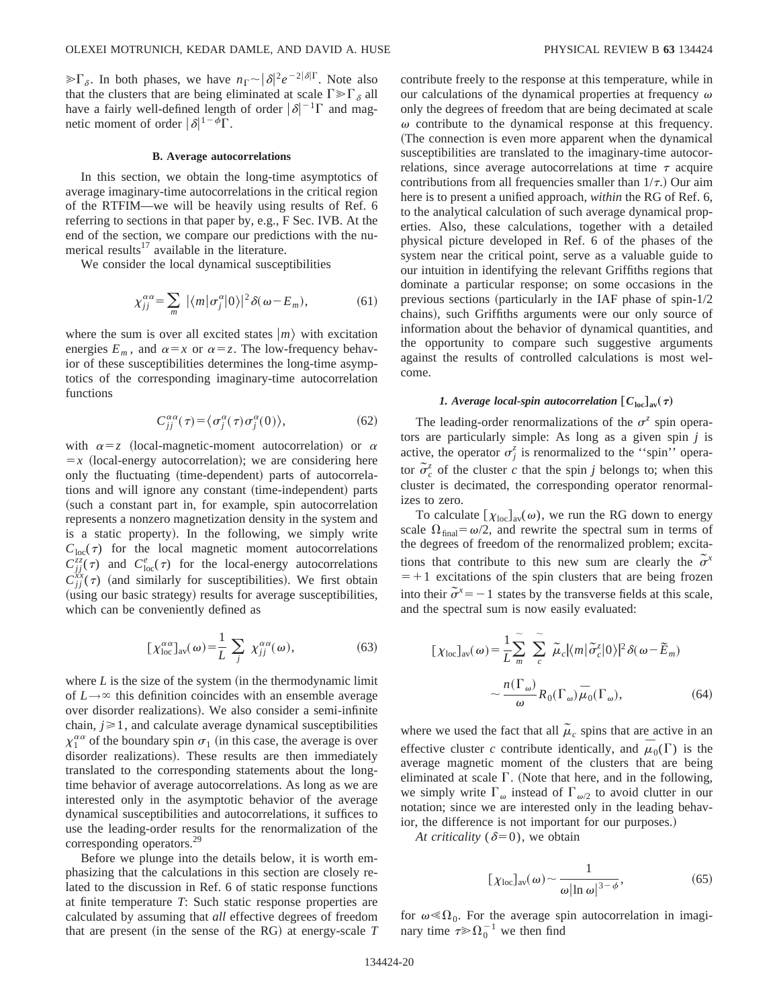$\sum \delta$ . In both phases, we have  $n_{\Gamma} \sim |\delta|^2 e^{-2|\delta| \Gamma}$ . Note also that the clusters that are being eliminated at scale  $\Gamma \gg \Gamma_{\delta}$  all have a fairly well-defined length of order  $|\delta|^{-1}\Gamma$  and magnetic moment of order  $|\delta|^{1-\phi}\Gamma$ .

#### **B. Average autocorrelations**

In this section, we obtain the long-time asymptotics of average imaginary-time autocorrelations in the critical region of the RTFIM—we will be heavily using results of Ref. 6 referring to sections in that paper by, e.g., F Sec. IVB. At the end of the section, we compare our predictions with the numerical results $^{17}$  available in the literature.

We consider the local dynamical susceptibilities

$$
\chi_{jj}^{\alpha\alpha} = \sum_{m} |\langle m|\sigma_j^{\alpha}|0\rangle|^2 \delta(\omega - E_m), \tag{61}
$$

where the sum is over all excited states  $|m\rangle$  with excitation energies  $E_m$ , and  $\alpha = x$  or  $\alpha = z$ . The low-frequency behavior of these susceptibilities determines the long-time asymptotics of the corresponding imaginary-time autocorrelation functions

$$
C_{jj}^{\alpha\alpha}(\tau) = \langle \sigma_j^{\alpha}(\tau) \sigma_j^{\alpha}(0) \rangle, \tag{62}
$$

with  $\alpha = z$  (local-magnetic-moment autocorrelation) or  $\alpha$  $= x$  (local-energy autocorrelation); we are considering here only the fluctuating (time-dependent) parts of autocorrelations and will ignore any constant (time-independent) parts (such a constant part in, for example, spin autocorrelation represents a nonzero magnetization density in the system and is a static property). In the following, we simply write  $C<sub>loc</sub>(\tau)$  for the local magnetic moment autocorrelations  $C^{zz}_{jj}(\tau)$  and  $C^e_{loc}(\tau)$  for the local-energy autocorrelations  $C_{jj}^{xx}(\tau)$  (and similarly for susceptibilities). We first obtain (using our basic strategy) results for average susceptibilities, which can be conveniently defined as

$$
[\chi_{\text{loc}}^{\alpha\alpha}]_{\text{av}}(\omega) = \frac{1}{L} \sum_{j} \chi_{jj}^{\alpha\alpha}(\omega), \tag{63}
$$

where  $L$  is the size of the system (in the thermodynamic limit of  $L \rightarrow \infty$  this definition coincides with an ensemble average over disorder realizations). We also consider a semi-infinite chain,  $j \geq 1$ , and calculate average dynamical susceptibilities  $\chi_1^{\alpha\alpha}$  of the boundary spin  $\sigma_1$  (in this case, the average is over disorder realizations). These results are then immediately translated to the corresponding statements about the longtime behavior of average autocorrelations. As long as we are interested only in the asymptotic behavior of the average dynamical susceptibilities and autocorrelations, it suffices to use the leading-order results for the renormalization of the corresponding operators.29

Before we plunge into the details below, it is worth emphasizing that the calculations in this section are closely related to the discussion in Ref. 6 of static response functions at finite temperature *T*: Such static response properties are calculated by assuming that *all* effective degrees of freedom that are present (in the sense of the RG) at energy-scale  $T$  contribute freely to the response at this temperature, while in our calculations of the dynamical properties at frequency  $\omega$ only the degrees of freedom that are being decimated at scale  $\omega$  contribute to the dynamical response at this frequency. (The connection is even more apparent when the dynamical susceptibilities are translated to the imaginary-time autocorrelations, since average autocorrelations at time  $\tau$  acquire contributions from all frequencies smaller than  $1/\tau$ .) Our aim here is to present a unified approach, *within* the RG of Ref. 6, to the analytical calculation of such average dynamical properties. Also, these calculations, together with a detailed physical picture developed in Ref. 6 of the phases of the system near the critical point, serve as a valuable guide to our intuition in identifying the relevant Griffiths regions that dominate a particular response; on some occasions in the previous sections (particularly in the IAF phase of spin- $1/2$ chains), such Griffiths arguments were our only source of information about the behavior of dynamical quantities, and the opportunity to compare such suggestive arguments against the results of controlled calculations is most welcome.

# *1. Average local-spin autocorrelation*  $[C_{\text{loc}}]_{\text{av}}(\tau)$

The leading-order renormalizations of the  $\sigma^z$  spin operators are particularly simple: As long as a given spin *j* is active, the operator  $\sigma_j^z$  is renormalized to the "spin" operator  $\sigma_c^z$  of the cluster *c* that the spin *j* belongs to; when this cluster is decimated, the corresponding operator renormalizes to zero.

To calculate  $[\chi_{\text{loc}}]_{av}(\omega)$ , we run the RG down to energy scale  $\Omega_{\text{final}} = \omega/2$ , and rewrite the spectral sum in terms of the degrees of freedom of the renormalized problem; excitations that contribute to this new sum are clearly the  $\tilde{\sigma}^x$  $=+1$  excitations of the spin clusters that are being frozen into their  $\tilde{\sigma}^x = -1$  states by the transverse fields at this scale, and the spectral sum is now easily evaluated:

$$
[\chi_{\text{loc}}]_{\text{av}}(\omega) = \frac{1}{L} \sum_{m}^{\infty} \sum_{c}^{\infty} \tilde{\mu}_{c} |\langle m| \tilde{\sigma}_{c}^{z} | 0 \rangle|^{2} \delta(\omega - \tilde{E}_{m})
$$

$$
\sim \frac{n(\Gamma_{\omega})}{\omega} R_{0}(\Gamma_{\omega}) \tilde{\mu}_{0}(\Gamma_{\omega}), \tag{64}
$$

where we used the fact that all  $\tilde{\mu}_c$  spins that are active in an effective cluster *c* contribute identically, and  $\bar{\mu}_0(\Gamma)$  is the average magnetic moment of the clusters that are being eliminated at scale  $\Gamma$ . (Note that here, and in the following, we simply write  $\Gamma_{\omega}$  instead of  $\Gamma_{\omega/2}$  to avoid clutter in our notation; since we are interested only in the leading behavior, the difference is not important for our purposes.)

*At criticality* ( $\delta$ =0), we obtain

$$
[\chi_{\text{loc}}]_{\text{av}}(\omega) \sim \frac{1}{\omega |\ln \omega|^{3-\phi}},\tag{65}
$$

for  $\omega \ll \Omega_0$ . For the average spin autocorrelation in imaginary time  $\tau \gg \Omega_0^{-1}$  we then find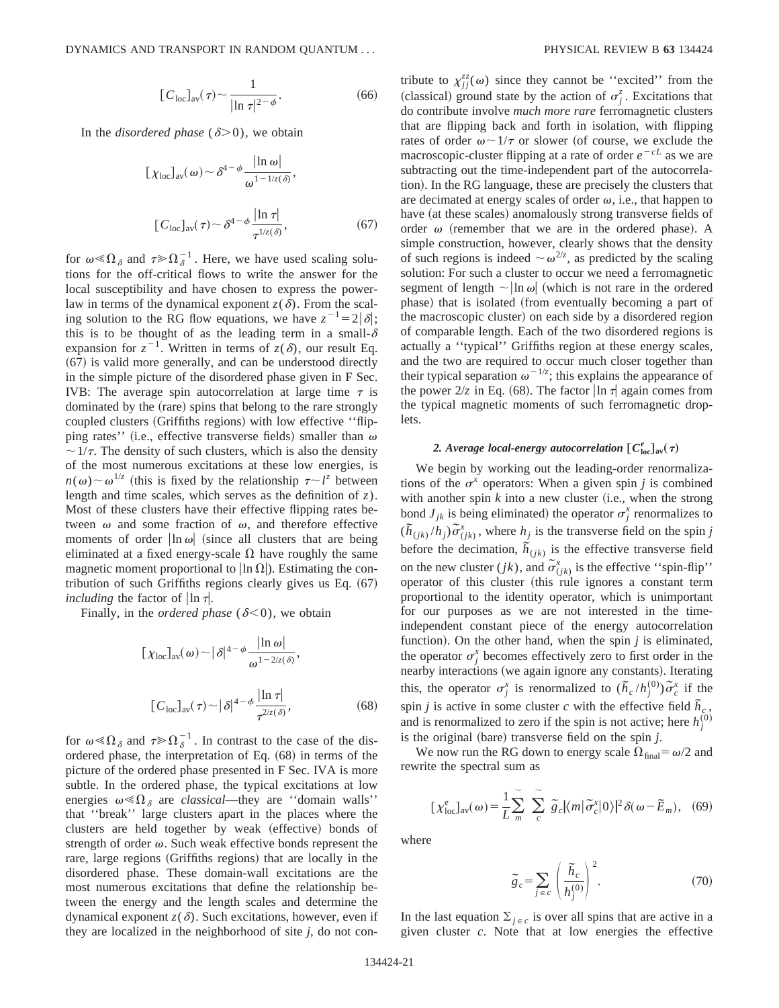$$
[C_{\text{loc}}]_{\text{av}}(\tau) \sim \frac{1}{|\ln \tau|^{2-\phi}}.\tag{66}
$$

In the *disordered phase* ( $\delta$ >0), we obtain

$$
[\chi_{\text{loc}}]_{\text{av}}(\omega) \sim \delta^{4-\phi} \frac{|\ln \omega|}{\omega^{1-1/z(\delta)}},
$$
  

$$
[C_{\text{loc}}]_{\text{av}}(\tau) \sim \delta^{4-\phi} \frac{|\ln \tau|}{\tau^{1/z(\delta)}},
$$
 (67)

for  $\omega \ll \Omega_{\delta}$  and  $\tau \gg \Omega_{\delta}^{-1}$ . Here, we have used scaling solutions for the off-critical flows to write the answer for the local susceptibility and have chosen to express the powerlaw in terms of the dynamical exponent  $z(\delta)$ . From the scaling solution to the RG flow equations, we have  $z^{-1} = 2|\delta|$ ; this is to be thought of as the leading term in a small- $\delta$ expansion for  $z^{-1}$ . Written in terms of  $z(\delta)$ , our result Eq.  $(67)$  is valid more generally, and can be understood directly in the simple picture of the disordered phase given in F Sec. IVB: The average spin autocorrelation at large time  $\tau$  is dominated by the (rare) spins that belong to the rare strongly coupled clusters (Griffiths regions) with low effective "flipping rates'' (i.e., effective transverse fields) smaller than  $\omega$  $\sim 1/\tau$ . The density of such clusters, which is also the density of the most numerous excitations at these low energies, is  $n(\omega) \sim \omega^{1/z}$  (this is fixed by the relationship  $\tau \sim l^z$  between length and time scales, which serves as the definition of *z*). Most of these clusters have their effective flipping rates between  $\omega$  and some fraction of  $\omega$ , and therefore effective moments of order  $\ln \omega$  (since all clusters that are being eliminated at a fixed energy-scale  $\Omega$  have roughly the same magnetic moment proportional to  $\ln \Omega$ ). Estimating the contribution of such Griffiths regions clearly gives us Eq.  $(67)$ *including* the factor of  $\ln \tau$ .

Finally, in the *ordered phase* ( $\delta$ <0), we obtain

$$
[\chi_{\text{loc}}]_{\text{av}}(\omega) \sim |\delta|^{4-\phi} \frac{|\ln \omega|}{\omega^{1-2/z(\delta)}},
$$
  

$$
[C_{\text{loc}}]_{\text{av}}(\tau) \sim |\delta|^{4-\phi} \frac{|\ln \tau|}{\tau^{2/z(\delta)}},
$$
 (68)

for  $\omega \ll \Omega_{\delta}$  and  $\tau \gg \Omega_{\delta}^{-1}$ . In contrast to the case of the disordered phase, the interpretation of Eq.  $(68)$  in terms of the picture of the ordered phase presented in F Sec. IVA is more subtle. In the ordered phase, the typical excitations at low energies  $\omega \ll \Omega_{\delta}$  are *classical*—they are "domain walls" that ''break'' large clusters apart in the places where the clusters are held together by weak (effective) bonds of strength of order  $\omega$ . Such weak effective bonds represent the rare, large regions (Griffiths regions) that are locally in the disordered phase. These domain-wall excitations are the most numerous excitations that define the relationship between the energy and the length scales and determine the dynamical exponent  $z(\delta)$ . Such excitations, however, even if they are localized in the neighborhood of site *j*, do not con-

tribute to  $\chi_{jj}^{zz}(\omega)$  since they cannot be "excited" from the (classical) ground state by the action of  $\sigma_j^z$ . Excitations that do contribute involve *much more rare* ferromagnetic clusters that are flipping back and forth in isolation, with flipping rates of order  $\omega \sim 1/\tau$  or slower (of course, we exclude the macroscopic-cluster flipping at a rate of order  $e^{-cL}$  as we are subtracting out the time-independent part of the autocorrelation). In the RG language, these are precisely the clusters that are decimated at energy scales of order  $\omega$ , i.e., that happen to have (at these scales) anomalously strong transverse fields of order  $\omega$  (remember that we are in the ordered phase). A simple construction, however, clearly shows that the density of such regions is indeed  $\sim \omega^{2/z}$ , as predicted by the scaling solution: For such a cluster to occur we need a ferromagnetic segment of length  $\sim$  |ln  $\omega$ | (which is not rare in the ordered phase) that is isolated (from eventually becoming a part of the macroscopic cluster) on each side by a disordered region of comparable length. Each of the two disordered regions is actually a ''typical'' Griffiths region at these energy scales, and the two are required to occur much closer together than their typical separation  $\omega^{-1/z}$ ; this explains the appearance of the power  $2/z$  in Eq. (68). The factor  $\ln \tau$  again comes from the typical magnetic moments of such ferromagnetic droplets.

# **2.** Average local-energy autocorrelation  $[C^e_{\text{loc}}]_{\text{av}}(\tau)$

We begin by working out the leading-order renormalizations of the  $\sigma^x$  operators: When a given spin *j* is combined with another spin  $k$  into a new cluster (i.e., when the strong bond  $J_{jk}$  is being eliminated) the operator  $\sigma_j^x$  renormalizes to  $(\tilde{h}_{(jk)}/h_j)\tilde{\sigma}_{(jk)}^x$ , where  $h_j$  is the transverse field on the spin *j* before the decimation,  $\overrightarrow{h}_{(jk)}$  is the effective transverse field on the new cluster (*jk*), and  $\tilde{\sigma}^x_{(jk)}$  is the effective "spin-flip" operator of this cluster (this rule ignores a constant term proportional to the identity operator, which is unimportant for our purposes as we are not interested in the timeindependent constant piece of the energy autocorrelation function). On the other hand, when the spin  $j$  is eliminated, the operator  $\sigma_j^x$  becomes effectively zero to first order in the nearby interactions (we again ignore any constants). Iterating this, the operator  $\sigma_j^x$  is renormalized to  $(\tilde{h}_c/h_j^{(0)})\tilde{\sigma}_c^x$  if the spin *j* is active in some cluster *c* with the effective field  $\tilde{h}_c$ , and is renormalized to zero if the spin is not active; here  $h_j^{(0)}$ is the original (bare) transverse field on the spin  $j$ .

We now run the RG down to energy scale  $\Omega_{\text{final}} = \omega/2$  and rewrite the spectral sum as

$$
\left[\chi_{\text{loc}}^{e}\right]_{\text{av}}(\omega) = \frac{1}{L} \sum_{m}^{\infty} \sum_{c}^{\infty} \tilde{g}_{c} |\langle m|\tilde{\sigma}_{c}^{x}|0\rangle|^{2} \delta(\omega - \tilde{E}_{m}), \quad (69)
$$

where

$$
\widetilde{g}_c = \sum_{j \in c} \left( \frac{\widetilde{h}_c}{h_j^{(0)}} \right)^2.
$$
 (70)

In the last equation  $\Sigma_{j \in c}$  is over all spins that are active in a given cluster *c*. Note that at low energies the effective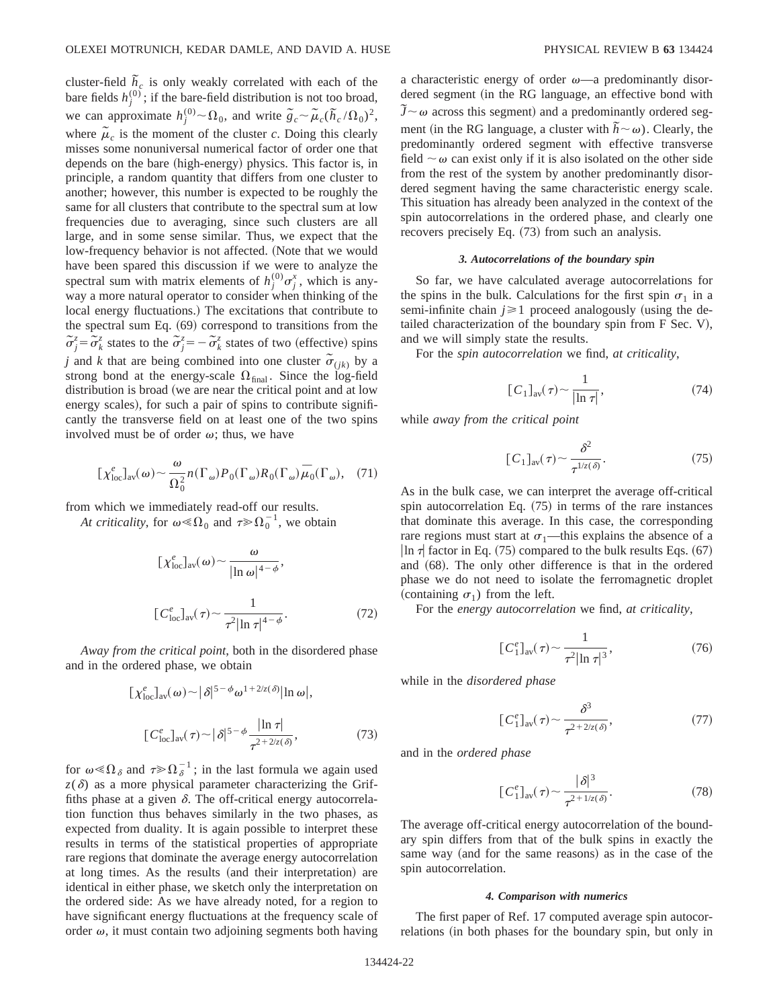cluster-field  $\tilde{h}_c$  is only weakly correlated with each of the bare fields  $h_j^{(0)}$ ; if the bare-field distribution is not too broad, we can approximate  $h_j^{(0)} \sim \Omega_0$ , and write  $\tilde{g}_c \sim \tilde{\mu}_c (\tilde{h}_c/\Omega_0)^2$ , where  $\tilde{\mu}_c$  is the moment of the cluster *c*. Doing this clearly misses some nonuniversal numerical factor of order one that depends on the bare (high-energy) physics. This factor is, in principle, a random quantity that differs from one cluster to another; however, this number is expected to be roughly the same for all clusters that contribute to the spectral sum at low frequencies due to averaging, since such clusters are all large, and in some sense similar. Thus, we expect that the low-frequency behavior is not affected. (Note that we would have been spared this discussion if we were to analyze the spectral sum with matrix elements of  $h_j^{(0)}\sigma_j^x$ , which is anyway a more natural operator to consider when thinking of the local energy fluctuations.) The excitations that contribute to the spectral sum Eq.  $(69)$  correspond to transitions from the  $\tilde{\sigma}_{j}^{z} = \tilde{\sigma}_{k}^{z}$  states to the  $\tilde{\sigma}_{j}^{z} = -\tilde{\sigma}_{k}^{z}$  states of two (effective) spins *j* and *k* that are being combined into one cluster  $\tilde{\sigma}_{(jk)}$  by a strong bond at the energy-scale  $\Omega_{final}$ . Since the log-field distribution is broad (we are near the critical point and at low energy scales), for such a pair of spins to contribute significantly the transverse field on at least one of the two spins involved must be of order  $\omega$ ; thus, we have

$$
[\chi_{\text{loc}}^e]_{\text{av}}(\omega) \sim \frac{\omega}{\Omega_0^2} n(\Gamma_\omega) P_0(\Gamma_\omega) R_0(\Gamma_\omega) \overline{\mu}_0(\Gamma_\omega), \quad (71)
$$

from which we immediately read-off our results.

At criticality, for  $\omega \ll \Omega_0$  and  $\tau \gg \Omega_0^{-1}$ , we obtain

$$
[\chi_{\text{loc}}^e]_{\text{av}}(\omega) \sim \frac{\omega}{|\ln \omega|^{4-\phi}},
$$
  

$$
[C_{\text{loc}}^e]_{\text{av}}(\tau) \sim \frac{1}{\tau^2 |\ln \tau|^{4-\phi}}.
$$
 (72)

*Away from the critical point*, both in the disordered phase and in the ordered phase, we obtain

$$
\left[\chi_{\text{loc}}^e\right]_{\text{av}}(\omega) \sim |\delta|^{5-\phi} \omega^{1+2/z(\delta)} |\ln \omega|,
$$
  

$$
\left[C_{\text{loc}}^e\right]_{\text{av}}(\tau) \sim |\delta|^{5-\phi} \frac{|\ln \tau|}{\tau^{2+2/z(\delta)}},\tag{73}
$$

for  $\omega \ll \Omega_{\delta}$  and  $\tau \gg \Omega_{\delta}^{-1}$ ; in the last formula we again used  $z(\delta)$  as a more physical parameter characterizing the Griffiths phase at a given  $\delta$ . The off-critical energy autocorrelation function thus behaves similarly in the two phases, as expected from duality. It is again possible to interpret these results in terms of the statistical properties of appropriate rare regions that dominate the average energy autocorrelation at long times. As the results (and their interpretation) are identical in either phase, we sketch only the interpretation on the ordered side: As we have already noted, for a region to have significant energy fluctuations at the frequency scale of order  $\omega$ , it must contain two adjoining segments both having a characteristic energy of order  $\omega$ —a predominantly disordered segment (in the RG language, an effective bond with  $\tilde{J} \sim \omega$  across this segment) and a predominantly ordered segment (in the RG language, a cluster with  $hbar \sim \omega$ ). Clearly, the predominantly ordered segment with effective transverse field  $\sim \omega$  can exist only if it is also isolated on the other side from the rest of the system by another predominantly disordered segment having the same characteristic energy scale. This situation has already been analyzed in the context of the spin autocorrelations in the ordered phase, and clearly one recovers precisely Eq.  $(73)$  from such an analysis.

## *3. Autocorrelations of the boundary spin*

So far, we have calculated average autocorrelations for the spins in the bulk. Calculations for the first spin  $\sigma_1$  in a semi-infinite chain  $j \ge 1$  proceed analogously (using the detailed characterization of the boundary spin from  $F$  Sec. V), and we will simply state the results.

For the *spin autocorrelation* we find, *at criticality*,

$$
[C_1]_{\text{av}}(\tau) \sim \frac{1}{|\ln \tau|},\tag{74}
$$

while *away from the critical point*

$$
[C_1]_{\text{av}}(\tau) \sim \frac{\delta^2}{\tau^{1/z(\delta)}}.
$$
 (75)

As in the bulk case, we can interpret the average off-critical spin autocorrelation Eq.  $(75)$  in terms of the rare instances that dominate this average. In this case, the corresponding rare regions must start at  $\sigma_1$ —this explains the absence of a  $\ln \tau$  factor in Eq. (75) compared to the bulk results Eqs. (67) and  $(68)$ . The only other difference is that in the ordered phase we do not need to isolate the ferromagnetic droplet (containing  $\sigma_1$ ) from the left.

For the *energy autocorrelation* we find, *at criticality*,

$$
[C_1^e]_{\rm av}(\tau) \sim \frac{1}{\tau^2 |\ln \tau|^3},\tag{76}
$$

while in the *disordered phase*

$$
[C_{1}]_{\text{av}}(\tau) \sim \frac{\delta^{3}}{\tau^{2+2/z(\delta)}},\tag{77}
$$

and in the *ordered phase*

$$
[C_1^e]_{\text{av}}(\tau) \sim \frac{|\delta|^3}{\tau^{2+1/z(\delta)}}.
$$
 (78)

The average off-critical energy autocorrelation of the boundary spin differs from that of the bulk spins in exactly the same way (and for the same reasons) as in the case of the spin autocorrelation.

#### *4. Comparison with numerics*

The first paper of Ref. 17 computed average spin autocorrelations (in both phases for the boundary spin, but only in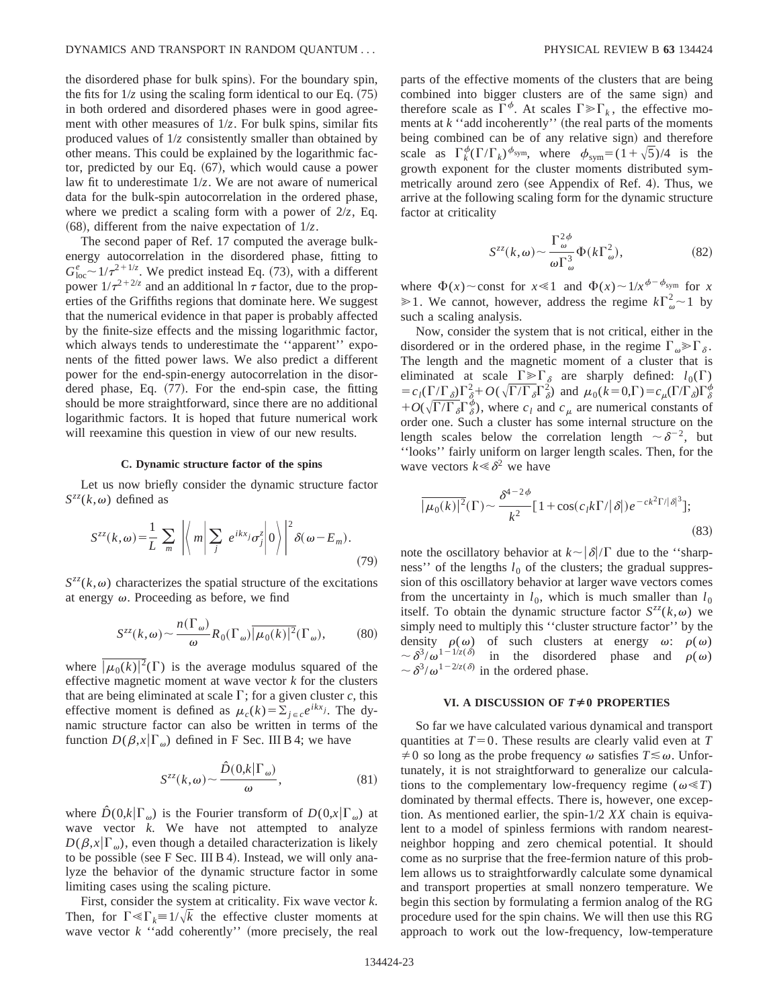the disordered phase for bulk spins). For the boundary spin, the fits for  $1/z$  using the scaling form identical to our Eq.  $(75)$ in both ordered and disordered phases were in good agreement with other measures of  $1/z$ . For bulk spins, similar fits produced values of 1/*z* consistently smaller than obtained by other means. This could be explained by the logarithmic factor, predicted by our Eq.  $(67)$ , which would cause a power law fit to underestimate 1/*z*. We are not aware of numerical data for the bulk-spin autocorrelation in the ordered phase, where we predict a scaling form with a power of 2/*z*, Eq.  $(68)$ , different from the naive expectation of  $1/z$ .

The second paper of Ref. 17 computed the average bulkenergy autocorrelation in the disordered phase, fitting to  $G_{\text{loc}}^e \sim 1/\tau^{2+1/z}$ . We predict instead Eq. (73), with a different power  $1/\tau^{2+2/z}$  and an additional ln  $\tau$  factor, due to the properties of the Griffiths regions that dominate here. We suggest that the numerical evidence in that paper is probably affected by the finite-size effects and the missing logarithmic factor, which always tends to underestimate the ''apparent'' exponents of the fitted power laws. We also predict a different power for the end-spin-energy autocorrelation in the disordered phase, Eq.  $(77)$ . For the end-spin case, the fitting should be more straightforward, since there are no additional logarithmic factors. It is hoped that future numerical work will reexamine this question in view of our new results.

#### **C. Dynamic structure factor of the spins**

Let us now briefly consider the dynamic structure factor  $S^{zz}(k,\omega)$  defined as

$$
S^{zz}(k,\omega) = \frac{1}{L} \sum_{m} \left| \left\langle m \middle| \sum_{j} e^{ikx_{j}} \sigma_{j}^{z} \middle| 0 \right\rangle \right|^{2} \delta(\omega - E_{m}). \tag{79}
$$

 $S^{zz}(k,\omega)$  characterizes the spatial structure of the excitations at energy  $\omega$ . Proceeding as before, we find

$$
S^{zz}(k,\omega) \sim \frac{n(\Gamma_{\omega})}{\omega} R_0(\Gamma_{\omega}) \overline{|\mu_0(k)|^2}(\Gamma_{\omega}), \quad (80)
$$

where  $\sqrt{\mu_0(k)^2}(\Gamma)$  is the average modulus squared of the effective magnetic moment at wave vector *k* for the clusters that are being eliminated at scale  $\Gamma$ ; for a given cluster *c*, this effective moment is defined as  $\mu_c(k) = \sum_{i \in c} e^{ikx_i}$ . The dynamic structure factor can also be written in terms of the function  $D(\beta, x | \Gamma_{\omega})$  defined in F Sec. III B 4; we have

$$
S^{zz}(k,\omega) \sim \frac{\hat{D}(0,k|\Gamma_{\omega})}{\omega},\tag{81}
$$

where  $\hat{D}(0,k|\Gamma_{\omega})$  is the Fourier transform of  $D(0,x|\Gamma_{\omega})$  at wave vector *k*. We have not attempted to analyze  $D(\beta, x|\Gamma_{\omega})$ , even though a detailed characterization is likely to be possible (see F Sec. III B 4). Instead, we will only analyze the behavior of the dynamic structure factor in some limiting cases using the scaling picture.

First, consider the system at criticality. Fix wave vector *k*. Then, for  $\Gamma \ll \Gamma_k = 1/\sqrt{k}$  the effective cluster moments at wave vector  $k$  "add coherently" (more precisely, the real parts of the effective moments of the clusters that are being combined into bigger clusters are of the same sign) and therefore scale as  $\Gamma^{\phi}$ . At scales  $\Gamma \gg \Gamma_k$ , the effective moments at  $k$  "add incoherently" (the real parts of the moments being combined can be of any relative sign) and therefore scale as  $\Gamma_k^{\phi}(\Gamma/\Gamma_k)^{\phi_{sym}}$ , where  $\phi_{sym}=(1+\sqrt{5})/4$  is the growth exponent for the cluster moments distributed symmetrically around zero (see Appendix of Ref. 4). Thus, we arrive at the following scaling form for the dynamic structure factor at criticality

$$
S^{zz}(k,\omega) \sim \frac{\Gamma_{\omega}^{2\phi}}{\omega \Gamma_{\omega}^3} \Phi(k\Gamma_{\omega}^2),
$$
 (82)

where  $\Phi(x)$  const for  $x \le 1$  and  $\Phi(x) \sim 1/x^{\phi-\phi_{sym}}$  for *x*  $\geq 1$ . We cannot, however, address the regime  $k\Gamma_{\omega}^2 \sim 1$  by such a scaling analysis.

Now, consider the system that is not critical, either in the disordered or in the ordered phase, in the regime  $\Gamma_{\omega} \ge \Gamma_{\delta}$ . The length and the magnetic moment of a cluster that is eliminated at scale  $\Gamma \geq \Gamma_{\delta}$  are sharply defined:  $l_0(\Gamma)$  $=c_l(\Gamma/\Gamma_{\delta})\Gamma_{\delta}^2 + O(\sqrt{\Gamma/\Gamma_{\delta}}\Gamma_{\delta}^2)$  and  $\mu_0(k=0,\Gamma) = c_{\mu}(\Gamma/\Gamma_{\delta})\Gamma_{\delta}^{\phi}$  $+O(\sqrt{\Gamma/\Gamma_{\delta}}\Gamma_{\delta}^{\phi})$ , where  $c_l$  and  $c_{\mu}$  are numerical constants of order one. Such a cluster has some internal structure on the length scales below the correlation length  $\sim \delta^{-2}$ , but ''looks'' fairly uniform on larger length scales. Then, for the wave vectors  $k \leq \delta^2$  we have

$$
\overline{|\mu_0(k)|^2}(\Gamma) \sim \frac{\delta^{4-2\phi}}{k^2} [1 + \cos(c_l k \Gamma / |\delta|) e^{-ck^2 \Gamma / |\delta|^3}];
$$
\n(83)

note the oscillatory behavior at  $k \sim |\delta|/\Gamma$  due to the "sharpness'' of the lengths  $l_0$  of the clusters; the gradual suppression of this oscillatory behavior at larger wave vectors comes from the uncertainty in  $l_0$ , which is much smaller than  $l_0$ itself. To obtain the dynamic structure factor  $S^{zz}(k,\omega)$  we simply need to multiply this ''cluster structure factor'' by the density  $\rho(\omega)$  of such clusters at energy  $\omega$ :  $\rho(\omega)$  $\sim \delta^{3}/\omega^{1-1/z(\delta)}$  in the disordered phase and  $\rho(\omega)$  $\sim \delta^{3}/\omega^{1-2/z(\delta)}$  in the ordered phase.

## **VI. A DISCUSSION OF**  $T \neq 0$  **PROPERTIES**

So far we have calculated various dynamical and transport quantities at  $T=0$ . These results are clearly valid even at  $T$  $\neq 0$  so long as the probe frequency  $\omega$  satisfies  $T \leq \omega$ . Unfortunately, it is not straightforward to generalize our calculations to the complementary low-frequency regime ( $\omega \ll T$ ) dominated by thermal effects. There is, however, one exception. As mentioned earlier, the spin-1/2 *XX* chain is equivalent to a model of spinless fermions with random nearestneighbor hopping and zero chemical potential. It should come as no surprise that the free-fermion nature of this problem allows us to straightforwardly calculate some dynamical and transport properties at small nonzero temperature. We begin this section by formulating a fermion analog of the RG procedure used for the spin chains. We will then use this RG approach to work out the low-frequency, low-temperature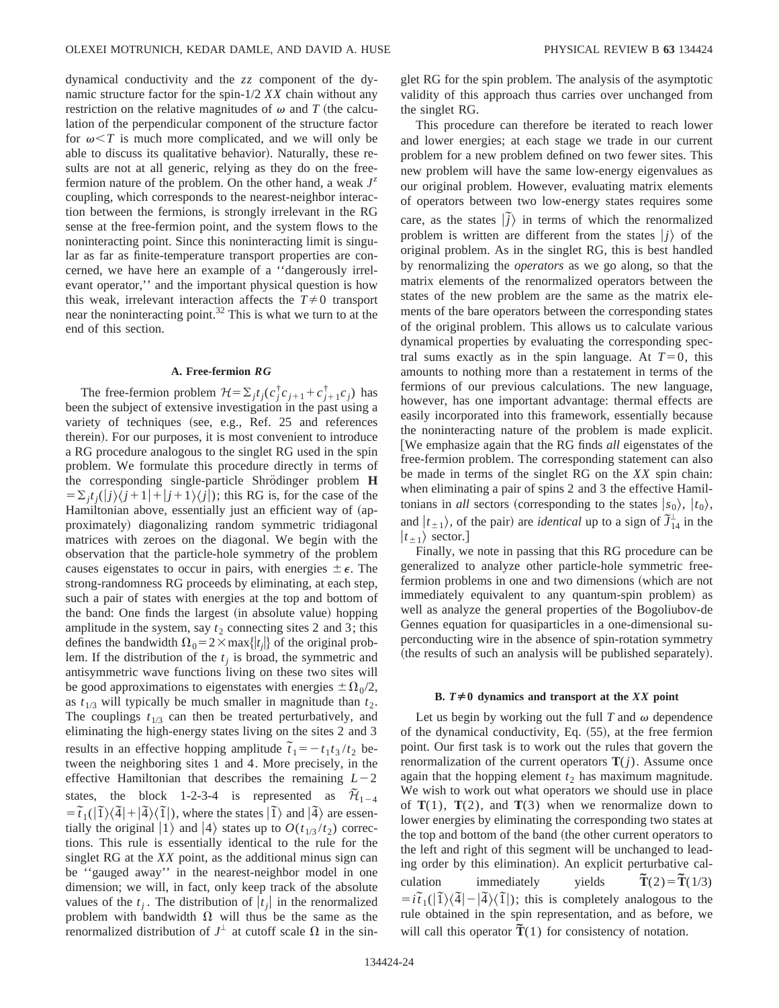dynamical conductivity and the *zz* component of the dynamic structure factor for the spin-1/2 *XX* chain without any restriction on the relative magnitudes of  $\omega$  and *T* (the calculation of the perpendicular component of the structure factor for  $\omega < T$  is much more complicated, and we will only be able to discuss its qualitative behavior). Naturally, these results are not at all generic, relying as they do on the freefermion nature of the problem. On the other hand, a weak  $J^z$ coupling, which corresponds to the nearest-neighbor interaction between the fermions, is strongly irrelevant in the RG sense at the free-fermion point, and the system flows to the noninteracting point. Since this noninteracting limit is singular as far as finite-temperature transport properties are concerned, we have here an example of a ''dangerously irrelevant operator,'' and the important physical question is how this weak, irrelevant interaction affects the  $T\neq 0$  transport near the noninteracting point.<sup>32</sup> This is what we turn to at the end of this section.

# **A. Free-fermion** *RG*

The free-fermion problem  $\mathcal{H} = \sum_j t_j(c_j^{\dagger} c_{j+1} + c_{j+1}^{\dagger} c_j)$  has been the subject of extensive investigation in the past using a variety of techniques (see, e.g., Ref.  $25$  and references therein). For our purposes, it is most convenient to introduce a RG procedure analogous to the singlet RG used in the spin problem. We formulate this procedure directly in terms of the corresponding single-particle Shrödinger problem H  $=\sum_{i} t_i(|j\rangle\langle j+1|+|j+1\rangle\langle j|)$ ; this RG is, for the case of the Hamiltonian above, essentially just an efficient way of (approximately) diagonalizing random symmetric tridiagonal matrices with zeroes on the diagonal. We begin with the observation that the particle-hole symmetry of the problem causes eigenstates to occur in pairs, with energies  $\pm \epsilon$ . The strong-randomness RG proceeds by eliminating, at each step, such a pair of states with energies at the top and bottom of the band: One finds the largest (in absolute value) hopping amplitude in the system, say  $t_2$  connecting sites 2 and 3; this defines the bandwidth  $\Omega_0 = 2 \times \max\{|t_j|\}$  of the original problem. If the distribution of the  $t_i$  is broad, the symmetric and antisymmetric wave functions living on these two sites will be good approximations to eigenstates with energies  $\pm \Omega_0/2$ , as  $t_{1/3}$  will typically be much smaller in magnitude than  $t_2$ . The couplings  $t_{1/3}$  can then be treated perturbatively, and eliminating the high-energy states living on the sites 2 and 3 results in an effective hopping amplitude  $\tilde{t}_1 = -t_1 t_3 / t_2$  between the neighboring sites 1 and 4. More precisely, in the effective Hamiltonian that describes the remaining  $L-2$ states, the block 1-2-3-4 is represented as  $\tilde{\mathcal{H}}_{1-4}$  $= \tilde{t}_1(|\tilde{1}\rangle\langle\tilde{4}| + |\tilde{4}\rangle\langle\tilde{1}|)$ , where the states  $|\tilde{1}\rangle$  and  $|\tilde{4}\rangle$  are essentially the original  $|1\rangle$  and  $|4\rangle$  states up to  $O(t_{1/3}/t_2)$  corrections. This rule is essentially identical to the rule for the singlet RG at the *XX* point, as the additional minus sign can be ''gauged away'' in the nearest-neighbor model in one dimension; we will, in fact, only keep track of the absolute values of the  $t_i$ . The distribution of  $|t_i|$  in the renormalized problem with bandwidth  $\Omega$  will thus be the same as the renormalized distribution of  $J^{\perp}$  at cutoff scale  $\Omega$  in the singlet RG for the spin problem. The analysis of the asymptotic validity of this approach thus carries over unchanged from the singlet RG.

This procedure can therefore be iterated to reach lower and lower energies; at each stage we trade in our current problem for a new problem defined on two fewer sites. This new problem will have the same low-energy eigenvalues as our original problem. However, evaluating matrix elements of operators between two low-energy states requires some care, as the states  $|\tilde{j}\rangle$  in terms of which the renormalized problem is written are different from the states  $|j\rangle$  of the original problem. As in the singlet RG, this is best handled by renormalizing the *operators* as we go along, so that the matrix elements of the renormalized operators between the states of the new problem are the same as the matrix elements of the bare operators between the corresponding states of the original problem. This allows us to calculate various dynamical properties by evaluating the corresponding spectral sums exactly as in the spin language. At  $T=0$ , this amounts to nothing more than a restatement in terms of the fermions of our previous calculations. The new language, however, has one important advantage: thermal effects are easily incorporated into this framework, essentially because the noninteracting nature of the problem is made explicit. We emphasize again that the RG finds *all* eigenstates of the free-fermion problem. The corresponding statement can also be made in terms of the singlet RG on the *XX* spin chain: when eliminating a pair of spins 2 and 3 the effective Hamiltonians in *all* sectors (corresponding to the states  $|s_0\rangle, |t_0\rangle,$ and  $|t_{\pm 1}\rangle$ , of the pair) are *identical* up to a sign of  $\tilde{J}_{\pm 4}^{\perp}$  in the  $|t_{\pm 1}\rangle$  sector.]

Finally, we note in passing that this RG procedure can be generalized to analyze other particle-hole symmetric freefermion problems in one and two dimensions (which are not immediately equivalent to any quantum-spin problem) as well as analyze the general properties of the Bogoliubov-de Gennes equation for quasiparticles in a one-dimensional superconducting wire in the absence of spin-rotation symmetry (the results of such an analysis will be published separately).

#### **B.**  $T \neq 0$  dynamics and transport at the *XX* point

Let us begin by working out the full  $T$  and  $\omega$  dependence of the dynamical conductivity, Eq.  $(55)$ , at the free fermion point. Our first task is to work out the rules that govern the renormalization of the current operators  $\mathbf{T}(j)$ . Assume once again that the hopping element  $t_2$  has maximum magnitude. We wish to work out what operators we should use in place of  $T(1)$ ,  $T(2)$ , and  $T(3)$  when we renormalize down to lower energies by eliminating the corresponding two states at the top and bottom of the band (the other current operators to the left and right of this segment will be unchanged to leading order by this elimination). An explicit perturbative calculation immediately yields  $\tilde{T}(2) = \tilde{T}(1/3)$  $= i\tilde{t}_1(|\tilde{I}\rangle\langle\tilde{A}| - |\tilde{A}\rangle\langle\tilde{I}|)$ ; this is completely analogous to the rule obtained in the spin representation, and as before, we will call this operator  $\tilde{T}(1)$  for consistency of notation.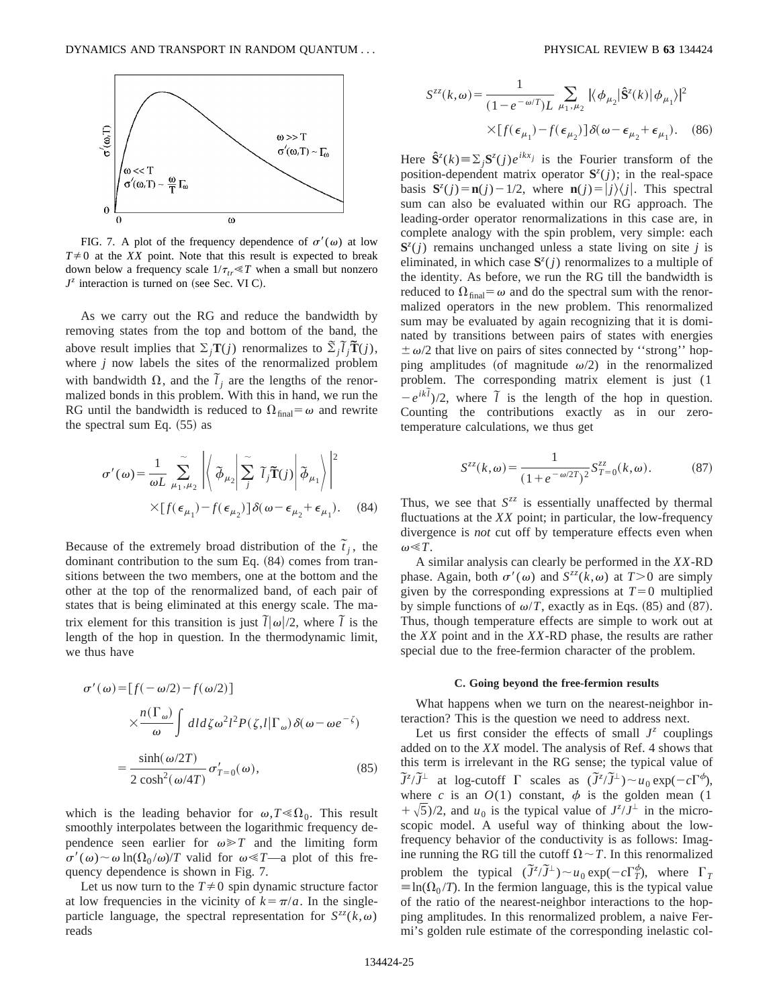

FIG. 7. A plot of the frequency dependence of  $\sigma'(\omega)$  at low  $T\neq 0$  at the *XX* point. Note that this result is expected to break down below a frequency scale  $1/\tau_{tr} \ll T$  when a small but nonzero  $J^z$  interaction is turned on (see Sec. VI C).

As we carry out the RG and reduce the bandwidth by removing states from the top and bottom of the band, the above result implies that  $\Sigma_j \mathbf{T}(j)$  renormalizes to  $\tilde{\Sigma}_j \tilde{\mathbf{I}}(j)$ , where *j* now labels the sites of the renormalized problem with bandwidth  $\Omega$ , and the  $\tilde{l}_j$  are the lengths of the renormalized bonds in this problem. With this in hand, we run the RG until the bandwidth is reduced to  $\Omega_{\text{final}} = \omega$  and rewrite the spectral sum Eq.  $(55)$  as

$$
\sigma'(\omega) = \frac{1}{\omega L} \sum_{\mu_1, \mu_2}^{\infty} \left| \left\langle \mathcal{J}_{\mu_2} \middle| \sum_j^{\infty} \tilde{I}_j \tilde{T}(j) \middle| \mathcal{J}_{\mu_1} \right\rangle \right|^2
$$
  
×[ $f(\epsilon_{\mu_1}) - f(\epsilon_{\mu_2})$ ]  $\delta(\omega - \epsilon_{\mu_2} + \epsilon_{\mu_1})$ . (84)

Because of the extremely broad distribution of the  $\tilde{t}_j$ , the dominant contribution to the sum Eq.  $(84)$  comes from transitions between the two members, one at the bottom and the other at the top of the renormalized band, of each pair of states that is being eliminated at this energy scale. The matrix element for this transition is just  $\overline{l}|\omega|/2$ , where  $\overline{l}$  is the length of the hop in question. In the thermodynamic limit, we thus have

$$
\sigma'(\omega) = [f(-\omega/2) - f(\omega/2)]
$$
  

$$
\times \frac{n(\Gamma_{\omega})}{\omega} \int dl d\zeta \omega^2 l^2 P(\zeta, l | \Gamma_{\omega}) \delta(\omega - \omega e^{-\zeta})
$$
  

$$
= \frac{\sinh(\omega/2T)}{2 \cosh^2(\omega/4T)} \sigma'_{T=0}(\omega),
$$
 (85)

which is the leading behavior for  $\omega, T \ll \Omega_0$ . This result smoothly interpolates between the logarithmic frequency dependence seen earlier for  $\omega \ge T$  and the limiting form  $\sigma'(\omega) \sim \omega \ln(\Omega_0 / \omega)/T$  valid for  $\omega \ll T$ —a plot of this frequency dependence is shown in Fig. 7.

Let us now turn to the  $T\neq 0$  spin dynamic structure factor at low frequencies in the vicinity of  $k = \pi/a$ . In the singleparticle language, the spectral representation for  $S^{zz}(k,\omega)$ reads

$$
S^{zz}(k,\omega) = \frac{1}{(1 - e^{-\omega/T})L} \sum_{\mu_1, \mu_2} |\langle \phi_{\mu_2} | \hat{\mathbf{S}}^z(k) | \phi_{\mu_1} \rangle|^2
$$
  
 
$$
\times [f(\epsilon_{\mu_1}) - f(\epsilon_{\mu_2})] \delta(\omega - \epsilon_{\mu_2} + \epsilon_{\mu_1}). \quad (86)
$$

Here  $\hat{\mathbf{S}}^{z}(k) \equiv \sum_{j} \mathbf{S}^{z}(j) e^{ikx_j}$  is the Fourier transform of the position-dependent matrix operator  $S^{z}(j)$ ; in the real-space basis  $S^{z}(j) = n(j) - 1/2$ , where  $n(j) = |j\rangle\langle j|$ . This spectral sum can also be evaluated within our RG approach. The leading-order operator renormalizations in this case are, in complete analogy with the spin problem, very simple: each  $S^{z}(j)$  remains unchanged unless a state living on site *j* is eliminated, in which case  $S^z(j)$  renormalizes to a multiple of the identity. As before, we run the RG till the bandwidth is reduced to  $\Omega_{\text{final}} = \omega$  and do the spectral sum with the renormalized operators in the new problem. This renormalized sum may be evaluated by again recognizing that it is dominated by transitions between pairs of states with energies  $\pm \omega/2$  that live on pairs of sites connected by "strong" hopping amplitudes (of magnitude  $\omega/2$ ) in the renormalized problem. The corresponding matrix element is just (1  $-e^{ik\tilde{l}}/2$ , where  $\tilde{l}$  is the length of the hop in question. Counting the contributions exactly as in our zerotemperature calculations, we thus get

$$
S^{zz}(k,\omega) = \frac{1}{(1 + e^{-\omega/2T})^2} S_{T=0}^{zz}(k,\omega).
$$
 (87)

Thus, we see that  $S^{zz}$  is essentially unaffected by thermal fluctuations at the *XX* point; in particular, the low-frequency divergence is *not* cut off by temperature effects even when  $\omega \ll T$ .

A similar analysis can clearly be performed in the *XX*-RD phase. Again, both  $\sigma'(\omega)$  and  $S^{zz}(k,\omega)$  at  $T>0$  are simply given by the corresponding expressions at  $T=0$  multiplied by simple functions of  $\omega/T$ , exactly as in Eqs. (85) and (87). Thus, though temperature effects are simple to work out at the *XX* point and in the *XX*-RD phase, the results are rather special due to the free-fermion character of the problem.

#### **C. Going beyond the free-fermion results**

What happens when we turn on the nearest-neighbor interaction? This is the question we need to address next.

Let us first consider the effects of small  $J^z$  couplings added on to the *XX* model. The analysis of Ref. 4 shows that this term is irrelevant in the RG sense; the typical value of  $\widetilde{J}^z/\widetilde{J}^{\perp}$  at log-cutoff  $\Gamma$  scales as  $(\widetilde{J}^z/\widetilde{J}^{\perp}) \sim u_0 \exp(-c\Gamma^{\phi}),$ where *c* is an  $O(1)$  constant,  $\phi$  is the golden mean (1)  $+\sqrt{5}$ /2, and *u*<sub>0</sub> is the typical value of  $J^z/J^{\perp}$  in the microscopic model. A useful way of thinking about the lowfrequency behavior of the conductivity is as follows: Imagine running the RG till the cutoff  $\Omega \sim T$ . In this renormalized problem the typical  $(\tilde{J}^z/\tilde{J}^{\perp}) \sim u_0 \exp(-c\Gamma_T^{\phi})$ , where  $\Gamma_T$  $\equiv$ ln( $\Omega_0 / T$ ). In the fermion language, this is the typical value of the ratio of the nearest-neighbor interactions to the hopping amplitudes. In this renormalized problem, a naive Fermi's golden rule estimate of the corresponding inelastic col-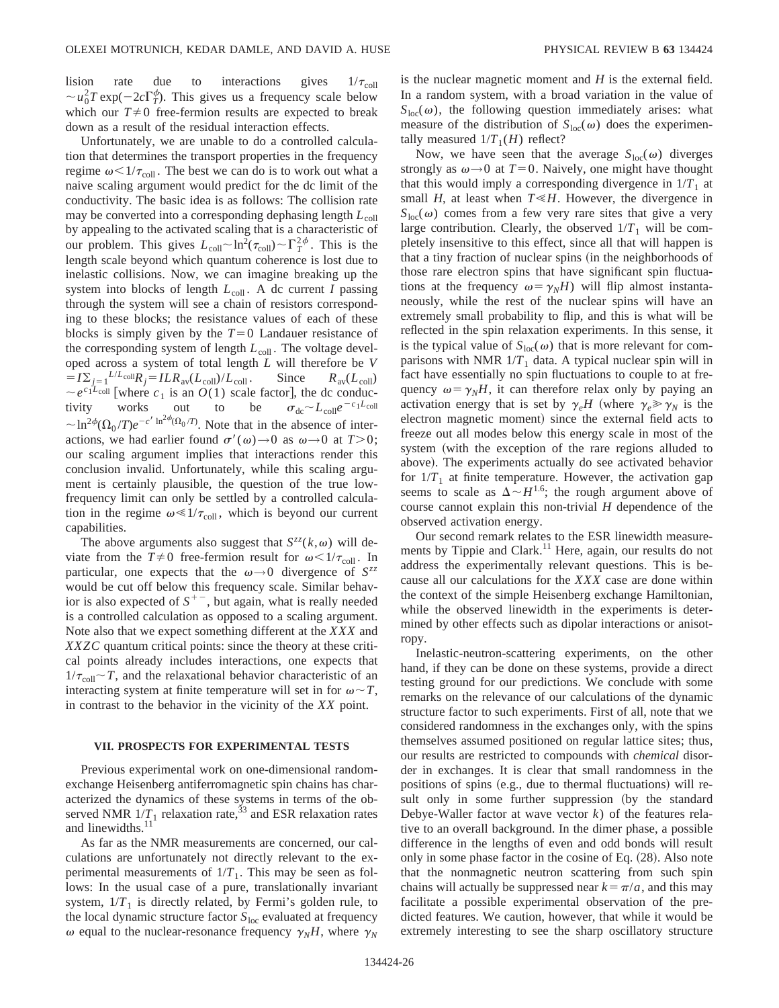Unfortunately, we are unable to do a controlled calculation that determines the transport properties in the frequency regime  $\omega < 1/\tau_{\text{coll}}$ . The best we can do is to work out what a naive scaling argument would predict for the dc limit of the conductivity. The basic idea is as follows: The collision rate may be converted into a corresponding dephasing length  $L_{\text{coll}}$ by appealing to the activated scaling that is a characteristic of our problem. This gives  $L_{\text{coll}} \sim \ln^2(\tau_{\text{coll}}) \sim \Gamma_T^{2\phi}$ . This is the length scale beyond which quantum coherence is lost due to inelastic collisions. Now, we can imagine breaking up the system into blocks of length  $L_{\text{coll}}$ . A dc current *I* passing through the system will see a chain of resistors corresponding to these blocks; the resistance values of each of these blocks is simply given by the  $T=0$  Landauer resistance of the corresponding system of length  $L_{\text{coll}}$ . The voltage developed across a system of total length *L* will therefore be *V*  $= I\Sigma_{j=1}^{L/L_{\text{coll}}}R_j = ILR_{\text{av}}(L_{\text{coll}})/L_{\text{coll}}$ . Since  $R_{\text{av}}(L_{\text{coll}})$  $\sim e^{c_1 L_{\text{coll}}}$  [where  $c_1$  is an  $O(1)$  scale factor], the dc conductivity works out to be  $\sigma_{\text{dc}} \sim L_{\text{coll}} e^{-c_1 L_{\text{coll}}}$ tivity works out to be  $\sigma_{\text{dc}} \sim L_{\text{coll}}e^{-c_1L_{\text{coll}}}$  $\sim \ln^{2\phi}(\Omega_0/T)e^{-c'\ln^{2\phi}(\Omega_0/T)}$ . Note that in the absence of interactions, we had earlier found  $\sigma'(\omega) \rightarrow 0$  as  $\omega \rightarrow 0$  at  $T>0$ ; our scaling argument implies that interactions render this conclusion invalid. Unfortunately, while this scaling argument is certainly plausible, the question of the true lowfrequency limit can only be settled by a controlled calculation in the regime  $\omega \ll 1/\tau_{\text{coll}}$ , which is beyond our current capabilities.

The above arguments also suggest that  $S^{zz}(k,\omega)$  will deviate from the  $T\neq 0$  free-fermion result for  $\omega < 1/\tau_{\text{coll}}$ . In particular, one expects that the  $\omega \rightarrow 0$  divergence of  $S^{zz}$ would be cut off below this frequency scale. Similar behavior is also expected of  $S^{+-}$ , but again, what is really needed is a controlled calculation as opposed to a scaling argument. Note also that we expect something different at the *XXX* and *XXZC* quantum critical points: since the theory at these critical points already includes interactions, one expects that  $1/\tau_{\text{coll}} \sim T$ , and the relaxational behavior characteristic of an interacting system at finite temperature will set in for  $\omega \sim T$ , in contrast to the behavior in the vicinity of the *XX* point.

## **VII. PROSPECTS FOR EXPERIMENTAL TESTS**

Previous experimental work on one-dimensional randomexchange Heisenberg antiferromagnetic spin chains has characterized the dynamics of these systems in terms of the observed NMR  $1/T_1$  relaxation rate,<sup>33</sup> and ESR relaxation rates and linewidths.<sup>1</sup>

As far as the NMR measurements are concerned, our calculations are unfortunately not directly relevant to the experimental measurements of  $1/T<sub>1</sub>$ . This may be seen as follows: In the usual case of a pure, translationally invariant system,  $1/T_1$  is directly related, by Fermi's golden rule, to the local dynamic structure factor  $S<sub>loc</sub>$  evaluated at frequency  $\omega$  equal to the nuclear-resonance frequency  $\gamma_N H$ , where  $\gamma_N$  is the nuclear magnetic moment and *H* is the external field. In a random system, with a broad variation in the value of  $S<sub>loc</sub>(\omega)$ , the following question immediately arises: what measure of the distribution of  $S<sub>loc</sub>(\omega)$  does the experimentally measured  $1/T_1(H)$  reflect?

Now, we have seen that the average  $S<sub>loc</sub>(\omega)$  diverges strongly as  $\omega \rightarrow 0$  at  $T=0$ . Naively, one might have thought that this would imply a corresponding divergence in  $1/T_1$  at small *H*, at least when  $T \leq H$ . However, the divergence in  $S<sub>loc</sub>(\omega)$  comes from a few very rare sites that give a very large contribution. Clearly, the observed  $1/T_1$  will be completely insensitive to this effect, since all that will happen is that a tiny fraction of nuclear spins (in the neighborhoods of those rare electron spins that have significant spin fluctuations at the frequency  $\omega = \gamma_N H$ ) will flip almost instantaneously, while the rest of the nuclear spins will have an extremely small probability to flip, and this is what will be reflected in the spin relaxation experiments. In this sense, it is the typical value of  $S<sub>loc</sub>(\omega)$  that is more relevant for comparisons with NMR  $1/T_1$  data. A typical nuclear spin will in fact have essentially no spin fluctuations to couple to at frequency  $\omega = \gamma_N H$ , it can therefore relax only by paying an activation energy that is set by  $\gamma_e H$  (where  $\gamma_e \gg \gamma_N$  is the electron magnetic moment) since the external field acts to freeze out all modes below this energy scale in most of the system (with the exception of the rare regions alluded to above). The experiments actually do see activated behavior for  $1/T_1$  at finite temperature. However, the activation gap seems to scale as  $\Delta \sim H^{1.6}$ ; the rough argument above of course cannot explain this non-trivial *H* dependence of the observed activation energy.

Our second remark relates to the ESR linewidth measurements by Tippie and Clark.<sup>11</sup> Here, again, our results do not address the experimentally relevant questions. This is because all our calculations for the *XXX* case are done within the context of the simple Heisenberg exchange Hamiltonian, while the observed linewidth in the experiments is determined by other effects such as dipolar interactions or anisotropy.

Inelastic-neutron-scattering experiments, on the other hand, if they can be done on these systems, provide a direct testing ground for our predictions. We conclude with some remarks on the relevance of our calculations of the dynamic structure factor to such experiments. First of all, note that we considered randomness in the exchanges only, with the spins themselves assumed positioned on regular lattice sites; thus, our results are restricted to compounds with *chemical* disorder in exchanges. It is clear that small randomness in the positions of spins  $(e.g., due to thermal fluctuations)$  will result only in some further suppression (by the standard Debye-Waller factor at wave vector *k*) of the features relative to an overall background. In the dimer phase, a possible difference in the lengths of even and odd bonds will result only in some phase factor in the cosine of Eq.  $(28)$ . Also note that the nonmagnetic neutron scattering from such spin chains will actually be suppressed near  $k = \pi/a$ , and this may facilitate a possible experimental observation of the predicted features. We caution, however, that while it would be extremely interesting to see the sharp oscillatory structure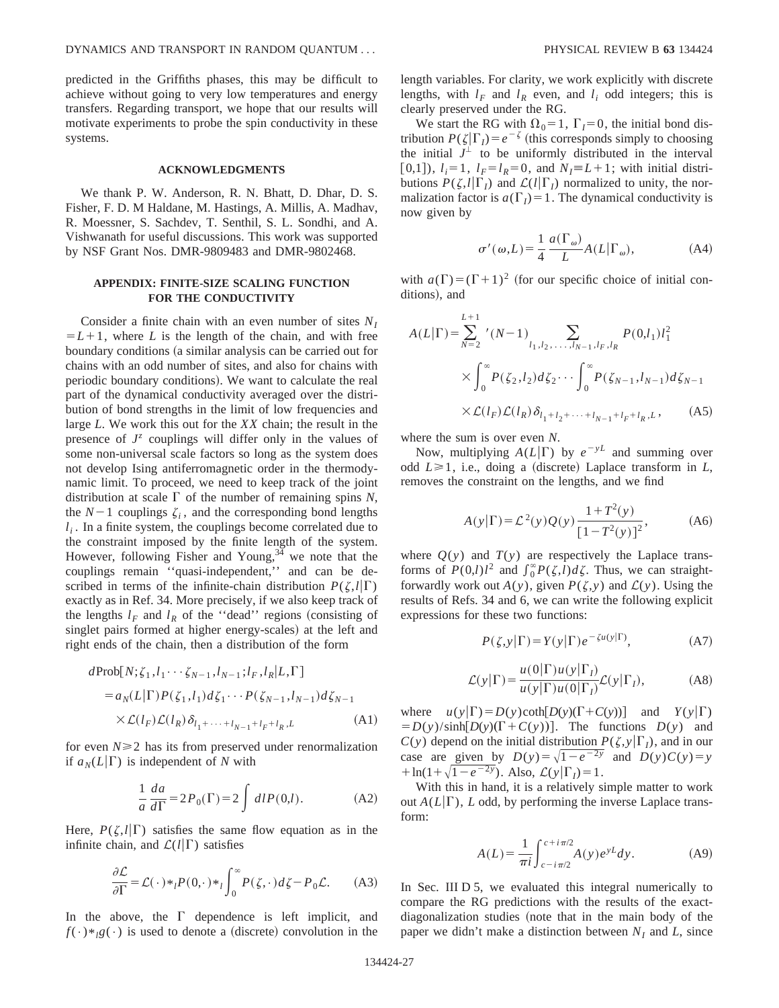predicted in the Griffiths phases, this may be difficult to achieve without going to very low temperatures and energy transfers. Regarding transport, we hope that our results will motivate experiments to probe the spin conductivity in these systems.

## **ACKNOWLEDGMENTS**

We thank P. W. Anderson, R. N. Bhatt, D. Dhar, D. S. Fisher, F. D. M Haldane, M. Hastings, A. Millis, A. Madhav, R. Moessner, S. Sachdev, T. Senthil, S. L. Sondhi, and A. Vishwanath for useful discussions. This work was supported by NSF Grant Nos. DMR-9809483 and DMR-9802468.

# **APPENDIX: FINITE-SIZE SCALING FUNCTION FOR THE CONDUCTIVITY**

Consider a finite chain with an even number of sites *NI*  $=L+1$ , where *L* is the length of the chain, and with free boundary conditions (a similar analysis can be carried out for chains with an odd number of sites, and also for chains with periodic boundary conditions). We want to calculate the real part of the dynamical conductivity averaged over the distribution of bond strengths in the limit of low frequencies and large *L*. We work this out for the *XX* chain; the result in the presence of  $J^z$  couplings will differ only in the values of some non-universal scale factors so long as the system does not develop Ising antiferromagnetic order in the thermodynamic limit. To proceed, we need to keep track of the joint distribution at scale  $\Gamma$  of the number of remaining spins *N*, the  $N-1$  couplings  $\zeta_i$ , and the corresponding bond lengths  $l_i$ . In a finite system, the couplings become correlated due to the constraint imposed by the finite length of the system. However, following Fisher and Young,  $3\overline{4}$  we note that the couplings remain ''quasi-independent,'' and can be described in terms of the infinite-chain distribution  $P(\zeta, l|\Gamma)$ exactly as in Ref. 34. More precisely, if we also keep track of the lengths  $l_F$  and  $l_R$  of the "dead" regions (consisting of singlet pairs formed at higher energy-scales) at the left and right ends of the chain, then a distribution of the form

$$
d\text{Prob}[N; \zeta_1, l_1 \cdots \zeta_{N-1}, l_{N-1}; l_F, l_R | L, \Gamma]
$$
  
=  $a_N(L|\Gamma)P(\zeta_1, l_1)d\zeta_1 \cdots P(\zeta_{N-1}, l_{N-1})d\zeta_{N-1}$   
 $\times \mathcal{L}(l_F)\mathcal{L}(l_R) \delta_{l_1 + \cdots + l_{N-1} + l_F + l_R, L}$  (A1)

for even  $N \geq 2$  has its from preserved under renormalization if  $a_N(L|\Gamma)$  is independent of *N* with

$$
\frac{1}{a}\frac{da}{d\Gamma} = 2P_0(\Gamma) = 2\int dIP(0,l). \tag{A2}
$$

Here,  $P(\zeta, l|\Gamma)$  satisfies the same flow equation as in the infinite chain, and  $\mathcal{L}(l|\Gamma)$  satisfies

$$
\frac{\partial \mathcal{L}}{\partial \Gamma} = \mathcal{L}(\cdot) *_{l} P(0, \cdot) *_{l} \int_{0}^{\infty} P(\zeta, \cdot) d\zeta - P_{0} \mathcal{L}.
$$
 (A3)

In the above, the  $\Gamma$  dependence is left implicit, and  $f(\cdot)*_{l}g(\cdot)$  is used to denote a (discrete) convolution in the length variables. For clarity, we work explicitly with discrete lengths, with  $l_F$  and  $l_R$  even, and  $l_i$  odd integers; this is clearly preserved under the RG.

We start the RG with  $\Omega_0 = 1$ ,  $\Gamma_I = 0$ , the initial bond distribution  $P(\zeta|\Gamma_I) = e^{-\zeta}$  (this corresponds simply to choosing the initial  $J^{\perp}$  to be uniformly distributed in the interval [0,1]),  $l_i=1$ ,  $l_F=l_R=0$ , and  $N_I\equiv L+1$ ; with initial distributions  $P(\zeta, l|\Gamma_l)$  and  $\mathcal{L}(l|\Gamma_l)$  normalized to unity, the normalization factor is  $a(\Gamma) = 1$ . The dynamical conductivity is now given by

$$
\sigma'(\omega, L) = \frac{1}{4} \frac{a(\Gamma_{\omega})}{L} A(L | \Gamma_{\omega}), \tag{A4}
$$

with  $a(\Gamma)=(\Gamma+1)^2$  (for our specific choice of initial conditions), and

$$
A(L|\Gamma) = \sum_{N=2}^{L+1} ' (N-1) \sum_{l_1, l_2, \dots, l_{N-1}, l_F, l_R} P(0, l_1) l_1^2
$$
  
 
$$
\times \int_0^\infty P(\zeta_2, l_2) d\zeta_2 \cdots \int_0^\infty P(\zeta_{N-1}, l_{N-1}) d\zeta_{N-1}
$$
  
 
$$
\times \mathcal{L}(l_F) \mathcal{L}(l_R) \delta_{l_1+l_2+\dots+l_{N-1}+l_F+l_R, L}, \qquad (A5)
$$

where the sum is over even *N*.

Now, multiplying  $A(L|\Gamma)$  by  $e^{-yL}$  and summing over odd  $L \ge 1$ , i.e., doing a (discrete) Laplace transform in *L*, removes the constraint on the lengths, and we find

$$
A(y|\Gamma) = \mathcal{L}^{2}(y)Q(y)\frac{1+T^{2}(y)}{[1-T^{2}(y)]^{2}},
$$
 (A6)

where  $Q(y)$  and  $T(y)$  are respectively the Laplace transforms of  $P(0,l)l^2$  and  $\int_0^\infty P(\zeta,l)d\zeta$ . Thus, we can straightforwardly work out  $A(y)$ , given  $P(\zeta, y)$  and  $\mathcal{L}(y)$ . Using the results of Refs. 34 and 6, we can write the following explicit expressions for these two functions:

$$
P(\zeta, y|\Gamma) = Y(y|\Gamma)e^{-\zeta u(y|\Gamma)}, \tag{A7}
$$

$$
\mathcal{L}(y|\Gamma) = \frac{u(0|\Gamma)u(y|\Gamma_I)}{u(y|\Gamma)u(0|\Gamma_I)} \mathcal{L}(y|\Gamma_I),
$$
 (A8)

where  $u(y|\Gamma) = D(y) \coth[D(y)(\Gamma + C(y))]$  and  $Y(y|\Gamma)$  $= D(y)/\sinh[D(y)(\Gamma + C(y))].$  The functions  $D(y)$  and  $C(y)$  depend on the initial distribution  $P(\zeta, y | \Gamma)$ , and in our case are given by  $D(y) = \sqrt{1 - e^{-2y}}$  and  $D(y)C(y) = y$ +  $\ln(1+\sqrt{1-e^{-2y}})$ . Also,  $\mathcal{L}(y|\Gamma_l)=1$ .

With this in hand, it is a relatively simple matter to work out  $A(L|\Gamma)$ , *L* odd, by performing the inverse Laplace transform:

$$
A(L) = \frac{1}{\pi i} \int_{c - i\pi/2}^{c + i\pi/2} A(y) e^{yL} dy.
$$
 (A9)

In Sec. III D 5, we evaluated this integral numerically to compare the RG predictions with the results of the exactdiagonalization studies (note that in the main body of the paper we didn't make a distinction between  $N_I$  and  $L$ , since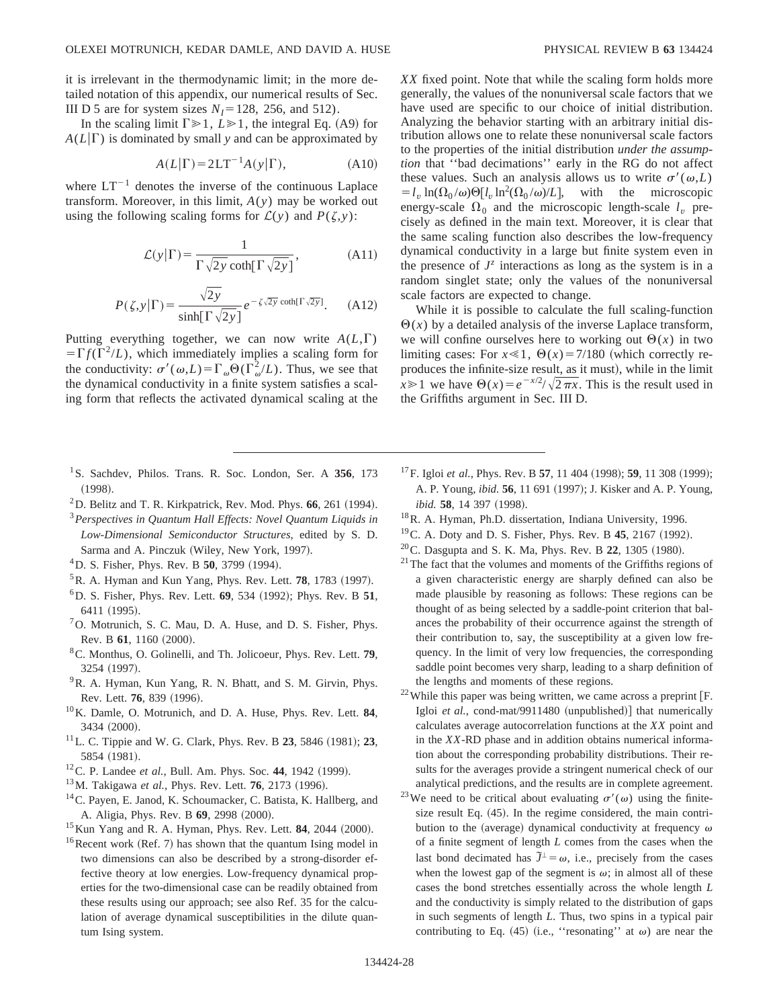it is irrelevant in the thermodynamic limit; in the more detailed notation of this appendix, our numerical results of Sec. III D 5 are for system sizes  $N_I$ =128, 256, and 512).

In the scaling limit  $\Gamma \geq 1$ ,  $L \geq 1$ , the integral Eq. (A9) for  $A(L|\Gamma)$  is dominated by small *y* and can be approximated by

$$
A(L|\Gamma) = 2LT^{-1}A(y|\Gamma), \tag{A10}
$$

where  $LT^{-1}$  denotes the inverse of the continuous Laplace transform. Moreover, in this limit, *A*(*y*) may be worked out using the following scaling forms for  $\mathcal{L}(y)$  and  $P(\zeta, y)$ :

$$
\mathcal{L}(y|\Gamma) = \frac{1}{\Gamma\sqrt{2y}\coth[\Gamma\sqrt{2y}]},
$$
 (A11)

$$
P(\zeta, y | \Gamma) = \frac{\sqrt{2y}}{\sinh[\Gamma \sqrt{2y}]} e^{-\zeta \sqrt{2y} \coth[\Gamma \sqrt{2y}]}.
$$
 (A12)

Putting everything together, we can now write  $A(L,\Gamma)$  $=\Gamma f(\Gamma^2/L)$ , which immediately implies a scaling form for the conductivity:  $\sigma'(\omega,L) = \Gamma_{\omega} \Theta(\Gamma_{\omega}^2/L)$ . Thus, we see that the dynamical conductivity in a finite system satisfies a scaling form that reflects the activated dynamical scaling at the

- 1S. Sachdev, Philos. Trans. R. Soc. London, Ser. A **356**, 173  $(1998).$
- ${}^{2}$ D. Belitz and T. R. Kirkpatrick, Rev. Mod. Phys. **66**, 261 (1994).
- <sup>3</sup>*Perspectives in Quantum Hall Effects: Novel Quantum Liquids in Low-Dimensional Semiconductor Structures*, edited by S. D. Sarma and A. Pinczuk (Wiley, New York, 1997).
- <sup>4</sup>D. S. Fisher, Phys. Rev. B **50**, 3799 (1994).
- ${}^{5}$ R. A. Hyman and Kun Yang, Phys. Rev. Lett. **78**, 1783 (1997).
- 6D. S. Fisher, Phys. Rev. Lett. **69**, 534 ~1992!; Phys. Rev. B **51**, 6411 (1995).
- $<sup>7</sup>$ O. Motrunich, S. C. Mau, D. A. Huse, and D. S. Fisher, Phys.</sup> Rev. B 61, 1160 (2000).
- 8C. Monthus, O. Golinelli, and Th. Jolicoeur, Phys. Rev. Lett. **79**, 3254 (1997).
- <sup>9</sup>R. A. Hyman, Kun Yang, R. N. Bhatt, and S. M. Girvin, Phys. Rev. Lett. **76**, 839 (1996).
- 10K. Damle, O. Motrunich, and D. A. Huse, Phys. Rev. Lett. **84**, 3434 (2000).
- $11$  L. C. Tippie and W. G. Clark, Phys. Rev. B 23, 5846 (1981); 23, 5854 (1981).
- $12^1$ C. P. Landee *et al.*, Bull. Am. Phys. Soc. 44, 1942 (1999).
- <sup>13</sup>M. Takigawa *et al.*, Phys. Rev. Lett. **76**, 2173 (1996).
- 14C. Payen, E. Janod, K. Schoumacker, C. Batista, K. Hallberg, and A. Aligia, Phys. Rev. B 69, 2998 (2000).
- <sup>15</sup> Kun Yang and R. A. Hyman, Phys. Rev. Lett. **84**, 2044 (2000).
- $16$ Recent work (Ref. 7) has shown that the quantum Ising model in two dimensions can also be described by a strong-disorder effective theory at low energies. Low-frequency dynamical properties for the two-dimensional case can be readily obtained from these results using our approach; see also Ref. 35 for the calculation of average dynamical susceptibilities in the dilute quantum Ising system.

*XX* fixed point. Note that while the scaling form holds more generally, the values of the nonuniversal scale factors that we have used are specific to our choice of initial distribution. Analyzing the behavior starting with an arbitrary initial distribution allows one to relate these nonuniversal scale factors to the properties of the initial distribution *under the assumption* that ''bad decimations'' early in the RG do not affect these values. Such an analysis allows us to write  $\sigma'(\omega,L)$  $=$   $l_v \ln(\Omega_0/\omega) \Theta[l_v \ln^2(\Omega_0/\omega)/L]$ , with the microscopic energy-scale  $\Omega_0$  and the microscopic length-scale  $l_v$  precisely as defined in the main text. Moreover, it is clear that the same scaling function also describes the low-frequency dynamical conductivity in a large but finite system even in the presence of  $J^z$  interactions as long as the system is in a random singlet state; only the values of the nonuniversal scale factors are expected to change.

While it is possible to calculate the full scaling-function  $\Theta(x)$  by a detailed analysis of the inverse Laplace transform, we will confine ourselves here to working out  $\Theta(x)$  in two limiting cases: For  $x \le 1$ ,  $\Theta(x) = 7/180$  (which correctly reproduces the infinite-size result, as it must), while in the limit  $x \ge 1$  we have  $\Theta(x) = e^{-x/2}/\sqrt{2\pi x}$ . This is the result used in the Griffiths argument in Sec. III D.

- <sup>17</sup>F. Igloi *et al.*, Phys. Rev. B **57**, 11 404 (1998); **59**, 11 308 (1999); A. P. Young, *ibid.* **56**, 11 691 (1997); J. Kisker and A. P. Young, *ibid.* **58**, 14 397 (1998).
- 18R. A. Hyman, Ph.D. dissertation, Indiana University, 1996.
- $19^{\circ}$ C. A. Doty and D. S. Fisher, Phys. Rev. B 45, 2167 (1992).
- $20$ C. Dasgupta and S. K. Ma, Phys. Rev. B 22, 1305 (1980).
- $21$ <sup>21</sup>The fact that the volumes and moments of the Griffiths regions of a given characteristic energy are sharply defined can also be made plausible by reasoning as follows: These regions can be thought of as being selected by a saddle-point criterion that balances the probability of their occurrence against the strength of their contribution to, say, the susceptibility at a given low frequency. In the limit of very low frequencies, the corresponding saddle point becomes very sharp, leading to a sharp definition of the lengths and moments of these regions.
- $22$  While this paper was being written, we came across a preprint [F. Igloi *et al.*, cond-mat/9911480 (unpublished)] that numerically calculates average autocorrelation functions at the *XX* point and in the *XX*-RD phase and in addition obtains numerical information about the corresponding probability distributions. Their results for the averages provide a stringent numerical check of our analytical predictions, and the results are in complete agreement.
- <sup>23</sup>We need to be critical about evaluating  $\sigma'(\omega)$  using the finitesize result Eq.  $(45)$ . In the regime considered, the main contribution to the (average) dynamical conductivity at frequency  $\omega$ of a finite segment of length *L* comes from the cases when the last bond decimated has  $\tilde{J}^{\perp} = \omega$ , i.e., precisely from the cases when the lowest gap of the segment is  $\omega$ ; in almost all of these cases the bond stretches essentially across the whole length *L* and the conductivity is simply related to the distribution of gaps in such segments of length *L*. Thus, two spins in a typical pair contributing to Eq. (45) (i.e., "resonating" at  $\omega$ ) are near the